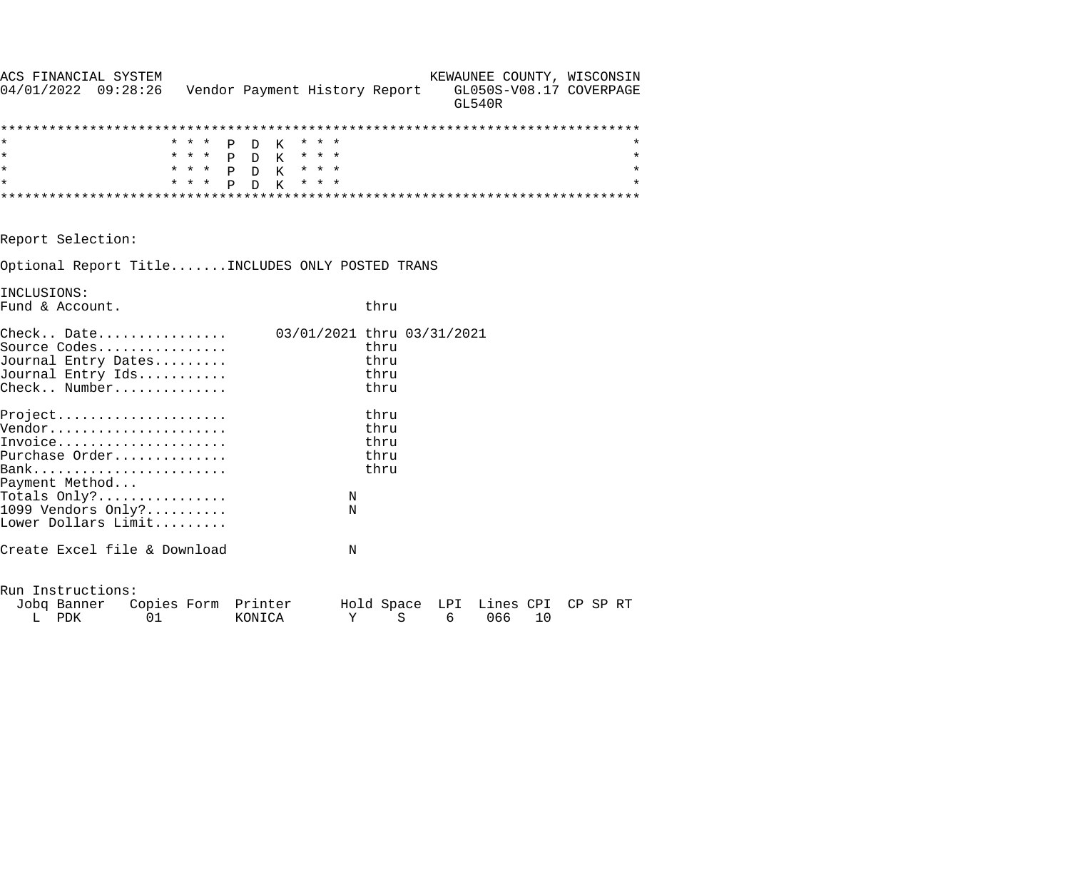| ACS FINANCIAL SYSTEM                                                  |       |                               |                            |      |   |   | KEWAUNEE COUNTY, WISCONSIN               |    |          |
|-----------------------------------------------------------------------|-------|-------------------------------|----------------------------|------|---|---|------------------------------------------|----|----------|
| 04/01/2022 09:28:26                                                   |       | Vendor Payment History Report |                            |      |   |   | GL050S-V08.17 COVERPAGE<br><b>GL540R</b> |    |          |
|                                                                       |       |                               |                            |      |   |   |                                          |    |          |
|                                                                       | * * * | P D<br>K                      | * * *                      |      |   |   |                                          |    |          |
| $\star$                                                               |       | * * * P D K                   | $\star$ $\star$ $\star$    |      |   |   |                                          |    | $^\star$ |
| $\star$                                                               |       | * * * P D K                   | $\star$ $\star$ $\star$    |      |   |   |                                          |    | $^\star$ |
| $\star$                                                               | * * * | P D K                         | * * *                      |      |   |   |                                          |    |          |
|                                                                       |       |                               |                            |      |   |   |                                          |    |          |
| Report Selection:                                                     |       |                               |                            |      |   |   |                                          |    |          |
| Optional Report TitleINCLUDES ONLY POSTED TRANS                       |       |                               |                            |      |   |   |                                          |    |          |
| INCLUSIONS:                                                           |       |                               |                            |      |   |   |                                          |    |          |
| Fund & Account.                                                       |       |                               |                            | thru |   |   |                                          |    |          |
| $\texttt{Check.}. \quad \texttt{Date.} \dots \dots \dots \dots \dots$ |       |                               | 03/01/2021 thru 03/31/2021 |      |   |   |                                          |    |          |
| Source Codes                                                          |       |                               |                            | thru |   |   |                                          |    |          |
| Journal Entry Dates                                                   |       |                               |                            | thru |   |   |                                          |    |          |
| Journal Entry Ids                                                     |       |                               |                            | thru |   |   |                                          |    |          |
| Check Number                                                          |       |                               |                            | thru |   |   |                                          |    |          |
| Project                                                               |       |                               |                            | thru |   |   |                                          |    |          |
| Vendor                                                                |       |                               |                            | thru |   |   |                                          |    |          |
| Invoice                                                               |       |                               |                            | thru |   |   |                                          |    |          |
| Purchase Order                                                        |       |                               |                            | thru |   |   |                                          |    |          |
|                                                                       |       |                               |                            | thru |   |   |                                          |    |          |
| Payment Method                                                        |       |                               |                            |      |   |   |                                          |    |          |
| Totals $Only?$                                                        |       |                               | N                          |      |   |   |                                          |    |          |
| 1099 Vendors Only?                                                    |       |                               | N                          |      |   |   |                                          |    |          |
| Lower Dollars Limit                                                   |       |                               |                            |      |   |   |                                          |    |          |
| Create Excel file & Download                                          |       |                               | N                          |      |   |   |                                          |    |          |
| Run Instructions:                                                     |       |                               |                            |      |   |   |                                          |    |          |
| Jobq Banner Copies Form Printer                                       |       |                               |                            |      |   |   | Hold Space LPI Lines CPI                 |    | CP SP RT |
| PDK<br>01<br>L                                                        |       | KONICA                        | Υ                          |      | S | 6 | 066                                      | 10 |          |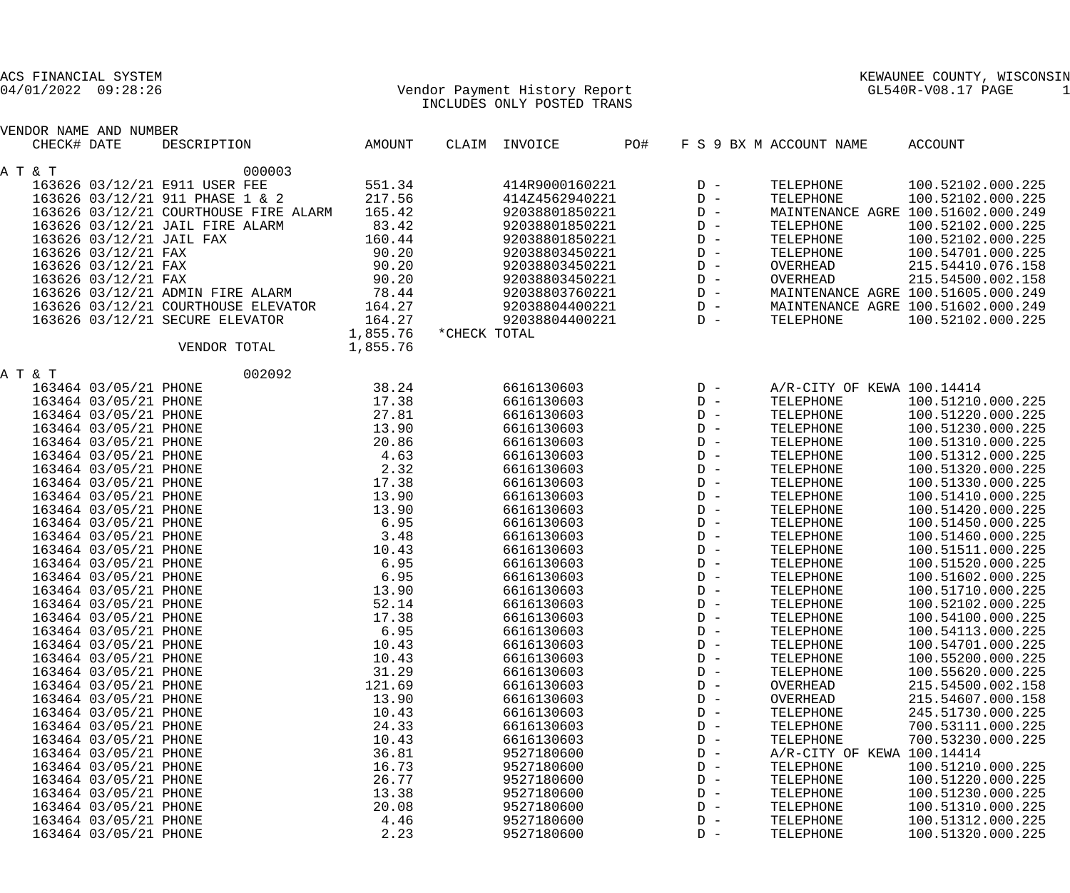| ACS FINANCIAL SYSTEM<br>$04/01/2022$ 09:28:26        |          | Vendor Payment History Report<br>INCLUDES ONLY POSTED TRANS |                | KEWAUNEE COUNTY, WISCONSIN<br>GL540R-V08.17 PAGE<br>1 |                                    |  |  |
|------------------------------------------------------|----------|-------------------------------------------------------------|----------------|-------------------------------------------------------|------------------------------------|--|--|
| VENDOR NAME AND NUMBER<br>CHECK# DATE<br>DESCRIPTION | AMOUNT   | CLAIM INVOICE                                               | PO#            | F S 9 BX M ACCOUNT NAME                               | <b>ACCOUNT</b>                     |  |  |
| A T & T                                              | 000003   |                                                             |                |                                                       |                                    |  |  |
| 163626 03/12/21 E911 USER FEE                        | 551.34   | 414R9000160221                                              | $D -$          | TELEPHONE                                             | 100.52102.000.225                  |  |  |
| 163626 03/12/21 911 PHASE 1 & 2                      | 217.56   | 414Z4562940221                                              | $D -$          | TELEPHONE                                             | 100.52102.000.225                  |  |  |
| 163626 03/12/21 COURTHOUSE FIRE ALARM                | 165.42   | 92038801850221                                              | $\mathbb{D}$ – |                                                       | MAINTENANCE AGRE 100.51602.000.249 |  |  |
| 163626 03/12/21 JAIL FIRE ALARM                      | 83.42    | 92038801850221                                              | $\mathbb{D}$ – | TELEPHONE                                             | 100.52102.000.225                  |  |  |
| 163626 03/12/21 JAIL FAX                             | 160.44   | 92038801850221                                              | $D -$          | TELEPHONE                                             | 100.52102.000.225                  |  |  |
| 163626 03/12/21 FAX                                  | 90.20    | 92038803450221                                              | $\mathbb{D}$ – | TELEPHONE                                             | 100.54701.000.225                  |  |  |
| 163626 03/12/21 FAX                                  | 90.20    | 92038803450221                                              | $\mathbb{D}$ – | OVERHEAD                                              | 215.54410.076.158                  |  |  |
| 163626 03/12/21 FAX                                  | 90.20    | 92038803450221                                              | $\mathbb{D}$ – | OVERHEAD                                              | 215.54500.002.158                  |  |  |
| 163626 03/12/21 ADMIN FIRE ALARM                     | 78.44    | 92038803760221                                              | $D -$          |                                                       | MAINTENANCE AGRE 100.51605.000.249 |  |  |
| 163626 03/12/21 COURTHOUSE ELEVATOR                  | 164.27   | 92038804400221                                              | $D -$          |                                                       | MAINTENANCE AGRE 100.51602.000.249 |  |  |
| 163626 03/12/21 SECURE ELEVATOR                      | 164.27   | 92038804400221                                              | $D -$          | TELEPHONE                                             | 100.52102.000.225                  |  |  |
|                                                      | 1,855.76 | *CHECK TOTAL                                                |                |                                                       |                                    |  |  |
| VENDOR TOTAL                                         | 1,855.76 |                                                             |                |                                                       |                                    |  |  |
| A T & T                                              | 002092   |                                                             |                |                                                       |                                    |  |  |
| 163464 03/05/21 PHONE                                | 38.24    | 6616130603                                                  | $D -$          | A/R-CITY OF KEWA 100.14414                            |                                    |  |  |
| 163464 03/05/21 PHONE                                | 17.38    | 6616130603                                                  | $\mathbb{D}$ – | TELEPHONE                                             | 100.51210.000.225                  |  |  |
| 163464 03/05/21 PHONE                                | 27.81    | 6616130603                                                  | $\mathbb{D}$ – | TELEPHONE                                             | 100.51220.000.225                  |  |  |
| 163464 03/05/21 PHONE                                | 13.90    | 6616130603                                                  | $\mathbb{D}$ – | TELEPHONE                                             | 100.51230.000.225                  |  |  |
| 163464 03/05/21 PHONE                                | 20.86    | 6616130603                                                  | $D -$          | TELEPHONE                                             | 100.51310.000.225                  |  |  |
| 163464 03/05/21 PHONE                                | 4.63     | 6616130603                                                  | $D -$          | TELEPHONE                                             | 100.51312.000.225                  |  |  |
| 163464 03/05/21 PHONE                                | 2.32     | 6616130603                                                  | $D -$          | TELEPHONE                                             | 100.51320.000.225                  |  |  |
| 163464 03/05/21 PHONE                                | 17.38    | 6616130603                                                  | $D -$          | TELEPHONE                                             | 100.51330.000.225                  |  |  |
| 163464 03/05/21 PHONE                                | 13.90    | 6616130603                                                  | $D -$          | TELEPHONE                                             | 100.51410.000.225                  |  |  |
| 163464 03/05/21 PHONE                                | 13.90    | 6616130603                                                  | $D -$          | TELEPHONE                                             | 100.51420.000.225                  |  |  |
| 163464 03/05/21 PHONE                                | 6.95     | 6616130603                                                  | $\mathbb{D}$ – | TELEPHONE                                             | 100.51450.000.225                  |  |  |
| 163464 03/05/21 PHONE                                | 3.48     | 6616130603                                                  | $\mathbb{D}$ – | TELEPHONE                                             | 100.51460.000.225                  |  |  |
| 163464 03/05/21 PHONE                                | 10.43    | 6616130603                                                  | $D -$          | TELEPHONE                                             | 100.51511.000.225                  |  |  |
| 163464 03/05/21 PHONE                                | 6.95     | 6616130603                                                  | $D -$          | TELEPHONE                                             | 100.51520.000.225                  |  |  |
| 163464 03/05/21 PHONE                                | 6.95     | 6616130603                                                  | $D -$          | TELEPHONE                                             | 100.51602.000.225                  |  |  |
| 163464 03/05/21 PHONE                                | 13.90    | 6616130603                                                  | $D -$          | TELEPHONE                                             | 100.51710.000.225                  |  |  |
| 163464 03/05/21 PHONE                                | 52.14    | 6616130603                                                  | $\mathbb{D}$ – | TELEPHONE                                             | 100.52102.000.225                  |  |  |
| 163464 03/05/21 PHONE                                | 17.38    | 6616130603                                                  | $\mathbb{D}$ – | TELEPHONE                                             | 100.54100.000.225                  |  |  |
| 163464 03/05/21 PHONE                                | 6.95     | 6616130603                                                  | $D -$          | TELEPHONE                                             | 100.54113.000.225                  |  |  |
| 163464 03/05/21 PHONE                                | 10.43    | 6616130603                                                  | $D -$          | TELEPHONE                                             | 100.54701.000.225                  |  |  |
| 163464 03/05/21 PHONE                                | 10.43    | 6616130603                                                  | $D -$          | TELEPHONE                                             | 100.55200.000.225                  |  |  |
| 163464 03/05/21 PHONE                                | 31.29    | 6616130603                                                  | $D -$          | TELEPHONE                                             | 100.55620.000.225                  |  |  |
| 163464 03/05/21 PHONE                                | 121.69   | 6616130603                                                  | $D -$          | OVERHEAD                                              | 215.54500.002.158                  |  |  |
| 163464 03/05/21 PHONE                                | 13.90    | 6616130603                                                  | $\mathbb{D}$ – | OVERHEAD                                              | 215.54607.000.158                  |  |  |
| 163464 03/05/21 PHONE                                | 10.43    | 6616130603                                                  | $\mathbb{D}$ – | TELEPHONE                                             | 245.51730.000.225                  |  |  |
| 163464 03/05/21 PHONE                                | 24.33    | 6616130603                                                  | $\mathbb{D}$ – | TELEPHONE                                             | 700.53111.000.225                  |  |  |
| 163464 03/05/21 PHONE                                | 10.43    | 6616130603                                                  | $\mathbb{D}$ – | TELEPHONE                                             | 700.53230.000.225                  |  |  |
| 163464 03/05/21 PHONE                                | 36.81    | 9527180600                                                  | $D -$          | A/R-CITY OF KEWA 100.14414                            |                                    |  |  |
| 163464 03/05/21 PHONE                                | 16.73    | 9527180600                                                  | $D -$          | TELEPHONE                                             | 100.51210.000.225                  |  |  |
| 163464 03/05/21 PHONE                                | 26.77    | 9527180600                                                  | $D -$          | TELEPHONE                                             | 100.51220.000.225                  |  |  |
| 163464 03/05/21 PHONE                                | 13.38    | 9527180600                                                  | $D -$          | TELEPHONE                                             | 100.51230.000.225                  |  |  |
| 163464 03/05/21 PHONE                                | 20.08    | 9527180600                                                  | $D -$          | TELEPHONE                                             | 100.51310.000.225                  |  |  |
| 163464 03/05/21 PHONE                                | 4.46     | 9527180600                                                  | $\mathbb{D}$ – | TELEPHONE                                             | 100.51312.000.225                  |  |  |
| 163464 03/05/21 PHONE                                | 2.23     | 9527180600                                                  | $D -$          | TELEPHONE                                             | 100.51320.000.225                  |  |  |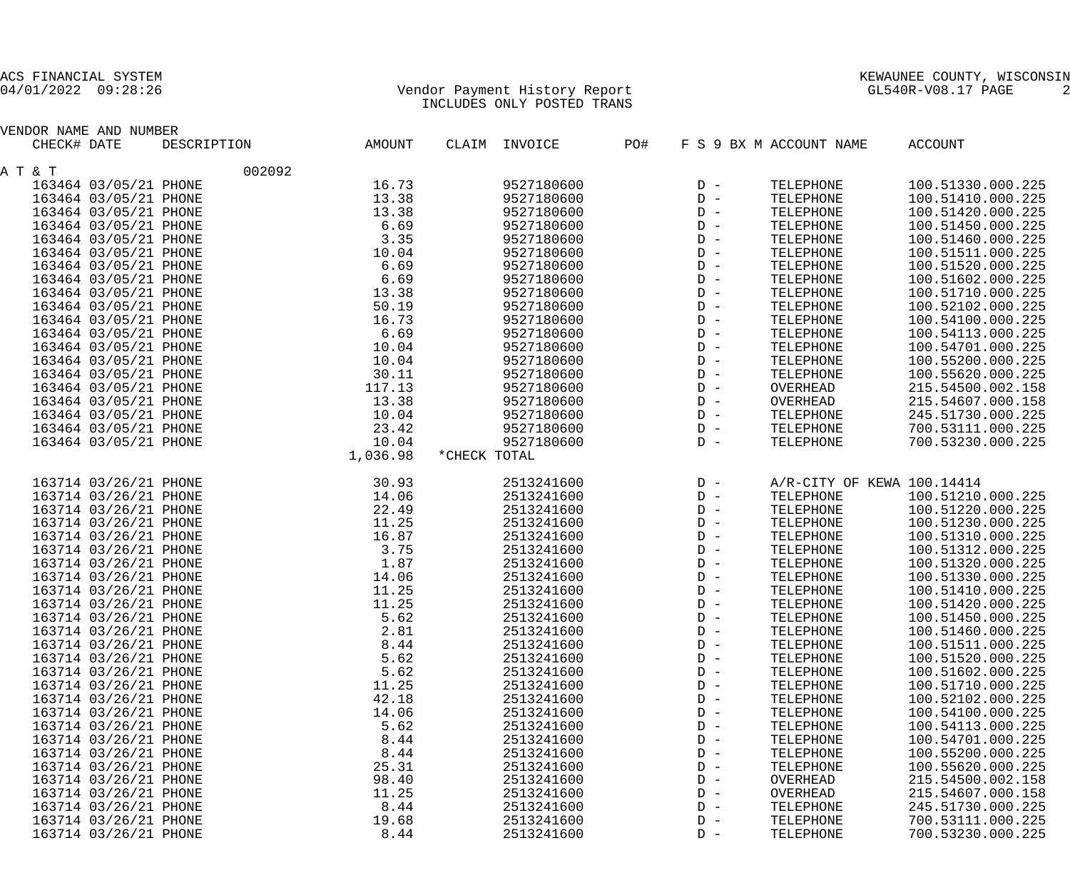## 04/01/2022 09:28:26 Vendor Payment History Report GL540R-V08.17 PAGE 2 INCLUDES ONLY POSTED TRANS

| VENDOR NAME AND NUMBER |             |          |              |               |     |                |                            |                   |
|------------------------|-------------|----------|--------------|---------------|-----|----------------|----------------------------|-------------------|
| CHECK# DATE            | DESCRIPTION | AMOUNT   |              | CLAIM INVOICE | PO# |                | F S 9 BX M ACCOUNT NAME    | <b>ACCOUNT</b>    |
| A T & T                | 002092      |          |              |               |     |                |                            |                   |
| 163464 03/05/21 PHONE  |             | 16.73    |              | 9527180600    |     | $D -$          | TELEPHONE                  | 100.51330.000.225 |
| 163464 03/05/21 PHONE  |             | 13.38    |              | 9527180600    |     | $D -$          | TELEPHONE                  | 100.51410.000.225 |
| 163464 03/05/21 PHONE  |             | 13.38    |              | 9527180600    |     | $D -$          | TELEPHONE                  | 100.51420.000.225 |
| 163464 03/05/21 PHONE  |             | 6.69     |              | 9527180600    |     | $D -$          | TELEPHONE                  | 100.51450.000.225 |
| 163464 03/05/21 PHONE  |             | 3.35     |              | 9527180600    |     | $D -$          | TELEPHONE                  | 100.51460.000.225 |
| 163464 03/05/21 PHONE  |             | 10.04    |              | 9527180600    |     | $D -$          | TELEPHONE                  | 100.51511.000.225 |
| 163464 03/05/21 PHONE  |             | 6.69     |              | 9527180600    |     | $D -$          | TELEPHONE                  | 100.51520.000.225 |
| 163464 03/05/21 PHONE  |             | 6.69     |              | 9527180600    |     | $D -$          | TELEPHONE                  | 100.51602.000.225 |
| 163464 03/05/21 PHONE  |             | 13.38    |              | 9527180600    |     | $D -$          | TELEPHONE                  | 100.51710.000.225 |
| 163464 03/05/21 PHONE  |             | 50.19    |              | 9527180600    |     | $D -$          | TELEPHONE                  | 100.52102.000.225 |
| 163464 03/05/21 PHONE  |             | 16.73    |              | 9527180600    |     | $D -$          | TELEPHONE                  | 100.54100.000.225 |
| 163464 03/05/21 PHONE  |             | 6.69     |              | 9527180600    |     | $D -$          | TELEPHONE                  | 100.54113.000.225 |
| 163464 03/05/21 PHONE  |             | 10.04    |              | 9527180600    |     | $D -$          | TELEPHONE                  | 100.54701.000.225 |
| 163464 03/05/21 PHONE  |             | 10.04    |              | 9527180600    |     | $D -$          | TELEPHONE                  | 100.55200.000.225 |
| 163464 03/05/21 PHONE  |             | 30.11    |              | 9527180600    |     | $D -$          | TELEPHONE                  | 100.55620.000.225 |
| 163464 03/05/21 PHONE  |             | 117.13   |              | 9527180600    |     | $D -$          | OVERHEAD                   | 215.54500.002.158 |
| 163464 03/05/21 PHONE  |             | 13.38    |              | 9527180600    |     | $D -$          | OVERHEAD                   | 215.54607.000.158 |
| 163464 03/05/21 PHONE  |             | 10.04    |              | 9527180600    |     | $D -$          | TELEPHONE                  | 245.51730.000.225 |
| 163464 03/05/21 PHONE  |             | 23.42    |              | 9527180600    |     | $D -$          | TELEPHONE                  | 700.53111.000.225 |
| 163464 03/05/21 PHONE  |             | 10.04    |              | 9527180600    |     | $D -$          | TELEPHONE                  | 700.53230.000.225 |
|                        |             | 1,036.98 | *CHECK TOTAL |               |     |                |                            |                   |
|                        |             |          |              |               |     |                |                            |                   |
| 163714 03/26/21 PHONE  |             | 30.93    |              | 2513241600    |     | $D -$          | A/R-CITY OF KEWA 100.14414 |                   |
| 163714 03/26/21 PHONE  |             | 14.06    |              | 2513241600    |     | $D -$          | TELEPHONE                  | 100.51210.000.225 |
| 163714 03/26/21 PHONE  |             | 22.49    |              | 2513241600    |     | $D -$          | TELEPHONE                  | 100.51220.000.225 |
| 163714 03/26/21 PHONE  |             | 11.25    |              | 2513241600    |     | $D -$          | TELEPHONE                  | 100.51230.000.225 |
| 163714 03/26/21 PHONE  |             | 16.87    |              | 2513241600    |     | $D -$          | TELEPHONE                  | 100.51310.000.225 |
| 163714 03/26/21 PHONE  |             | 3.75     |              | 2513241600    |     | $D -$          | TELEPHONE                  | 100.51312.000.225 |
| 163714 03/26/21 PHONE  |             | 1.87     |              | 2513241600    |     | $D -$          | TELEPHONE                  | 100.51320.000.225 |
| 163714 03/26/21 PHONE  |             | 14.06    |              | 2513241600    |     | $D -$          | TELEPHONE                  | 100.51330.000.225 |
| 163714 03/26/21 PHONE  |             | 11.25    |              | 2513241600    |     | $D -$          | TELEPHONE                  | 100.51410.000.225 |
| 163714 03/26/21 PHONE  |             | 11.25    |              | 2513241600    |     | $D -$          | TELEPHONE                  | 100.51420.000.225 |
| 163714 03/26/21 PHONE  |             | 5.62     |              | 2513241600    |     | $D -$          | TELEPHONE                  | 100.51450.000.225 |
| 163714 03/26/21 PHONE  |             | 2.81     |              | 2513241600    |     | $D -$          | TELEPHONE                  | 100.51460.000.225 |
| 163714 03/26/21 PHONE  |             | 8.44     |              | 2513241600    |     | $D -$          | TELEPHONE                  | 100.51511.000.225 |
| 163714 03/26/21 PHONE  |             | 5.62     |              | 2513241600    |     | $D -$          | TELEPHONE                  | 100.51520.000.225 |
| 163714 03/26/21 PHONE  |             | 5.62     |              | 2513241600    |     | $D -$          | TELEPHONE                  | 100.51602.000.225 |
| 163714 03/26/21 PHONE  |             | 11.25    |              | 2513241600    |     | $D -$          | TELEPHONE                  | 100.51710.000.225 |
| 163714 03/26/21 PHONE  |             | 42.18    |              | 2513241600    |     | $D -$          | TELEPHONE                  | 100.52102.000.225 |
| 163714 03/26/21 PHONE  |             | 14.06    |              | 2513241600    |     | $D -$          | TELEPHONE                  | 100.54100.000.225 |
| 163714 03/26/21 PHONE  |             | 5.62     |              | 2513241600    |     | $D -$          | TELEPHONE                  | 100.54113.000.225 |
| 163714 03/26/21 PHONE  |             | 8.44     |              | 2513241600    |     | $D -$          | TELEPHONE                  | 100.54701.000.225 |
| 163714 03/26/21 PHONE  |             | 8.44     |              | 2513241600    |     | $D -$          | TELEPHONE                  | 100.55200.000.225 |
| 163714 03/26/21 PHONE  |             | 25.31    |              | 2513241600    |     | $D -$          | TELEPHONE                  | 100.55620.000.225 |
| 163714 03/26/21 PHONE  |             | 98.40    |              | 2513241600    |     | $D -$          | OVERHEAD                   | 215.54500.002.158 |
| 163714 03/26/21 PHONE  |             | 11.25    |              | 2513241600    |     | $D -$          | OVERHEAD                   | 215.54607.000.158 |
| 163714 03/26/21 PHONE  |             | 8.44     |              | 2513241600    |     | $\mathbb{D}$ – | TELEPHONE                  | 245.51730.000.225 |
| 163714 03/26/21 PHONE  |             | 19.68    |              | 2513241600    |     | $\mathbb{D}$ – | TELEPHONE                  | 700.53111.000.225 |
| 163714 03/26/21 PHONE  |             | 8.44     |              | 2513241600    |     | $D -$          | TELEPHONE                  | 700.53230.000.225 |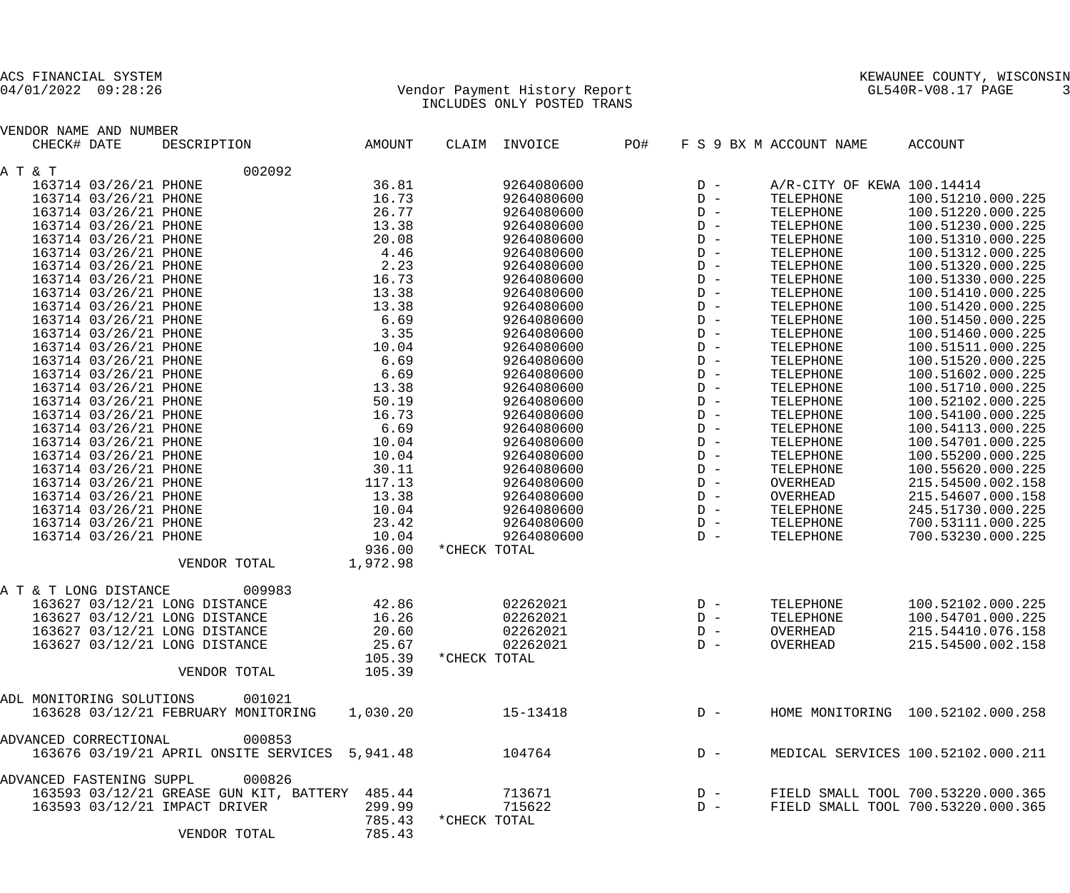## 04/01/2022 09:28:26 Vendor Payment History Report GL540R-V08.17 PAGE 3 INCLUDES ONLY POSTED TRANS

| VENDOR NAME AND NUMBER   |                       |                                                |          |              |               |     |       |                            |                                    |
|--------------------------|-----------------------|------------------------------------------------|----------|--------------|---------------|-----|-------|----------------------------|------------------------------------|
| CHECK# DATE              |                       | DESCRIPTION                                    | AMOUNT   |              | CLAIM INVOICE | PO# |       | F S 9 BX M ACCOUNT NAME    | ACCOUNT                            |
| A T & T                  |                       | 002092                                         |          |              |               |     |       |                            |                                    |
|                          | 163714 03/26/21 PHONE |                                                | 36.81    |              | 9264080600    |     | $D -$ | A/R-CITY OF KEWA 100.14414 |                                    |
|                          | 163714 03/26/21 PHONE |                                                | 16.73    |              | 9264080600    |     | $D -$ | TELEPHONE                  | 100.51210.000.225                  |
|                          | 163714 03/26/21 PHONE |                                                | 26.77    |              | 9264080600    |     | $D -$ | TELEPHONE                  | 100.51220.000.225                  |
|                          | 163714 03/26/21 PHONE |                                                | 13.38    |              | 9264080600    |     | $D -$ | TELEPHONE                  | 100.51230.000.225                  |
|                          | 163714 03/26/21 PHONE |                                                | 20.08    |              | 9264080600    |     | $D -$ | TELEPHONE                  | 100.51310.000.225                  |
|                          | 163714 03/26/21 PHONE |                                                | 4.46     |              | 9264080600    |     | $D -$ | TELEPHONE                  | 100.51312.000.225                  |
|                          | 163714 03/26/21 PHONE |                                                | 2.23     |              | 9264080600    |     | $D -$ | TELEPHONE                  | 100.51320.000.225                  |
|                          | 163714 03/26/21 PHONE |                                                | 16.73    |              | 9264080600    |     | $D -$ | TELEPHONE                  | 100.51330.000.225                  |
|                          | 163714 03/26/21 PHONE |                                                | 13.38    |              | 9264080600    |     | $D -$ | TELEPHONE                  | 100.51410.000.225                  |
|                          | 163714 03/26/21 PHONE |                                                | 13.38    |              | 9264080600    |     | $D -$ | TELEPHONE                  | 100.51420.000.225                  |
|                          | 163714 03/26/21 PHONE |                                                | 6.69     |              | 9264080600    |     | $D -$ | TELEPHONE                  | 100.51450.000.225                  |
|                          |                       |                                                |          |              | 9264080600    |     | $D -$ |                            | 100.51460.000.225                  |
|                          | 163714 03/26/21 PHONE |                                                | 3.35     |              |               |     |       | TELEPHONE                  |                                    |
|                          | 163714 03/26/21 PHONE |                                                | 10.04    |              | 9264080600    |     | $D -$ | TELEPHONE                  | 100.51511.000.225                  |
|                          | 163714 03/26/21 PHONE |                                                | 6.69     |              | 9264080600    |     | $D -$ | TELEPHONE                  | 100.51520.000.225                  |
|                          | 163714 03/26/21 PHONE |                                                | 6.69     |              | 9264080600    |     | $D -$ | TELEPHONE                  | 100.51602.000.225                  |
|                          | 163714 03/26/21 PHONE |                                                | 13.38    |              | 9264080600    |     | $D -$ | TELEPHONE                  | 100.51710.000.225                  |
|                          | 163714 03/26/21 PHONE |                                                | 50.19    |              | 9264080600    |     | $D -$ | TELEPHONE                  | 100.52102.000.225                  |
|                          | 163714 03/26/21 PHONE |                                                | 16.73    |              | 9264080600    |     | $D -$ | TELEPHONE                  | 100.54100.000.225                  |
|                          | 163714 03/26/21 PHONE |                                                | 6.69     |              | 9264080600    |     | $D -$ | TELEPHONE                  | 100.54113.000.225                  |
|                          | 163714 03/26/21 PHONE |                                                | 10.04    |              | 9264080600    |     | $D -$ | TELEPHONE                  | 100.54701.000.225                  |
|                          | 163714 03/26/21 PHONE |                                                | 10.04    |              | 9264080600    |     | $D -$ | TELEPHONE                  | 100.55200.000.225                  |
|                          | 163714 03/26/21 PHONE |                                                | 30.11    |              | 9264080600    |     | $D -$ | TELEPHONE                  | 100.55620.000.225                  |
|                          | 163714 03/26/21 PHONE |                                                | 117.13   |              | 9264080600    |     | $D -$ | OVERHEAD                   | 215.54500.002.158                  |
|                          | 163714 03/26/21 PHONE |                                                | 13.38    |              | 9264080600    |     | $D -$ | OVERHEAD                   | 215.54607.000.158                  |
|                          | 163714 03/26/21 PHONE |                                                | 10.04    |              | 9264080600    |     | $D -$ | TELEPHONE                  | 245.51730.000.225                  |
|                          | 163714 03/26/21 PHONE |                                                | 23.42    |              | 9264080600    |     | $D -$ | TELEPHONE                  | 700.53111.000.225                  |
|                          | 163714 03/26/21 PHONE |                                                | 10.04    |              | 9264080600    |     | $D -$ | TELEPHONE                  | 700.53230.000.225                  |
|                          |                       |                                                | 936.00   | *CHECK TOTAL |               |     |       |                            |                                    |
|                          |                       | VENDOR TOTAL                                   | 1,972.98 |              |               |     |       |                            |                                    |
| A T & T LONG DISTANCE    |                       | 009983                                         |          |              |               |     |       |                            |                                    |
|                          |                       | 163627 03/12/21 LONG DISTANCE                  | 42.86    |              | 02262021      |     | $D -$ | TELEPHONE                  | 100.52102.000.225                  |
|                          |                       | 163627 03/12/21 LONG DISTANCE                  | 16.26    |              | 02262021      |     | $D -$ | TELEPHONE                  | 100.54701.000.225                  |
|                          |                       | 163627 03/12/21 LONG DISTANCE                  | 20.60    |              | 02262021      |     | $D -$ | OVERHEAD                   | 215.54410.076.158                  |
|                          |                       | 163627 03/12/21 LONG DISTANCE                  | 25.67    |              | 02262021      |     | $D -$ | OVERHEAD                   | 215.54500.002.158                  |
|                          |                       |                                                | 105.39   | *CHECK TOTAL |               |     |       |                            |                                    |
|                          |                       | VENDOR TOTAL                                   | 105.39   |              |               |     |       |                            |                                    |
|                          |                       |                                                |          |              |               |     |       |                            |                                    |
| ADL MONITORING SOLUTIONS |                       | 001021                                         |          |              |               |     |       |                            |                                    |
|                          |                       | 163628 03/12/21 FEBRUARY MONITORING            | 1,030.20 |              | 15-13418      |     | $D -$ |                            | HOME MONITORING 100.52102.000.258  |
| ADVANCED CORRECTIONAL    |                       | 000853                                         |          |              |               |     |       |                            |                                    |
|                          |                       | 163676 03/19/21 APRIL ONSITE SERVICES 5,941.48 |          |              | 104764        |     | $D -$ |                            | MEDICAL SERVICES 100.52102.000.211 |
| ADVANCED FASTENING SUPPL |                       | 000826                                         |          |              |               |     |       |                            |                                    |
|                          |                       | 163593 03/12/21 GREASE GUN KIT, BATTERY        | 485.44   |              | 713671        |     | $D -$ |                            | FIELD SMALL TOOL 700.53220.000.365 |
|                          |                       | 163593 03/12/21 IMPACT DRIVER                  | 299.99   |              | 715622        |     | $D -$ |                            | FIELD SMALL TOOL 700.53220.000.365 |
|                          |                       |                                                | 785.43   | *CHECK TOTAL |               |     |       |                            |                                    |
|                          |                       | VENDOR TOTAL                                   | 785.43   |              |               |     |       |                            |                                    |
|                          |                       |                                                |          |              |               |     |       |                            |                                    |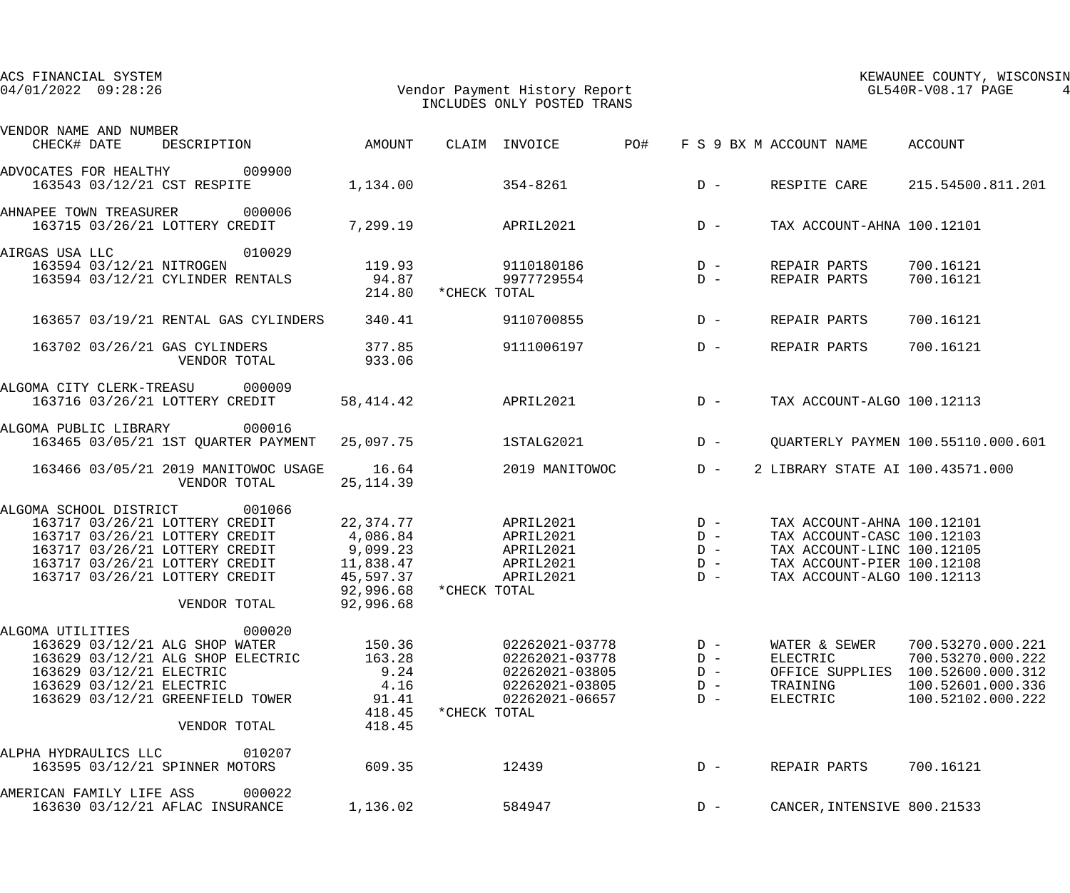| ACS FINANCIAL SYSTEM<br>$04/01/2022$ 09:28:26                                                                                                                                                                              |                                                                                       | Vendor Payment History Report<br>INCLUDES ONLY POSTED TRANS                                            |                                           |                                                                                                                                                    | KEWAUNEE COUNTY, WISCONSIN<br>GL540R-V08.17 PAGE                                                      |
|----------------------------------------------------------------------------------------------------------------------------------------------------------------------------------------------------------------------------|---------------------------------------------------------------------------------------|--------------------------------------------------------------------------------------------------------|-------------------------------------------|----------------------------------------------------------------------------------------------------------------------------------------------------|-------------------------------------------------------------------------------------------------------|
| VENDOR NAME AND NUMBER<br>DESCRIPTION<br>CHECK# DATE                                                                                                                                                                       | AMOUNT                                                                                | CLAIM INVOICE                                                                                          | PO#                                       | F S 9 BX M ACCOUNT NAME                                                                                                                            | ACCOUNT                                                                                               |
| ADVOCATES FOR HEALTHY 009900<br>163543 03/12/21 CST RESPITE                                                                                                                                                                | 1,134.00                                                                              | $354 - 8261$                                                                                           | $D -$                                     | RESPITE CARE                                                                                                                                       | 215.54500.811.201                                                                                     |
| 000006<br>AHNAPEE TOWN TREASURER<br>163715 03/26/21 LOTTERY CREDIT                                                                                                                                                         | 7,299.19                                                                              | APRIL2021                                                                                              | $D -$                                     | TAX ACCOUNT-AHNA 100.12101                                                                                                                         |                                                                                                       |
| 010029<br>AIRGAS USA LLC<br>163594 03/12/21 NITROGEN<br>163594 03/12/21 CYLINDER RENTALS                                                                                                                                   | 119.93<br>94.87<br>214.80                                                             | 9110180186<br>9977729554<br>*CHECK TOTAL                                                               | $D -$<br>$D -$                            | REPAIR PARTS<br>REPAIR PARTS                                                                                                                       | 700.16121<br>700.16121                                                                                |
| 163657 03/19/21 RENTAL GAS CYLINDERS                                                                                                                                                                                       | 340.41                                                                                | 9110700855                                                                                             | $D -$                                     | REPAIR PARTS                                                                                                                                       | 700.16121                                                                                             |
| 163702 03/26/21 GAS CYLINDERS<br>VENDOR TOTAL                                                                                                                                                                              | 377.85<br>933.06                                                                      | 9111006197                                                                                             | $D -$                                     | REPAIR PARTS                                                                                                                                       | 700.16121                                                                                             |
| ALGOMA CITY CLERK-TREASU<br>000009<br>163716 03/26/21 LOTTERY CREDIT                                                                                                                                                       | 58, 414.42                                                                            | APRIL2021                                                                                              | $D -$                                     | TAX ACCOUNT-ALGO 100.12113                                                                                                                         |                                                                                                       |
| 000016<br>ALGOMA PUBLIC LIBRARY<br>163465 03/05/21 1ST QUARTER PAYMENT                                                                                                                                                     | 25,097.75                                                                             | 1STALG2021                                                                                             | $D -$                                     |                                                                                                                                                    | QUARTERLY PAYMEN 100.55110.000.601                                                                    |
| 163466 03/05/21 2019 MANITOWOC USAGE<br>VENDOR TOTAL                                                                                                                                                                       | 16.64<br>25, 114.39                                                                   | 2019 MANITOWOC                                                                                         | $D -$                                     | 2 LIBRARY STATE AI 100.43571.000                                                                                                                   |                                                                                                       |
| ALGOMA SCHOOL DISTRICT<br>001066<br>163717 03/26/21 LOTTERY CREDIT<br>163717 03/26/21 LOTTERY CREDIT<br>163717 03/26/21 LOTTERY CREDIT<br>163717 03/26/21 LOTTERY CREDIT<br>163717 03/26/21 LOTTERY CREDIT<br>VENDOR TOTAL | 22,374.77<br>4,086.84<br>9,099.23<br>11,838.47<br>45,597.37<br>92,996.68<br>92,996.68 | APRIL2021<br>APRIL2021<br>APRIL2021<br>APRIL2021<br>APRIL2021<br>*CHECK TOTAL                          | $D -$<br>$D -$<br>$D -$<br>$D -$<br>$D -$ | TAX ACCOUNT-AHNA 100.12101<br>TAX ACCOUNT-CASC 100.12103<br>TAX ACCOUNT-LINC 100.12105<br>TAX ACCOUNT-PIER 100.12108<br>TAX ACCOUNT-ALGO 100.12113 |                                                                                                       |
| 000020<br>ALGOMA UTILITIES<br>163629 03/12/21 ALG SHOP WATER<br>163629 03/12/21 ALG SHOP ELECTRIC<br>163629 03/12/21 ELECTRIC<br>163629 03/12/21 ELECTRIC<br>163629 03/12/21 GREENFIELD TOWER<br>VENDOR TOTAL              | 150.36<br>163.28<br>9.24<br>4.16<br>91.41<br>418.45<br>418.45                         | 02262021-03778<br>02262021-03778<br>02262021-03805<br>02262021-03805<br>02262021-06657<br>*CHECK TOTAL | $D -$<br>$D -$<br>$D -$<br>$D -$<br>$D -$ | WATER & SEWER<br>ELECTRIC<br>OFFICE SUPPLIES<br>TRAINING<br>ELECTRIC                                                                               | 700.53270.000.221<br>700.53270.000.222<br>100.52600.000.312<br>100.52601.000.336<br>100.52102.000.222 |
| 010207<br>ALPHA HYDRAULICS LLC<br>163595 03/12/21 SPINNER MOTORS                                                                                                                                                           | 609.35                                                                                | 12439                                                                                                  | $D -$                                     | REPAIR PARTS                                                                                                                                       | 700.16121                                                                                             |
| AMERICAN FAMILY LIFE ASS<br>000022<br>163630 03/12/21 AFLAC INSURANCE                                                                                                                                                      | 1,136.02                                                                              | 584947                                                                                                 | $D -$                                     | CANCER, INTENSIVE 800.21533                                                                                                                        |                                                                                                       |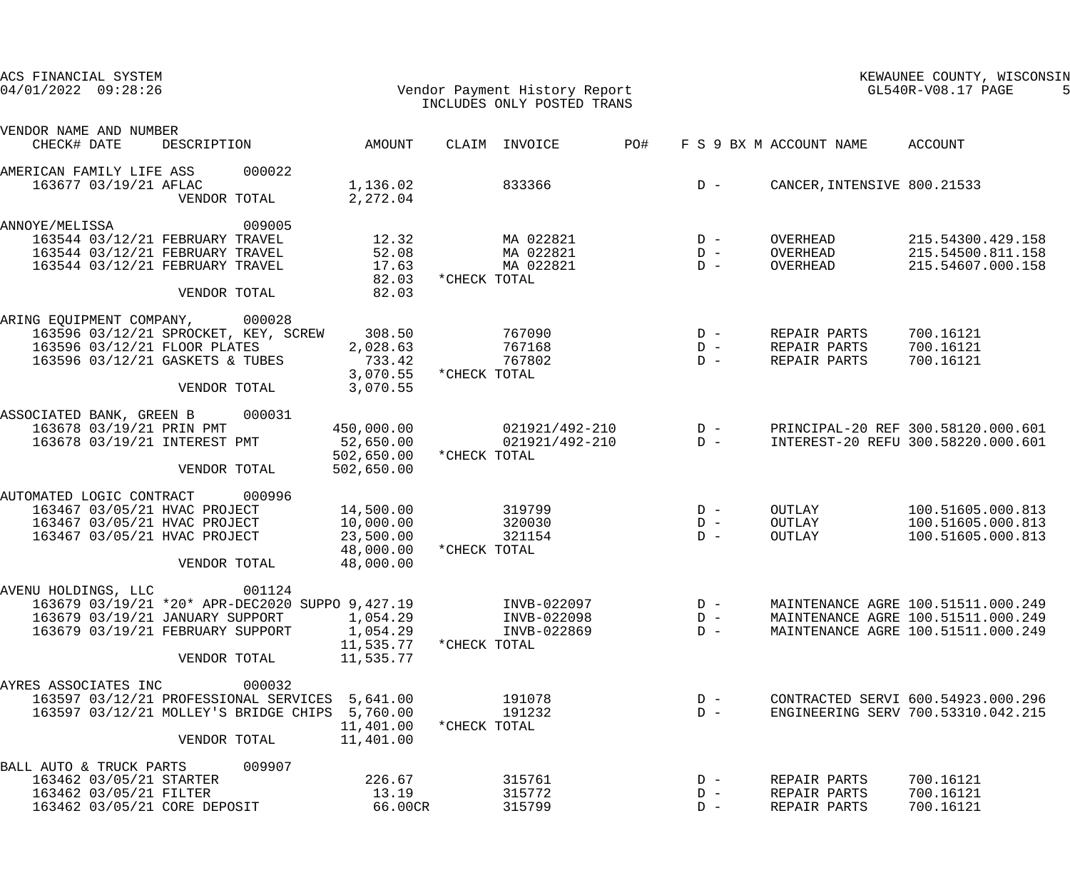| ACS FINANCIAL SYSTEM     |                                                 |        |                                     |                     |                                                             |     |       |                             | KEWAUNEE COUNTY, WISCONSIN         |
|--------------------------|-------------------------------------------------|--------|-------------------------------------|---------------------|-------------------------------------------------------------|-----|-------|-----------------------------|------------------------------------|
| $04/01/2022$ $09:28:26$  |                                                 |        |                                     |                     | Vendor Payment History Report<br>INCLUDES ONLY POSTED TRANS |     |       |                             | GL540R-V08.17 PAGE                 |
|                          |                                                 |        |                                     |                     |                                                             |     |       |                             |                                    |
| VENDOR NAME AND NUMBER   |                                                 |        |                                     |                     |                                                             |     |       |                             |                                    |
| CHECK# DATE              | DESCRIPTION                                     |        | AMOUNT                              |                     | CLAIM INVOICE                                               | PO# |       | F S 9 BX M ACCOUNT NAME     | ACCOUNT                            |
| AMERICAN FAMILY LIFE ASS |                                                 | 000022 |                                     |                     |                                                             |     |       |                             |                                    |
| 163677 03/19/21 AFLAC    |                                                 |        | 1,136.02                            |                     | 833366                                                      |     | $D -$ | CANCER, INTENSIVE 800.21533 |                                    |
|                          | VENDOR TOTAL                                    |        | 2,272.04                            |                     |                                                             |     |       |                             |                                    |
|                          |                                                 | 009005 |                                     |                     |                                                             |     |       |                             |                                    |
| ANNOYE/MELISSA           | 163544 03/12/21 FEBRUARY TRAVEL                 |        | 12.32                               |                     | MA 022821                                                   |     | $D -$ | OVERHEAD                    | 215.54300.429.158                  |
|                          | 163544 03/12/21 FEBRUARY TRAVEL                 |        | 52.08                               |                     | MA 022821                                                   |     | $D -$ | OVERHEAD                    | 215.54500.811.158                  |
|                          | 163544 03/12/21 FEBRUARY TRAVEL                 |        | 17.63                               |                     | MA 022821                                                   |     | $D -$ | OVERHEAD                    | 215.54607.000.158                  |
|                          |                                                 |        |                                     | 82.03 * CHECK TOTAL |                                                             |     |       |                             |                                    |
|                          | VENDOR TOTAL                                    |        | 82.03                               |                     |                                                             |     |       |                             |                                    |
|                          |                                                 |        |                                     |                     |                                                             |     |       |                             |                                    |
| ARING EQUIPMENT COMPANY, |                                                 | 000028 |                                     |                     |                                                             |     |       |                             |                                    |
|                          | 163596 03/12/21 SPROCKET, KEY, SCREW 308.50     |        |                                     |                     | 767090                                                      |     | $D -$ | REPAIR PARTS                | 700.16121                          |
|                          | 163596 03/12/21 FLOOR PLATES                    |        | 2,028.63                            |                     | 767168                                                      |     | $D -$ | REPAIR PARTS                | 700.16121                          |
|                          | 163596 03/12/21 GASKETS & TUBES                 |        | 733.42                              |                     | 767802                                                      |     | $D -$ | REPAIR PARTS                | 700.16121                          |
|                          |                                                 |        | 3,070.55 *CHECK TOTAL               |                     |                                                             |     |       |                             |                                    |
|                          | VENDOR TOTAL                                    |        | 3,070.55                            |                     |                                                             |     |       |                             |                                    |
| ASSOCIATED BANK, GREEN B |                                                 | 000031 |                                     |                     |                                                             |     |       |                             |                                    |
|                          | 163678 03/19/21 PRIN PMT                        |        | 450,000.00                          |                     | 021921/492-210                                              |     | $D -$ |                             | PRINCIPAL-20 REF 300.58120.000.601 |
|                          | 163678 03/19/21 INTEREST PMT                    |        | 52,650.00                           |                     | $021921/492 - 210$ D -                                      |     |       |                             | INTEREST-20 REFU 300.58220.000.601 |
|                          |                                                 |        | 502,650.00 * CHECK TOTAL            |                     |                                                             |     |       |                             |                                    |
|                          | VENDOR TOTAL                                    |        | 502,650.00                          |                     |                                                             |     |       |                             |                                    |
| AUTOMATED LOGIC CONTRACT |                                                 | 000996 |                                     |                     |                                                             |     |       |                             |                                    |
|                          | 163467 03/05/21 HVAC PROJECT                    |        | 14,500.00                           |                     | 319799                                                      |     | $D -$ | OUTLAY                      | 100.51605.000.813                  |
|                          | 163467 03/05/21 HVAC PROJECT                    |        | 10,000.00                           |                     | 320030                                                      |     | $D -$ | OUTLAY                      | 100.51605.000.813                  |
|                          |                                                 |        |                                     |                     | 321154                                                      |     | $D -$ |                             |                                    |
|                          | 163467 03/05/21 HVAC PROJECT                    |        | 23,500.00<br>48,000.00 *CHECK TOTAL |                     |                                                             |     |       | OUTLAY                      | 100.51605.000.813                  |
|                          | VENDOR TOTAL                                    |        | 48,000.00                           |                     |                                                             |     |       |                             |                                    |
|                          |                                                 |        |                                     |                     |                                                             |     |       |                             |                                    |
| AVENU HOLDINGS, LLC      |                                                 | 001124 |                                     |                     |                                                             |     |       |                             |                                    |
|                          | 163679 03/19/21 *20* APR-DEC2020 SUPPO 9,427.19 |        |                                     |                     | INVB-022097                                                 |     | $D -$ |                             | MAINTENANCE AGRE 100.51511.000.249 |
|                          | 163679 03/19/21 JANUARY SUPPORT                 |        | 1,054.29                            |                     | INVB-022098                                                 |     | $D -$ |                             | MAINTENANCE AGRE 100.51511.000.249 |
|                          | 163679 03/19/21 FEBRUARY SUPPORT                |        | 1,054.29                            |                     | INVB-022869                                                 |     | $D -$ |                             | MAINTENANCE AGRE 100.51511.000.249 |
|                          |                                                 |        | 11,535.77 * CHECK TOTAL             |                     |                                                             |     |       |                             |                                    |
|                          | VENDOR TOTAL                                    |        | 11,535.77                           |                     |                                                             |     |       |                             |                                    |
| AYRES ASSOCIATES INC     |                                                 | 000032 |                                     |                     |                                                             |     |       |                             |                                    |
|                          | 163597 03/12/21 PROFESSIONAL SERVICES 5,641.00  |        |                                     |                     | 191078                                                      |     | $D -$ |                             | CONTRACTED SERVI 600.54923.000.296 |
|                          | 163597 03/12/21 MOLLEY'S BRIDGE CHIPS 5,760.00  |        |                                     |                     | 191232                                                      |     | $D -$ |                             | ENGINEERING SERV 700.53310.042.215 |
|                          |                                                 |        | 11,401.00                           | *CHECK TOTAL        |                                                             |     |       |                             |                                    |
|                          | VENDOR TOTAL                                    |        | 11,401.00                           |                     |                                                             |     |       |                             |                                    |
| BALL AUTO & TRUCK PARTS  |                                                 | 009907 |                                     |                     |                                                             |     |       |                             |                                    |
|                          | 163462 03/05/21 STARTER                         |        | 226.67                              |                     | 315761                                                      |     | $D -$ | REPAIR PARTS                | 700.16121                          |
|                          | 163462 03/05/21 FILTER                          |        | 13.19                               |                     | 315772                                                      |     | $D -$ | REPAIR PARTS                | 700.16121                          |
|                          | 163462 03/05/21 CORE DEPOSIT                    |        | 66.00CR                             |                     | 315799                                                      |     | $D -$ | REPAIR PARTS                | 700.16121                          |
|                          |                                                 |        |                                     |                     |                                                             |     |       |                             |                                    |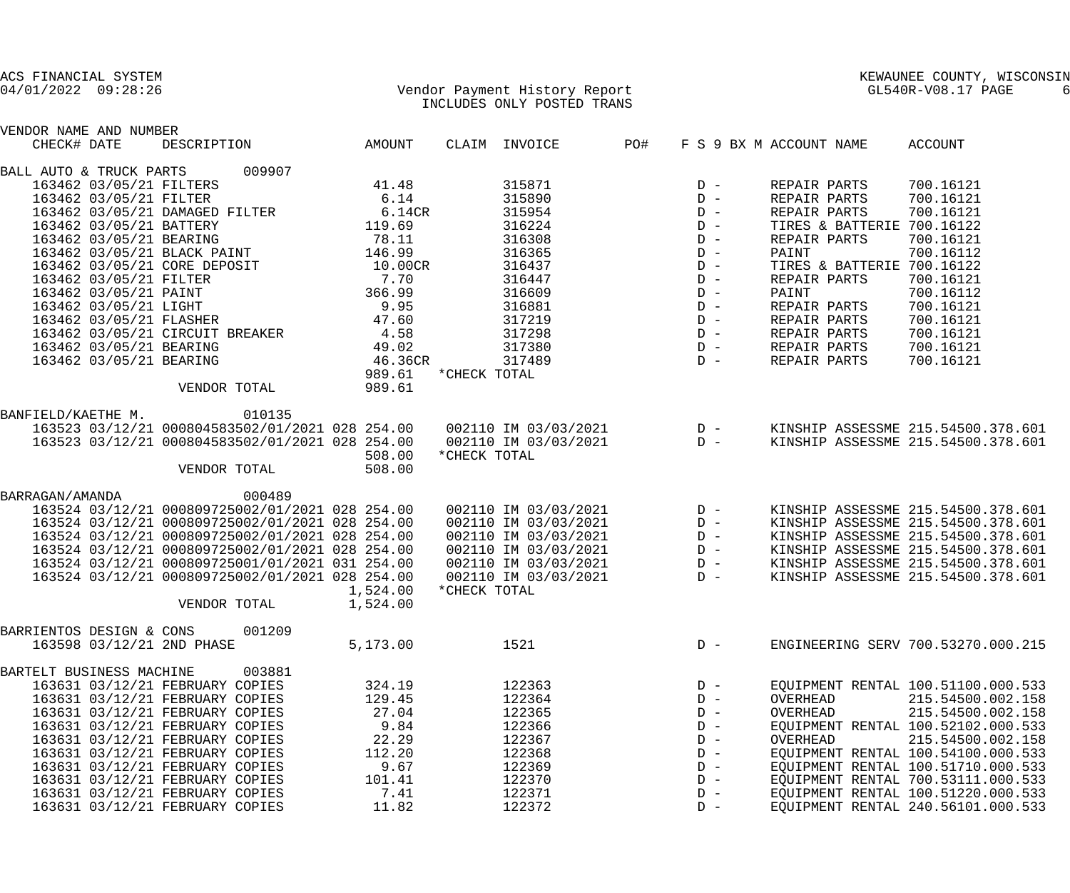| ACS FINANCIAL SYSTEM     |                         |                                                                                                                                                                                                                                                                               |                                                               |              |                                                                                                                                                                                                                                                                                                                                                                                           |            |       |                            | KEWAUNEE COUNTY, WISCONSIN                       |
|--------------------------|-------------------------|-------------------------------------------------------------------------------------------------------------------------------------------------------------------------------------------------------------------------------------------------------------------------------|---------------------------------------------------------------|--------------|-------------------------------------------------------------------------------------------------------------------------------------------------------------------------------------------------------------------------------------------------------------------------------------------------------------------------------------------------------------------------------------------|------------|-------|----------------------------|--------------------------------------------------|
| $04/01/2022$ 09:28:26    |                         | Vendor Payment History Report                                                                                                                                                                                                                                                 |                                                               |              | INCLUDES ONLY POSTED TRANS                                                                                                                                                                                                                                                                                                                                                                |            |       |                            | KEWAUNEE COUNTY, WIS<br>GL540R-V08.17 PAGE<br>-6 |
| VENDOR NAME AND NUMBER   |                         |                                                                                                                                                                                                                                                                               |                                                               |              |                                                                                                                                                                                                                                                                                                                                                                                           |            |       |                            |                                                  |
| CHECK# DATE              |                         | DESCRIPTION AMOUNT                                                                                                                                                                                                                                                            |                                                               |              | CLAIM INVOICE                                                                                                                                                                                                                                                                                                                                                                             | <b>PO#</b> |       | F S 9 BX M ACCOUNT NAME    | ACCOUNT                                          |
|                          |                         | BALL AUTO & TRUCK PARTS 009907                                                                                                                                                                                                                                                |                                                               |              |                                                                                                                                                                                                                                                                                                                                                                                           |            |       |                            |                                                  |
|                          |                         | 163462 03/05/21 FILTERS                                                                                                                                                                                                                                                       | 41.48                                                         |              | 315871                                                                                                                                                                                                                                                                                                                                                                                    |            |       | REPAIR PARTS               | 700.16121                                        |
|                          | 163462 03/05/21 FILTER  |                                                                                                                                                                                                                                                                               | 6.14                                                          |              |                                                                                                                                                                                                                                                                                                                                                                                           |            |       | REPAIR PARTS               | 700.16121                                        |
|                          |                         |                                                                                                                                                                                                                                                                               |                                                               |              |                                                                                                                                                                                                                                                                                                                                                                                           |            |       | REPAIR PARTS               | 700.16121                                        |
|                          |                         | 163462 03/05/21 DAMAGED FILTER 6.14CR<br>163462 03/05/21 BATTERY 19.69                                                                                                                                                                                                        |                                                               |              |                                                                                                                                                                                                                                                                                                                                                                                           |            |       | TIRES & BATTERIE 700.16122 |                                                  |
|                          |                         |                                                                                                                                                                                                                                                                               |                                                               |              |                                                                                                                                                                                                                                                                                                                                                                                           |            |       | REPAIR PARTS               | 700.16121                                        |
|                          |                         | 100702 03/05/21 BEARING<br>163462 03/05/21 BLACK PAINT 146.99<br>163462 03/05/21 CORE DEDOCIT                                                                                                                                                                                 |                                                               |              | $\begin{array}{lllllllllllllll} 315871 & & & & & & & & & & & \\ 315890 & & & & & & & & & & & \\ 315954 & & & & & & & & & & & \\ 316224 & & & & & & & & & & & \\ 316308 & & & & & & & & & & & \\ 316365 & & & & & & & & & & & \\ 316437 & & & & & & & & & & & \\ 316437 & & & & & & & & & & & \\ 316447 & & & & & & & & & & & \\ 316447 & & & & & & & & & & & \\ 316447 & & & & & & & & &$ |            |       | PAINT                      | 700.16112                                        |
|                          |                         | 163462 03/05/21 CORE DEPOSIT 10.00CR                                                                                                                                                                                                                                          |                                                               |              |                                                                                                                                                                                                                                                                                                                                                                                           |            |       | TIRES & BATTERIE 700.16122 |                                                  |
|                          | 163462 03/05/21 FILTER  |                                                                                                                                                                                                                                                                               | $\begin{array}{r} 7.70 \\ 7.70 \\ 366.99 \\ 9.95 \end{array}$ |              |                                                                                                                                                                                                                                                                                                                                                                                           |            |       | REPAIR PARTS               | 700.16121                                        |
|                          |                         | 163462 03/05/21 PAINT                                                                                                                                                                                                                                                         |                                                               |              |                                                                                                                                                                                                                                                                                                                                                                                           |            |       | PAINT                      | 700.16112                                        |
|                          |                         | 163462 03/05/21 LIGHT<br>163462 03/05/21 FLASHER                                                                                                                                                                                                                              |                                                               |              |                                                                                                                                                                                                                                                                                                                                                                                           |            |       | REPAIR PARTS               | 700.16121                                        |
|                          |                         |                                                                                                                                                                                                                                                                               | 47.60                                                         |              |                                                                                                                                                                                                                                                                                                                                                                                           |            |       | REPAIR PARTS               | 700.16121                                        |
|                          |                         | 163462 03/05/21 CIRCUIT BREAKER 4.58                                                                                                                                                                                                                                          |                                                               |              |                                                                                                                                                                                                                                                                                                                                                                                           |            |       | REPAIR PARTS               | 700.16121                                        |
|                          | 163462 03/05/21 BEARING |                                                                                                                                                                                                                                                                               |                                                               |              |                                                                                                                                                                                                                                                                                                                                                                                           |            |       | REPAIR PARTS               | 700.16121                                        |
|                          |                         | 163462 03/05/21 BEARING                                                                                                                                                                                                                                                       | $49.02$<br>$46.36CR$                                          |              |                                                                                                                                                                                                                                                                                                                                                                                           |            |       | REPAIR PARTS               | 700.16121                                        |
|                          |                         |                                                                                                                                                                                                                                                                               | 989.61 *CHECK TOTAL                                           |              |                                                                                                                                                                                                                                                                                                                                                                                           |            |       |                            |                                                  |
|                          |                         | VENDOR TOTAL                                                                                                                                                                                                                                                                  | 989.61                                                        |              |                                                                                                                                                                                                                                                                                                                                                                                           |            |       |                            |                                                  |
|                          |                         | BANFIELD/KAETHE M. 010135                                                                                                                                                                                                                                                     |                                                               |              |                                                                                                                                                                                                                                                                                                                                                                                           |            |       |                            |                                                  |
|                          |                         |                                                                                                                                                                                                                                                                               |                                                               |              |                                                                                                                                                                                                                                                                                                                                                                                           |            |       |                            |                                                  |
|                          |                         |                                                                                                                                                                                                                                                                               |                                                               |              |                                                                                                                                                                                                                                                                                                                                                                                           |            |       |                            |                                                  |
|                          |                         |                                                                                                                                                                                                                                                                               | 508.00                                                        | *CHECK TOTAL |                                                                                                                                                                                                                                                                                                                                                                                           |            |       |                            |                                                  |
|                          |                         | VENDOR TOTAL                                                                                                                                                                                                                                                                  | 508.00                                                        |              |                                                                                                                                                                                                                                                                                                                                                                                           |            |       |                            |                                                  |
| BARRAGAN/AMANDA          |                         | 000489                                                                                                                                                                                                                                                                        |                                                               |              |                                                                                                                                                                                                                                                                                                                                                                                           |            |       |                            |                                                  |
|                          |                         |                                                                                                                                                                                                                                                                               |                                                               |              |                                                                                                                                                                                                                                                                                                                                                                                           |            |       |                            | KINSHIP ASSESSME 215.54500.378.601               |
|                          |                         |                                                                                                                                                                                                                                                                               |                                                               |              |                                                                                                                                                                                                                                                                                                                                                                                           |            |       |                            | KINSHIP ASSESSME 215.54500.378.601               |
|                          |                         | $\begin{array}{cccccc} 163524 & 03/12/21 & 000809725002/01/2021 & 028 & 254.00 & 002110 & \text{IM} & 03/03/2021 & D-\\ 163524 & 03/12/21 & 000809725002/01/2021 & 028 & 254.00 & 002110 & \text{IM} & 03/03/2021 & D-\\ 163524 & 03/12/21 & 000809725002/01/2021 & 028 & 25$ |                                                               |              |                                                                                                                                                                                                                                                                                                                                                                                           |            |       |                            | KINSHIP ASSESSME 215.54500.378.601               |
|                          |                         |                                                                                                                                                                                                                                                                               |                                                               |              |                                                                                                                                                                                                                                                                                                                                                                                           |            |       |                            | KINSHIP ASSESSME 215.54500.378.601               |
|                          |                         |                                                                                                                                                                                                                                                                               |                                                               |              |                                                                                                                                                                                                                                                                                                                                                                                           |            |       |                            | KINSHIP ASSESSME 215.54500.378.601               |
|                          |                         | 163524 03/12/21 000809725002/01/2021 028 254.00                                                                                                                                                                                                                               |                                                               |              | 002110 IM 03/03/2021                                                                                                                                                                                                                                                                                                                                                                      |            | $D -$ |                            | KINSHIP ASSESSME 215.54500.378.601               |
|                          |                         |                                                                                                                                                                                                                                                                               | 1,524.00                                                      | *CHECK TOTAL |                                                                                                                                                                                                                                                                                                                                                                                           |            |       |                            |                                                  |
|                          |                         | VENDOR TOTAL                                                                                                                                                                                                                                                                  | 1,524.00                                                      |              |                                                                                                                                                                                                                                                                                                                                                                                           |            |       |                            |                                                  |
| BARRIENTOS DESIGN & CONS |                         | 001209                                                                                                                                                                                                                                                                        |                                                               |              |                                                                                                                                                                                                                                                                                                                                                                                           |            |       |                            |                                                  |
|                          |                         | 163598 03/12/21 2ND PHASE                                                                                                                                                                                                                                                     | 5,173.00                                                      |              | 1521                                                                                                                                                                                                                                                                                                                                                                                      |            | $D -$ |                            | ENGINEERING SERV 700.53270.000.215               |
| BARTELT BUSINESS MACHINE |                         | 003881                                                                                                                                                                                                                                                                        |                                                               |              |                                                                                                                                                                                                                                                                                                                                                                                           |            |       |                            |                                                  |
|                          |                         | 163631 03/12/21 FEBRUARY COPIES                                                                                                                                                                                                                                               | 324.19                                                        |              | 122363                                                                                                                                                                                                                                                                                                                                                                                    |            | $D -$ |                            | EQUIPMENT RENTAL 100.51100.000.533               |
|                          |                         | 163631 03/12/21 FEBRUARY COPIES                                                                                                                                                                                                                                               | 129.45                                                        |              | 122364                                                                                                                                                                                                                                                                                                                                                                                    |            | $D -$ | OVERHEAD                   | 215.54500.002.158                                |
|                          |                         | 163631 03/12/21 FEBRUARY COPIES                                                                                                                                                                                                                                               | 27.04                                                         |              | 122365                                                                                                                                                                                                                                                                                                                                                                                    |            | $D -$ | OVERHEAD                   | 215.54500.002.158                                |
|                          |                         | 163631 03/12/21 FEBRUARY COPIES                                                                                                                                                                                                                                               | 9.84                                                          |              | 122366                                                                                                                                                                                                                                                                                                                                                                                    |            | $D -$ |                            | EQUIPMENT RENTAL 100.52102.000.533               |
|                          |                         | 163631 03/12/21 FEBRUARY COPIES                                                                                                                                                                                                                                               | 22.29                                                         |              | 122367                                                                                                                                                                                                                                                                                                                                                                                    |            | $D -$ | OVERHEAD                   | 215.54500.002.158                                |
|                          |                         | 163631 03/12/21 FEBRUARY COPIES                                                                                                                                                                                                                                               | 112.20                                                        |              | 122368                                                                                                                                                                                                                                                                                                                                                                                    |            | $D -$ |                            | EQUIPMENT RENTAL 100.54100.000.533               |
|                          |                         | 163631 03/12/21 FEBRUARY COPIES                                                                                                                                                                                                                                               | 9.67                                                          |              | 122369                                                                                                                                                                                                                                                                                                                                                                                    |            | $D -$ |                            | EQUIPMENT RENTAL 100.51710.000.533               |
|                          |                         | 163631 03/12/21 FEBRUARY COPIES                                                                                                                                                                                                                                               | 101.41                                                        |              | 122370                                                                                                                                                                                                                                                                                                                                                                                    |            | $D -$ |                            | EQUIPMENT RENTAL 700.53111.000.533               |
|                          |                         | 163631 03/12/21 FEBRUARY COPIES                                                                                                                                                                                                                                               | 7.41                                                          |              | 122371                                                                                                                                                                                                                                                                                                                                                                                    |            | $D -$ |                            | EQUIPMENT RENTAL 100.51220.000.533               |

163631 03/12/21 FEBRUARY COPIES 11.82 122372 D - EQUIPMENT RENTAL 240.56101.000.533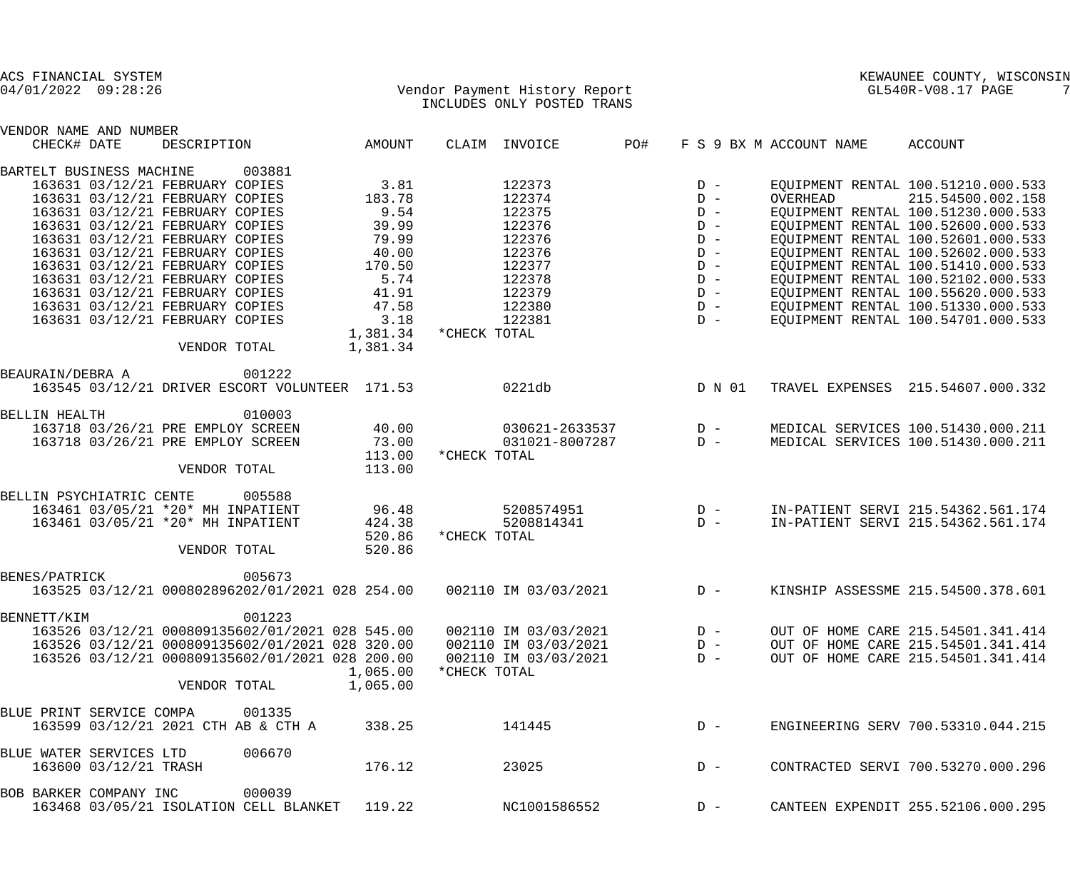| ACS FINANCIAL SYSTEM<br>$04/01/2022$ 09:28:26    | Vendor Payment History Report<br>INCLUDES ONLY POSTED TRANS | KEWAUNEE COUNTY, WISCONSIN<br>GL540R-V08.17 PAGE<br>7 |  |  |
|--------------------------------------------------|-------------------------------------------------------------|-------------------------------------------------------|--|--|
| VENDOR NAME AND NUMBER                           |                                                             |                                                       |  |  |
| CHECK# DATE<br>DESCRIPTION<br>AMOUNT             | PO#<br>CLAIM INVOICE<br>F S 9 BX M ACCOUNT NAME             | ACCOUNT                                               |  |  |
| BARTELT BUSINESS MACHINE<br>003881               |                                                             |                                                       |  |  |
| 163631 03/12/21 FEBRUARY COPIES                  | 3.81<br>122373<br>$D -$                                     | EQUIPMENT RENTAL 100.51210.000.533                    |  |  |
| 183.78<br>163631 03/12/21 FEBRUARY COPIES        | 122374<br>$D -$<br>OVERHEAD                                 | 215.54500.002.158                                     |  |  |
| 9.54<br>163631 03/12/21 FEBRUARY COPIES          | 122375<br>$D -$                                             | EQUIPMENT RENTAL 100.51230.000.533                    |  |  |
| 163631 03/12/21 FEBRUARY COPIES                  | 122376<br>39.99<br>$D -$                                    | EQUIPMENT RENTAL 100.52600.000.533                    |  |  |
| 163631 03/12/21 FEBRUARY COPIES                  | 79.99<br>122376<br>$D -$                                    | EQUIPMENT RENTAL 100.52601.000.533                    |  |  |
| 163631 03/12/21 FEBRUARY COPIES                  | 40.00<br>122376<br>$D -$                                    | EQUIPMENT RENTAL 100.52602.000.533                    |  |  |
| 170.50<br>163631 03/12/21 FEBRUARY COPIES        | 122377<br>$D -$                                             | EQUIPMENT RENTAL 100.51410.000.533                    |  |  |
| 163631 03/12/21 FEBRUARY COPIES                  | 5.74<br>122378<br>$D -$                                     | EQUIPMENT RENTAL 100.52102.000.533                    |  |  |
| 163631 03/12/21 FEBRUARY COPIES                  | 41.91<br>122379<br>$D -$                                    | EQUIPMENT RENTAL 100.55620.000.533                    |  |  |
| 47.58<br>163631 03/12/21 FEBRUARY COPIES         | 122380<br>$D -$                                             | EQUIPMENT RENTAL 100.51330.000.533                    |  |  |
| 163631 03/12/21 FEBRUARY COPIES                  | 3.18<br>122381<br>$D -$                                     | EQUIPMENT RENTAL 100.54701.000.533                    |  |  |
| 1,381.34                                         | *CHECK TOTAL                                                |                                                       |  |  |
| VENDOR TOTAL<br>1,381.34                         |                                                             |                                                       |  |  |
| 001222<br>BEAURAIN/DEBRA A                       |                                                             |                                                       |  |  |
| 163545 03/12/21 DRIVER ESCORT VOLUNTEER 171.53   | 0221db<br>D N 01                                            | TRAVEL EXPENSES 215.54607.000.332                     |  |  |
|                                                  |                                                             |                                                       |  |  |
| 010003<br><b>BELLIN HEALTH</b>                   |                                                             |                                                       |  |  |
| 163718 03/26/21 PRE EMPLOY SCREEN<br>40.00       | $030621 - 2633537$ D -                                      | MEDICAL SERVICES 100.51430.000.211                    |  |  |
| 73.00<br>163718 03/26/21 PRE EMPLOY SCREEN       | $D -$<br>031021-8007287                                     | MEDICAL SERVICES 100.51430.000.211                    |  |  |
| 113.00                                           | *CHECK TOTAL                                                |                                                       |  |  |
| VENDOR TOTAL<br>113.00                           |                                                             |                                                       |  |  |
| BELLIN PSYCHIATRIC CENTE<br>005588               |                                                             |                                                       |  |  |
| 163461 03/05/21 *20* MH INPATIENT                | 96.48<br>5208574951<br>$D -$                                | IN-PATIENT SERVI 215.54362.561.174                    |  |  |
| 424.38<br>163461 03/05/21 *20* MH INPATIENT      | 5208814341<br>$D -$                                         | IN-PATIENT SERVI 215.54362.561.174                    |  |  |
| 520.86                                           | *CHECK TOTAL                                                |                                                       |  |  |
| 520.86<br>VENDOR TOTAL                           |                                                             |                                                       |  |  |
| 005673<br>BENES/PATRICK                          |                                                             |                                                       |  |  |
| 163525 03/12/21 000802896202/01/2021 028 254.00  | $D -$<br>002110 IM 03/03/2021                               | KINSHIP ASSESSME 215.54500.378.601                    |  |  |
|                                                  |                                                             |                                                       |  |  |
| 001223<br>BENNETT/KIM                            |                                                             |                                                       |  |  |
| 163526 03/12/21 000809135602/01/2021 028 545.00  | 002110 IM 03/03/2021<br>$D -$                               | OUT OF HOME CARE 215.54501.341.414                    |  |  |
| 163526 03/12/21 000809135602/01/2021 028 320.00  | 002110 IM 03/03/2021<br>$D -$                               | OUT OF HOME CARE 215.54501.341.414                    |  |  |
| 163526 03/12/21 000809135602/01/2021 028 200.00  | 002110 IM 03/03/2021<br>$D -$                               | OUT OF HOME CARE 215.54501.341.414                    |  |  |
| 1,065.00                                         | *CHECK TOTAL                                                |                                                       |  |  |
| VENDOR TOTAL<br>1,065.00                         |                                                             |                                                       |  |  |
| BLUE PRINT SERVICE COMPA<br>001335               |                                                             |                                                       |  |  |
| 163599 03/12/21 2021 CTH AB & CTH A<br>338.25    | 141445<br>$D -$                                             | ENGINEERING SERV 700.53310.044.215                    |  |  |
|                                                  |                                                             |                                                       |  |  |
| 006670<br>BLUE WATER SERVICES LTD                |                                                             |                                                       |  |  |
| 163600 03/12/21 TRASH<br>176.12                  | 23025<br>$D -$                                              | CONTRACTED SERVI 700.53270.000.296                    |  |  |
| 000039<br>BOB BARKER COMPANY INC                 |                                                             |                                                       |  |  |
| 163468 03/05/21 ISOLATION CELL BLANKET<br>119.22 | NC1001586552<br>$D -$                                       | CANTEEN EXPENDIT 255.52106.000.295                    |  |  |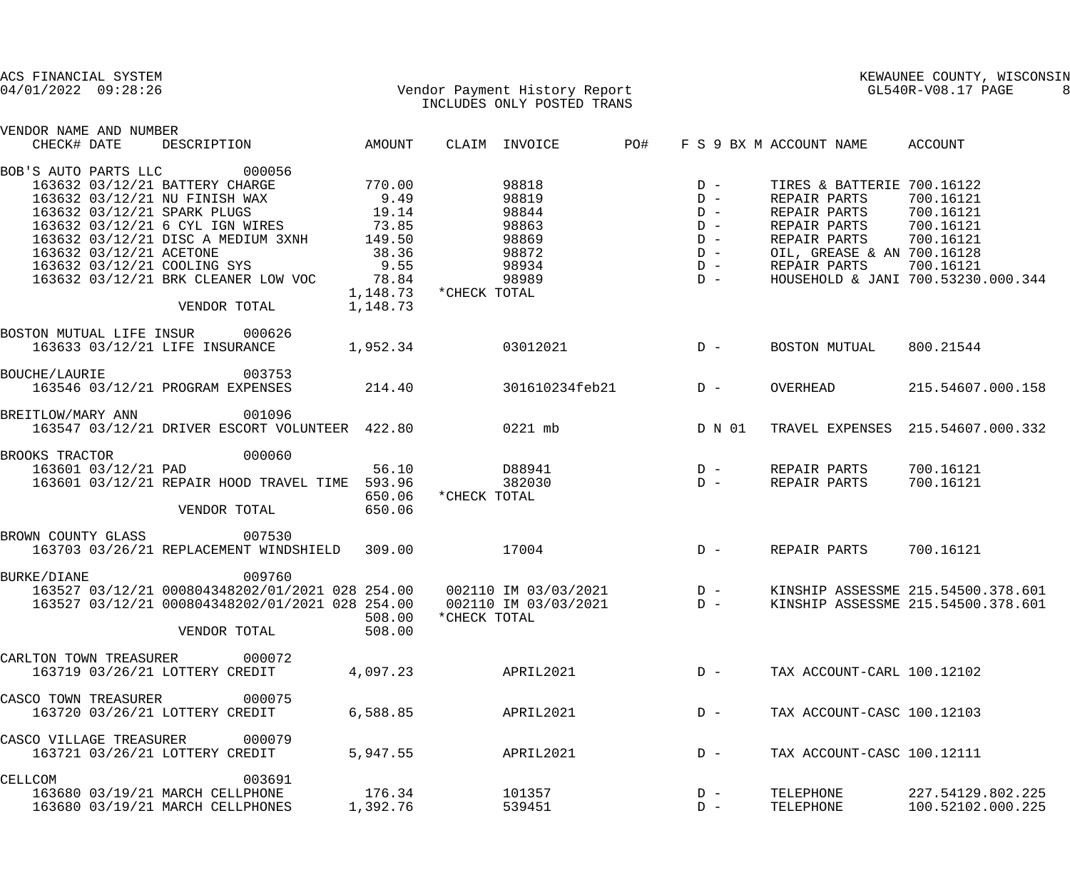| ACS FINANCIAL SYSTEM<br>$04/01/2022$ 09:28:26 |                         | Vendor Payment History Report<br>INCLUDES ONLY POSTED TRANS |                       |              |                          |     |                                         | KEWAUNEE COUNTY, WIS<br>GL540R-V08.17 PAGE | KEWAUNEE COUNTY, WISCONSIN         |
|-----------------------------------------------|-------------------------|-------------------------------------------------------------|-----------------------|--------------|--------------------------|-----|-----------------------------------------|--------------------------------------------|------------------------------------|
| VENDOR NAME AND NUMBER<br>CHECK# DATE         |                         | DESCRIPTION AMOUNT                                          |                       |              | CLAIM INVOICE            | PO# |                                         | F S 9 BX M ACCOUNT NAME ACCOUNT            |                                    |
| BOB'S AUTO PARTS LLC                          |                         | 000056                                                      |                       |              |                          |     |                                         |                                            |                                    |
|                                               |                         | 163632 03/12/21 BATTERY CHARGE                              | $770.00$<br>9.49      |              | 98818                    |     |                                         | TIRES & BATTERIE 700.16122                 |                                    |
|                                               |                         | 163632 03/12/21 NU FINISH WAX                               |                       |              | 98819                    |     |                                         | REPAIR PARTS                               | 700.16121                          |
|                                               |                         | 163632 03/12/21 SPARK PLUGS                                 | 19.14                 |              | 98844                    |     |                                         | REPAIR PARTS                               | 700.16121                          |
|                                               |                         | 163632 03/12/21 6 CYL IGN WIRES 73.85                       |                       |              | 98863                    |     |                                         | REPAIR PARTS 700.16121                     |                                    |
|                                               |                         | 163632 03/12/21 DISC A MEDIUM 3XNH 149.50                   |                       |              | 98869                    |     |                                         | REPAIR PARTS 700.16121                     |                                    |
|                                               | 163632 03/12/21 ACETONE |                                                             | 38.36                 |              | 98872                    |     |                                         | OIL, GREASE & AN 700.16128                 |                                    |
|                                               |                         | 163632 03/12/21 COOLING SYS                                 | 9.55                  |              | 98934                    |     |                                         | REPAIR PARTS                               | 700.16121                          |
|                                               |                         | 163632 03/12/21 BRK CLEANER LOW VOC                         | 78.84                 |              | 98989                    |     |                                         |                                            | HOUSEHOLD & JANI 700.53230.000.344 |
|                                               |                         |                                                             | 1,148.73 *CHECK TOTAL |              |                          |     |                                         |                                            |                                    |
|                                               |                         | VENDOR TOTAL                                                | 1,148.73              |              |                          |     |                                         |                                            |                                    |
|                                               |                         | BOSTON MUTUAL LIFE INSUR 000626                             |                       |              |                          |     |                                         |                                            |                                    |
|                                               |                         | 163633 03/12/21 LIFE INSURANCE 1,952.34                     |                       |              | 03012021                 |     | $D -$                                   | BOSTON MUTUAL                              | 800.21544                          |
| <b>BOUCHE/LAURIE</b>                          |                         | 003753                                                      |                       |              |                          |     |                                         |                                            |                                    |
|                                               |                         | 163546 03/12/21 PROGRAM EXPENSES                            |                       |              | 214.40 301610234feb21 D- |     |                                         | OVERHEAD                                   | 215.54607.000.158                  |
|                                               |                         | BREITLOW/MARY ANN 001096                                    |                       |              |                          |     |                                         |                                            |                                    |
|                                               |                         | 163547 03/12/21 DRIVER ESCORT VOLUNTEER 422.80 0221 mb      |                       |              |                          |     | D N 01                                  |                                            | TRAVEL EXPENSES 215.54607.000.332  |
| BROOKS TRACTOR                                |                         | 000060                                                      |                       |              |                          |     |                                         |                                            |                                    |
|                                               | 163601 03/12/21 PAD     |                                                             | 56.10                 |              | D88941                   |     | $\begin{array}{c}\nD \\ D\n\end{array}$ | REPAIR PARTS                               | 700.16121                          |
|                                               |                         | 163601 03/12/21 REPAIR HOOD TRAVEL TIME 593.96              | 650.06                | *CHECK TOTAL | 382030                   |     | $D -$                                   | REPAIR PARTS                               | 700.16121                          |
|                                               |                         | VENDOR TOTAL                                                | 650.06                |              |                          |     |                                         |                                            |                                    |
|                                               |                         | BROWN COUNTY GLASS 007530                                   |                       |              |                          |     |                                         |                                            |                                    |
|                                               |                         | 163703 03/26/21 REPLACEMENT WINDSHIELD 309.00               |                       | 17004        |                          |     | $D -$                                   | REPAIR PARTS                               | 700.16121                          |
| <b>BURKE/DIANE</b>                            |                         | 009760                                                      |                       |              |                          |     |                                         |                                            |                                    |
|                                               |                         | 163527 03/12/21 000804348202/01/2021 028 254.00             |                       |              | 002110 IM 03/03/2021     |     | $D -$                                   |                                            | KINSHIP ASSESSME 215.54500.378.601 |
|                                               |                         | 163527 03/12/21 000804348202/01/2021 028 254.00             |                       |              | 002110 IM 03/03/2021     |     | $D -$                                   |                                            | KINSHIP ASSESSME 215.54500.378.601 |
|                                               |                         | VENDOR TOTAL                                                | 508.00<br>508.00      | *CHECK TOTAL |                          |     |                                         |                                            |                                    |
| CARLTON TOWN TREASURER                        |                         | 000072                                                      |                       |              |                          |     |                                         |                                            |                                    |
|                                               |                         | 163719 03/26/21 LOTTERY CREDIT                              | 4,097.23              |              | APRIL2021                |     | $D -$                                   | TAX ACCOUNT-CARL 100.12102                 |                                    |
|                                               |                         |                                                             |                       |              |                          |     |                                         |                                            |                                    |
| CASCO TOWN TREASURER                          |                         | 000075                                                      |                       |              |                          |     |                                         |                                            |                                    |
|                                               |                         | 163720 03/26/21 LOTTERY CREDIT                              | 6,588.85              |              | APRIL2021                |     | $D -$                                   | TAX ACCOUNT-CASC 100.12103                 |                                    |
| CASCO VILLAGE TREASURER                       |                         | 000079                                                      |                       |              |                          |     |                                         |                                            |                                    |
|                                               |                         | 163721 03/26/21 LOTTERY CREDIT                              | 5,947.55              |              | APRIL2021                |     | $D -$                                   | TAX ACCOUNT-CASC 100.12111                 |                                    |
| CELLCOM                                       |                         | 003691                                                      |                       |              |                          |     |                                         |                                            |                                    |
|                                               |                         | 163680 03/19/21 MARCH CELLPHONE                             | 176.34                |              | 101357                   |     | $D -$                                   | TELEPHONE                                  | 227.54129.802.225                  |
|                                               |                         | 163680 03/19/21 MARCH CELLPHONES                            | 1,392.76              |              | 539451                   |     | $D -$                                   | TELEPHONE                                  | 100.52102.000.225                  |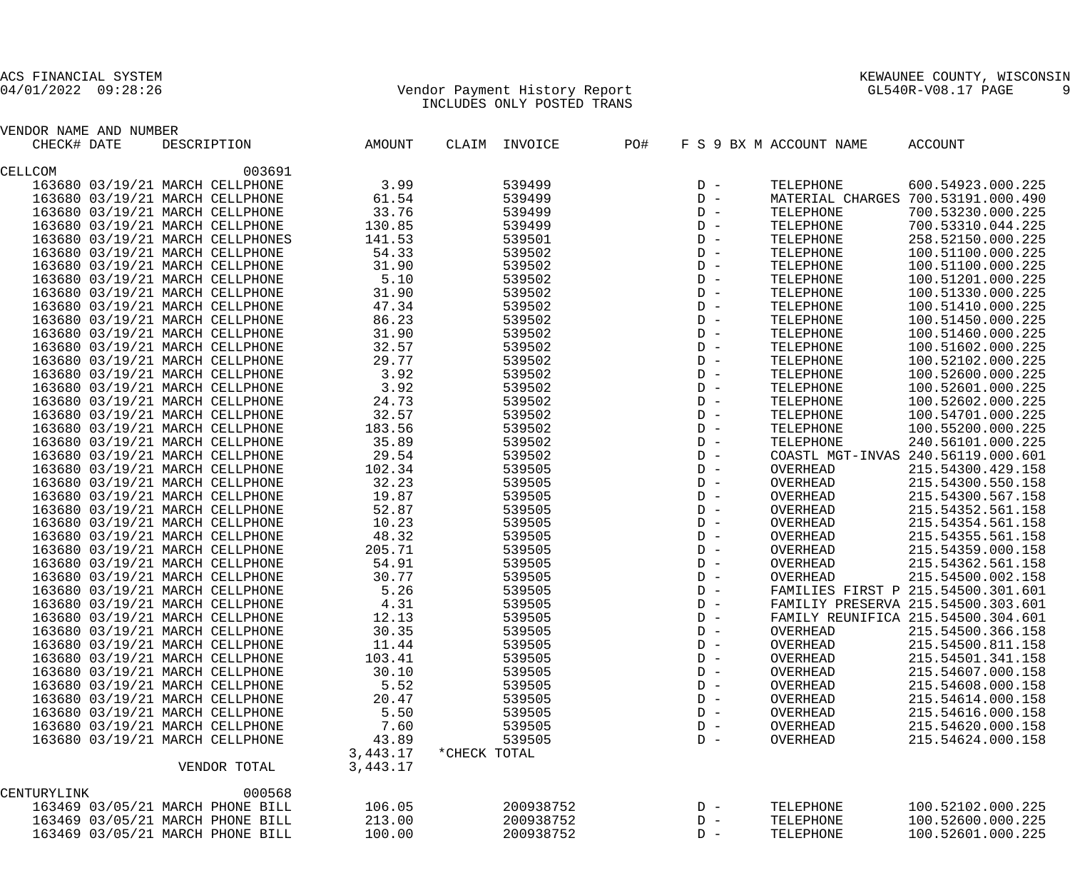## 04/01/2022 09:28:26 Vendor Payment History Report GL540R-V08.17 PAGE 9 INCLUDES ONLY POSTED TRANS

| VENDOR NAME AND NUMBER |                                  |                      |               |       |                         |                                |
|------------------------|----------------------------------|----------------------|---------------|-------|-------------------------|--------------------------------|
| CHECK# DATE            | DESCRIPTION AMOUNT               |                      | CLAIM INVOICE | PO#   | F S 9 BX M ACCOUNT NAME | ACCOUNT                        |
| CELLCOM                | 003691                           |                      |               |       |                         |                                |
|                        | 163680 03/19/21 MARCH CELLPHONE  | 3.99                 |               |       |                         |                                |
|                        | 163680 03/19/21 MARCH CELLPHONE  | 61.54                |               |       |                         |                                |
|                        | 163680 03/19/21 MARCH CELLPHONE  | 33.76                |               |       |                         |                                |
|                        | 163680 03/19/21 MARCH CELLPHONE  | 130.85               |               |       |                         |                                |
|                        | 163680 03/19/21 MARCH CELLPHONES | 141.53               |               |       |                         |                                |
|                        | 163680 03/19/21 MARCH CELLPHONE  | 54.33                |               |       |                         |                                |
|                        | 163680 03/19/21 MARCH CELLPHONE  | 31.90                |               |       |                         |                                |
|                        | 163680 03/19/21 MARCH CELLPHONE  | 5.10                 |               |       |                         |                                |
|                        | 163680 03/19/21 MARCH CELLPHONE  | 31.90                |               |       |                         |                                |
|                        | 163680 03/19/21 MARCH CELLPHONE  | 47.34                |               |       |                         |                                |
|                        | 163680 03/19/21 MARCH CELLPHONE  | 86.23                |               |       |                         |                                |
|                        | 163680 03/19/21 MARCH CELLPHONE  | 31.90                |               |       |                         |                                |
|                        | 163680 03/19/21 MARCH CELLPHONE  | 32.57                |               |       |                         |                                |
|                        | 163680 03/19/21 MARCH CELLPHONE  | 29.77                |               |       |                         |                                |
|                        | 163680 03/19/21 MARCH CELLPHONE  | 3.92                 |               |       |                         |                                |
|                        | 163680 03/19/21 MARCH CELLPHONE  | 3.92                 |               |       |                         |                                |
|                        | 163680 03/19/21 MARCH CELLPHONE  | 24.73                |               |       |                         |                                |
|                        | 163680 03/19/21 MARCH CELLPHONE  | 32.57                |               |       |                         |                                |
|                        | 163680 03/19/21 MARCH CELLPHONE  | 183.56               |               |       |                         |                                |
|                        | 163680 03/19/21 MARCH CELLPHONE  | 35.89                |               |       |                         |                                |
|                        | 163680 03/19/21 MARCH CELLPHONE  | 29.54                |               |       |                         |                                |
|                        | 163680 03/19/21 MARCH CELLPHONE  | 102.34               |               |       |                         |                                |
|                        | 163680 03/19/21 MARCH CELLPHONE  | 32.23                |               |       |                         |                                |
|                        | 163680 03/19/21 MARCH CELLPHONE  | 19.87                |               |       |                         |                                |
|                        | 163680 03/19/21 MARCH CELLPHONE  | 52.87                |               |       |                         |                                |
|                        | 163680 03/19/21 MARCH CELLPHONE  | 10.23                |               |       |                         |                                |
|                        | 163680 03/19/21 MARCH CELLPHONE  | 48.32                |               |       |                         |                                |
|                        | 163680 03/19/21 MARCH CELLPHONE  | 205.71               |               |       |                         |                                |
|                        | 163680 03/19/21 MARCH CELLPHONE  | 54.91                |               |       |                         |                                |
|                        | 163680 03/19/21 MARCH CELLPHONE  | 30.77                |               |       |                         |                                |
|                        | 163680 03/19/21 MARCH CELLPHONE  | 5.26                 |               |       |                         |                                |
|                        | 163680 03/19/21 MARCH CELLPHONE  | 4.31                 |               |       |                         |                                |
|                        | 163680 03/19/21 MARCH CELLPHONE  | 12.13                |               |       |                         |                                |
|                        | 163680 03/19/21 MARCH CELLPHONE  | 30.35                |               |       |                         | D - OVERHEAD 215.54500.366.158 |
|                        | 163680 03/19/21 MARCH CELLPHONE  | 11.44                | 539505        | $D -$ | OVERHEAD                | 215.54500.811.158              |
|                        | 163680 03/19/21 MARCH CELLPHONE  | 103.41               | 539505        | $D -$ | OVERHEAD                | 215.54501.341.158              |
|                        | 163680 03/19/21 MARCH CELLPHONE  | 30.10                | 539505        | $D -$ | OVERHEAD                | 215.54607.000.158              |
|                        | 163680 03/19/21 MARCH CELLPHONE  | 5.52                 | 539505        | $D -$ | OVERHEAD                | 215.54608.000.158              |
|                        | 163680 03/19/21 MARCH CELLPHONE  | 20.47                | 539505        | $D -$ | OVERHEAD                | 215.54614.000.158              |
|                        | 163680 03/19/21 MARCH CELLPHONE  | 5.50                 | 539505        | $D -$ | OVERHEAD                | 215.54616.000.158              |
|                        | 163680 03/19/21 MARCH CELLPHONE  | 7.60                 | 539505        | $D -$ | OVERHEAD                | 215.54620.000.158              |
|                        | 163680 03/19/21 MARCH CELLPHONE  | 43.89                | 539505        | $D -$ | OVERHEAD                | 215.54624.000.158              |
|                        | VENDOR TOTAL                     | 3,443.17<br>3,443.17 | *CHECK TOTAL  |       |                         |                                |
|                        |                                  |                      |               |       |                         |                                |
| CENTURYLINK            | 000568                           |                      |               |       |                         |                                |
|                        | 163469 03/05/21 MARCH PHONE BILL | 106.05               | 200938752     | $D -$ | TELEPHONE               | 100.52102.000.225              |
|                        | 163469 03/05/21 MARCH PHONE BILL | 213.00               | 200938752     | $D -$ | TELEPHONE               | 100.52600.000.225              |
|                        | 163469 03/05/21 MARCH PHONE BILL | 100.00               | 200938752     | $D -$ | TELEPHONE               | 100.52601.000.225              |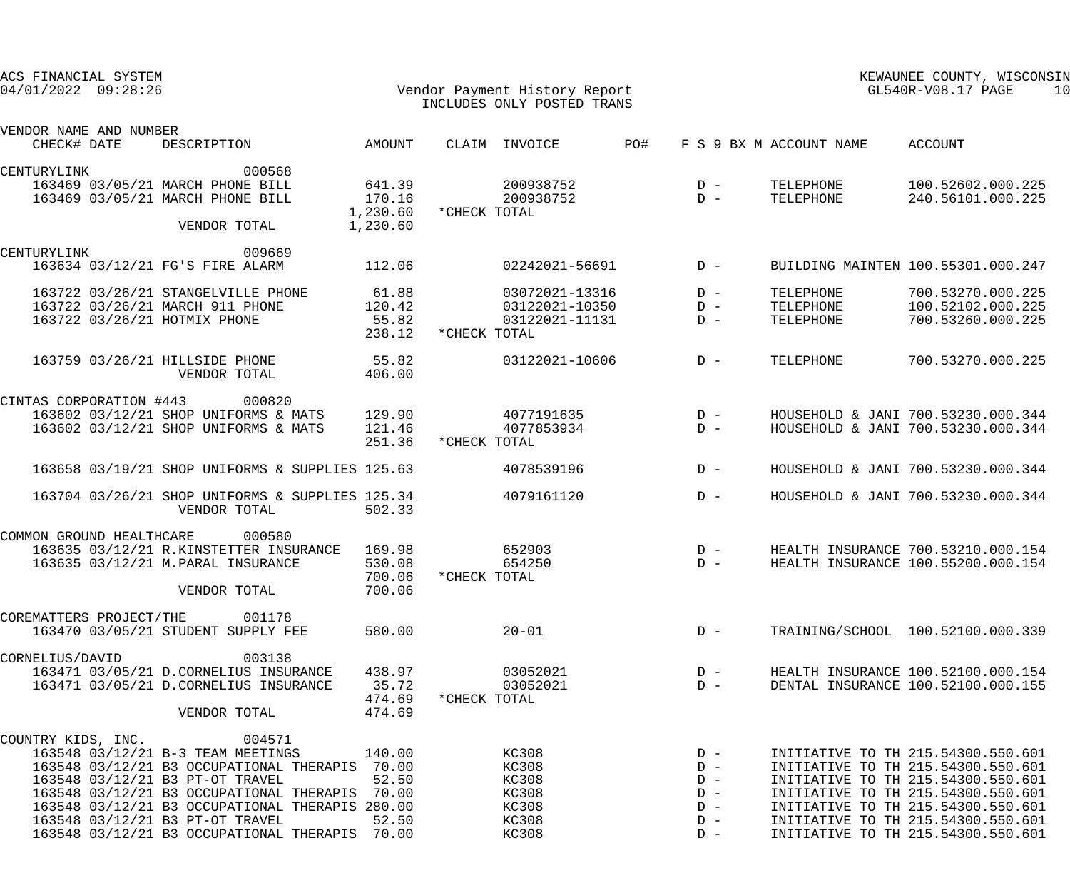| ACS FINANCIAL SYSTEM<br>$04/01/2022$ $09:28:26$<br>Vendor Payment History Report<br>INCLUDES ONLY POSTED TRANS |  |                                                                                                                                                                                                                                                                                                                                         |                                     |              |                                                             | KEWAUNEE COUNTY, WISCONSIN<br>$GL540R-\mathrm{V08.17}$ PAGE<br>10 |                                                             |                                     |                                                                                                                                                                                                                                                                        |  |
|----------------------------------------------------------------------------------------------------------------|--|-----------------------------------------------------------------------------------------------------------------------------------------------------------------------------------------------------------------------------------------------------------------------------------------------------------------------------------------|-------------------------------------|--------------|-------------------------------------------------------------|-------------------------------------------------------------------|-------------------------------------------------------------|-------------------------------------|------------------------------------------------------------------------------------------------------------------------------------------------------------------------------------------------------------------------------------------------------------------------|--|
| VENDOR NAME AND NUMBER                                                                                         |  |                                                                                                                                                                                                                                                                                                                                         |                                     |              |                                                             |                                                                   |                                                             |                                     |                                                                                                                                                                                                                                                                        |  |
| CHECK# DATE                                                                                                    |  | AMOUNT<br>DESCRIPTION                                                                                                                                                                                                                                                                                                                   |                                     |              | CLAIM INVOICE                                               | PO#                                                               |                                                             | F S 9 BX M ACCOUNT NAME             | ACCOUNT                                                                                                                                                                                                                                                                |  |
| CENTURYLINK                                                                                                    |  | 000568<br>163469 03/05/21 MARCH PHONE BILL<br>163469 03/05/21 MARCH PHONE BILL                                                                                                                                                                                                                                                          | 641.39<br>170.16<br>1,230.60        | *CHECK TOTAL | 200938752<br>200938752                                      |                                                                   | $D -$<br>$D -$                                              | TELEPHONE<br>TELEPHONE              | 100.52602.000.225<br>240.56101.000.225                                                                                                                                                                                                                                 |  |
|                                                                                                                |  | VENDOR TOTAL                                                                                                                                                                                                                                                                                                                            | 1,230.60                            |              |                                                             |                                                                   |                                                             |                                     |                                                                                                                                                                                                                                                                        |  |
| CENTURYLINK                                                                                                    |  | 009669<br>163634 03/12/21 FG'S FIRE ALARM                                                                                                                                                                                                                                                                                               | 112.06                              |              | 02242021-56691                                              |                                                                   | $D -$                                                       |                                     | BUILDING MAINTEN 100.55301.000.247                                                                                                                                                                                                                                     |  |
|                                                                                                                |  | 163722 03/26/21 STANGELVILLE PHONE<br>163722 03/26/21 MARCH 911 PHONE<br>163722 03/26/21 HOTMIX PHONE                                                                                                                                                                                                                                   | 61.88<br>120.42<br>55.82<br>238.12  | *CHECK TOTAL | 03072021-13316<br>03122021-10350<br>03122021-11131          |                                                                   | $D -$<br>$D -$<br>$D -$                                     | TELEPHONE<br>TELEPHONE<br>TELEPHONE | 700.53270.000.225<br>100.52102.000.225<br>700.53260.000.225                                                                                                                                                                                                            |  |
|                                                                                                                |  | 55.82<br>163759 03/26/21 HILLSIDE PHONE<br>VENDOR TOTAL                                                                                                                                                                                                                                                                                 | 406.00                              |              | 03122021-10606                                              |                                                                   | $D -$                                                       | TELEPHONE                           | 700.53270.000.225                                                                                                                                                                                                                                                      |  |
| CINTAS CORPORATION #443                                                                                        |  | 000820<br>163602 03/12/21 SHOP UNIFORMS & MATS 129.90<br>163602 03/12/21 SHOP UNIFORMS & MATS                                                                                                                                                                                                                                           | 121.46                              |              | 4077191635<br>4077853934                                    |                                                                   | $D -$<br>$D -$                                              |                                     | HOUSEHOLD & JANI 700.53230.000.344<br>HOUSEHOLD & JANI 700.53230.000.344                                                                                                                                                                                               |  |
|                                                                                                                |  | 163658 03/19/21 SHOP UNIFORMS & SUPPLIES 125.63                                                                                                                                                                                                                                                                                         | 251.36                              | *CHECK TOTAL | 4078539196                                                  |                                                                   | $D -$                                                       |                                     | HOUSEHOLD & JANI 700.53230.000.344                                                                                                                                                                                                                                     |  |
|                                                                                                                |  | 163704 03/26/21 SHOP UNIFORMS & SUPPLIES 125.34<br>VENDOR TOTAL                                                                                                                                                                                                                                                                         | 502.33                              |              | 4079161120                                                  |                                                                   | $D -$                                                       |                                     | HOUSEHOLD & JANI 700.53230.000.344                                                                                                                                                                                                                                     |  |
| COMMON GROUND HEALTHCARE                                                                                       |  | 000580<br>163635 03/12/21 R.KINSTETTER INSURANCE 169.98<br>163635 03/12/21 M. PARAL INSURANCE<br>VENDOR TOTAL                                                                                                                                                                                                                           | 530.08<br>700.06<br>700.06          | *CHECK TOTAL | 652903<br>654250                                            |                                                                   | $D -$<br>$D -$                                              |                                     | HEALTH INSURANCE 700.53210.000.154<br>HEALTH INSURANCE 100.55200.000.154                                                                                                                                                                                               |  |
| COREMATTERS PROJECT/THE                                                                                        |  | 001178<br>163470 03/05/21 STUDENT SUPPLY FEE                                                                                                                                                                                                                                                                                            | 580.00                              |              | $20 - 01$                                                   |                                                                   | $D -$                                                       |                                     | TRAINING/SCHOOL 100.52100.000.339                                                                                                                                                                                                                                      |  |
| CORNELIUS/DAVID                                                                                                |  | 003138<br>163471 03/05/21 D.CORNELIUS INSURANCE<br>163471 03/05/21 D.CORNELIUS INSURANCE<br>VENDOR TOTAL                                                                                                                                                                                                                                | 438.97<br>35.72<br>474.69<br>474.69 | *CHECK TOTAL | 03052021<br>03052021                                        |                                                                   | $D -$<br>$D -$                                              |                                     | HEALTH INSURANCE 100.52100.000.154<br>DENTAL INSURANCE 100.52100.000.155                                                                                                                                                                                               |  |
|                                                                                                                |  | COUNTRY KIDS, INC. 004571<br>163548 03/12/21 B-3 TEAM MEETINGS<br>163548 03/12/21 B3 OCCUPATIONAL THERAPIS 70.00<br>163548 03/12/21 B3 PT-OT TRAVEL<br>163548 03/12/21 B3 OCCUPATIONAL THERAPIS<br>163548 03/12/21 B3 OCCUPATIONAL THERAPIS 280.00<br>163548 03/12/21 B3 PT-OT TRAVEL<br>163548 03/12/21 B3 OCCUPATIONAL THERAPIS 70.00 | 140.00<br>52.50<br>70.00<br>52.50   |              | KC308<br>KC308<br>KC308<br>KC308<br>KC308<br>KC308<br>KC308 |                                                                   | $D -$<br>$D -$<br>$D -$<br>$D -$<br>$D -$<br>$D -$<br>$D -$ |                                     | INITIATIVE TO TH 215.54300.550.601<br>INITIATIVE TO TH 215.54300.550.601<br>INITIATIVE TO TH 215.54300.550.601<br>INITIATIVE TO TH 215.54300.550.601<br>INITIATIVE TO TH 215.54300.550.601<br>INITIATIVE TO TH 215.54300.550.601<br>INITIATIVE TO TH 215.54300.550.601 |  |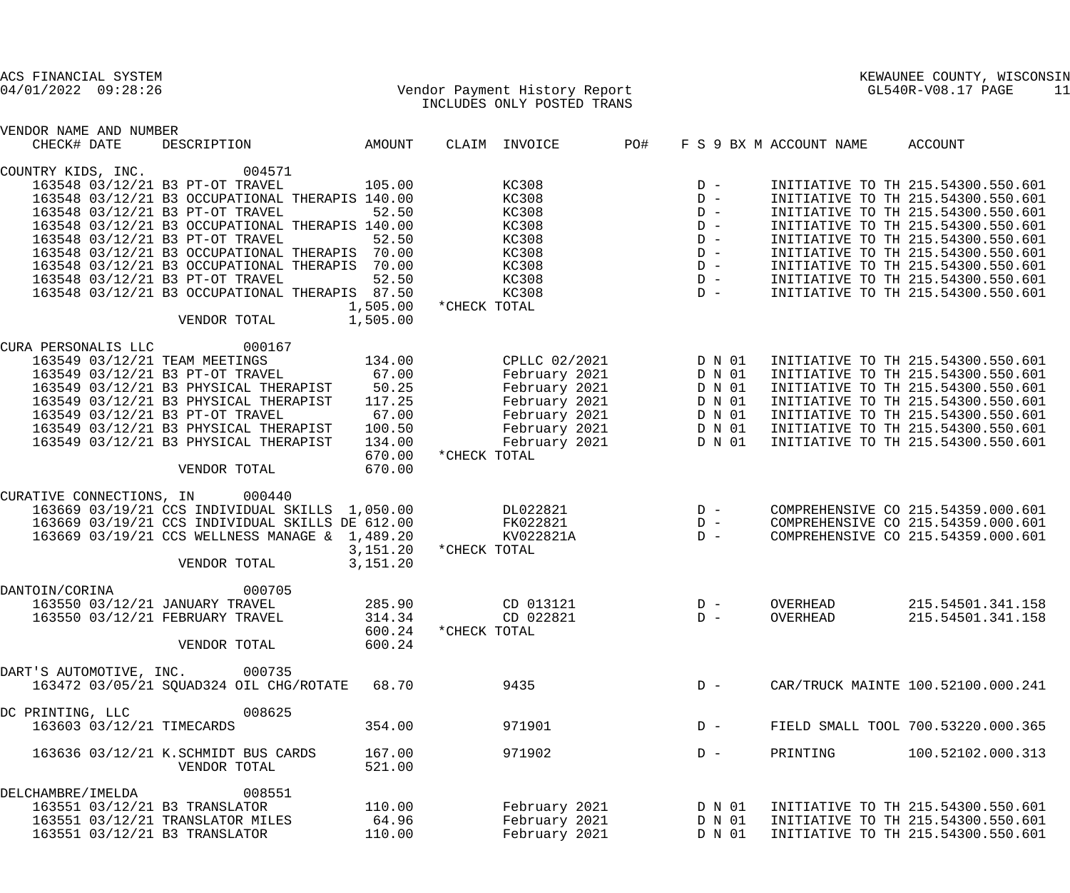## 04/01/2022 09:28:26 Vendor Payment History Report GL540R-V08.17 PAGE 11 INCLUDES ONLY POSTED TRANS

| VENDOR NAME AND NUMBER                                                               |                      |              |               |                                      |        |                         |                                    |
|--------------------------------------------------------------------------------------|----------------------|--------------|---------------|--------------------------------------|--------|-------------------------|------------------------------------|
| CHECK# DATE<br>DESCRIPTION<br><b>AMOUNT</b>                                          |                      |              | CLAIM INVOICE | PO#                                  |        | F S 9 BX M ACCOUNT NAME | ACCOUNT                            |
| 004571<br>COUNTRY KIDS, INC.                                                         |                      |              |               |                                      |        |                         |                                    |
| 163548 03/12/21 B3 PT-OT TRAVEL                                                      | 105.00               |              | KC308         |                                      | $D -$  |                         | INITIATIVE TO TH 215.54300.550.601 |
| 163548 03/12/21 B3 OCCUPATIONAL THERAPIS 140.00                                      |                      |              | KC308         |                                      | $D -$  |                         | INITIATIVE TO TH 215.54300.550.601 |
| 163548 03/12/21 B3 PT-OT TRAVEL                                                      | 52.50                |              | KC308         | D<br>D<br>D<br>D<br>D<br>D<br>D<br>D |        |                         | INITIATIVE TO TH 215.54300.550.601 |
| 163548 03/12/21 B3 OCCUPATIONAL THERAPIS 140.00                                      |                      |              | KC308         |                                      |        |                         | INITIATIVE TO TH 215.54300.550.601 |
|                                                                                      |                      |              |               |                                      |        |                         |                                    |
| 163548 03/12/21 B3 PT-OT TRAVEL                                                      | 52.50                |              | KC308         |                                      |        |                         | INITIATIVE TO TH 215.54300.550.601 |
| 163548 03/12/21 B3 OCCUPATIONAL THERAPIS 70.00                                       |                      |              | KC308         |                                      |        |                         | INITIATIVE TO TH 215.54300.550.601 |
| 163548 03/12/21 B3 OCCUPATIONAL THERAPIS 70.00                                       |                      |              | KC308         |                                      |        |                         | INITIATIVE TO TH 215.54300.550.601 |
| 163548 03/12/21 B3 PT-OT TRAVEL                                                      | 52.50                |              | KC308         |                                      |        |                         | INITIATIVE TO TH 215.54300.550.601 |
| 163548 03/12/21 B3 OCCUPATIONAL THERAPIS 87.50                                       |                      |              | KC308         |                                      | $D -$  |                         | INITIATIVE TO TH 215.54300.550.601 |
|                                                                                      | 1,505.00             | *CHECK TOTAL |               |                                      |        |                         |                                    |
| 1,505.00<br>VENDOR TOTAL                                                             |                      |              |               |                                      |        |                         |                                    |
| 000167<br>CURA PERSONALIS LLC                                                        |                      |              |               |                                      |        |                         |                                    |
| 163549 03/12/21 TEAM MEETINGS                                                        | 134.00               |              | CPLLC 02/2021 |                                      | D N 01 |                         | INITIATIVE TO TH 215.54300.550.601 |
|                                                                                      |                      |              | February 2021 |                                      | D N 01 |                         | INITIATIVE TO TH 215.54300.550.601 |
| 163549 03/12/21 B3 PT-OT TRAVEL 67.00<br>163549 03/12/21 B3 PHYSICAL THERAPIST 50.25 |                      |              | February 2021 |                                      | D N 01 |                         | INITIATIVE TO TH 215.54300.550.601 |
| 163549 03/12/21 B3 PHYSICAL THERAPIST                                                | 117.25               |              | February 2021 |                                      | D N 01 |                         | INITIATIVE TO TH 215.54300.550.601 |
| 163549 03/12/21 B3 PT-OT TRAVEL                                                      |                      |              | February 2021 |                                      |        |                         | INITIATIVE TO TH 215.54300.550.601 |
|                                                                                      | 67.00                |              |               |                                      | D N 01 |                         |                                    |
| 163549 03/12/21 B3 PHYSICAL THERAPIST                                                | 100.50               |              | February 2021 |                                      | D N 01 |                         | INITIATIVE TO TH 215.54300.550.601 |
| 163549 03/12/21 B3 PHYSICAL THERAPIST                                                | 134.00               |              | February 2021 |                                      | D N 01 |                         | INITIATIVE TO TH 215.54300.550.601 |
|                                                                                      | 670.00               | *CHECK TOTAL |               |                                      |        |                         |                                    |
| VENDOR TOTAL                                                                         | 670.00               |              |               |                                      |        |                         |                                    |
| CURATIVE CONNECTIONS, IN<br>000440                                                   |                      |              |               |                                      |        |                         |                                    |
| 163669 03/19/21 CCS INDIVIDUAL SKILLS 1,050.00                                       |                      |              | DL022821      | $D -$                                |        |                         | COMPREHENSIVE CO 215.54359.000.601 |
| 163669 03/19/21 CCS INDIVIDUAL SKILLS DE 612.00                                      |                      |              | FK022821      |                                      | $D -$  |                         | COMPREHENSIVE CO 215.54359.000.601 |
| 163669 03/19/21 CCS WELLNESS MANAGE & 1,489.20                                       |                      |              | KV022821A     |                                      | $D -$  |                         | COMPREHENSIVE CO 215.54359.000.601 |
|                                                                                      | 3,151.20             | *CHECK TOTAL |               |                                      |        |                         |                                    |
| VENDOR TOTAL                                                                         | 3,151.20             |              |               |                                      |        |                         |                                    |
| 000705<br>DANTOIN/CORINA                                                             |                      |              |               |                                      |        |                         |                                    |
|                                                                                      |                      |              |               |                                      |        |                         |                                    |
| 163550 03/12/21 JANUARY TRAVEL                                                       | 285.90               |              | CD 013121     |                                      | $D -$  | OVERHEAD                | 215.54501.341.158                  |
| 163550 03/12/21 FEBRUARY TRAVEL                                                      | 314.34               |              | CD 022821     |                                      | $D -$  | OVERHEAD                | 215.54501.341.158                  |
|                                                                                      | 600.24 * CHECK TOTAL |              |               |                                      |        |                         |                                    |
| VENDOR TOTAL                                                                         | 600.24               |              |               |                                      |        |                         |                                    |
| DART'S AUTOMOTIVE, INC.<br>000735                                                    |                      |              |               |                                      |        |                         |                                    |
| 163472 03/05/21 SQUAD324 OIL CHG/ROTATE                                              | 68.70                |              | 9435          |                                      | $D -$  |                         | CAR/TRUCK MAINTE 100.52100.000.241 |
| DC PRINTING, LLC<br>008625                                                           |                      |              |               |                                      |        |                         |                                    |
| 163603 03/12/21 TIMECARDS                                                            | 354.00               |              | 971901        |                                      | $D -$  |                         | FIELD SMALL TOOL 700.53220.000.365 |
|                                                                                      |                      |              |               |                                      |        |                         |                                    |
| 163636 03/12/21 K.SCHMIDT BUS CARDS                                                  | 167.00               |              | 971902        |                                      | $D -$  | PRINTING                | 100.52102.000.313                  |
| VENDOR TOTAL                                                                         | 521.00               |              |               |                                      |        |                         |                                    |
| 008551<br>DELCHAMBRE/IMELDA                                                          |                      |              |               |                                      |        |                         |                                    |
| 163551 03/12/21 B3 TRANSLATOR                                                        | 110.00               |              | February 2021 |                                      | D N 01 |                         | INITIATIVE TO TH 215.54300.550.601 |
| 163551 03/12/21 TRANSLATOR MILES                                                     | 64.96                |              | February 2021 |                                      | D N 01 |                         | INITIATIVE TO TH 215.54300.550.601 |
| 163551 03/12/21 B3 TRANSLATOR                                                        | 110.00               |              | February 2021 |                                      | D N 01 |                         | INITIATIVE TO TH 215.54300.550.601 |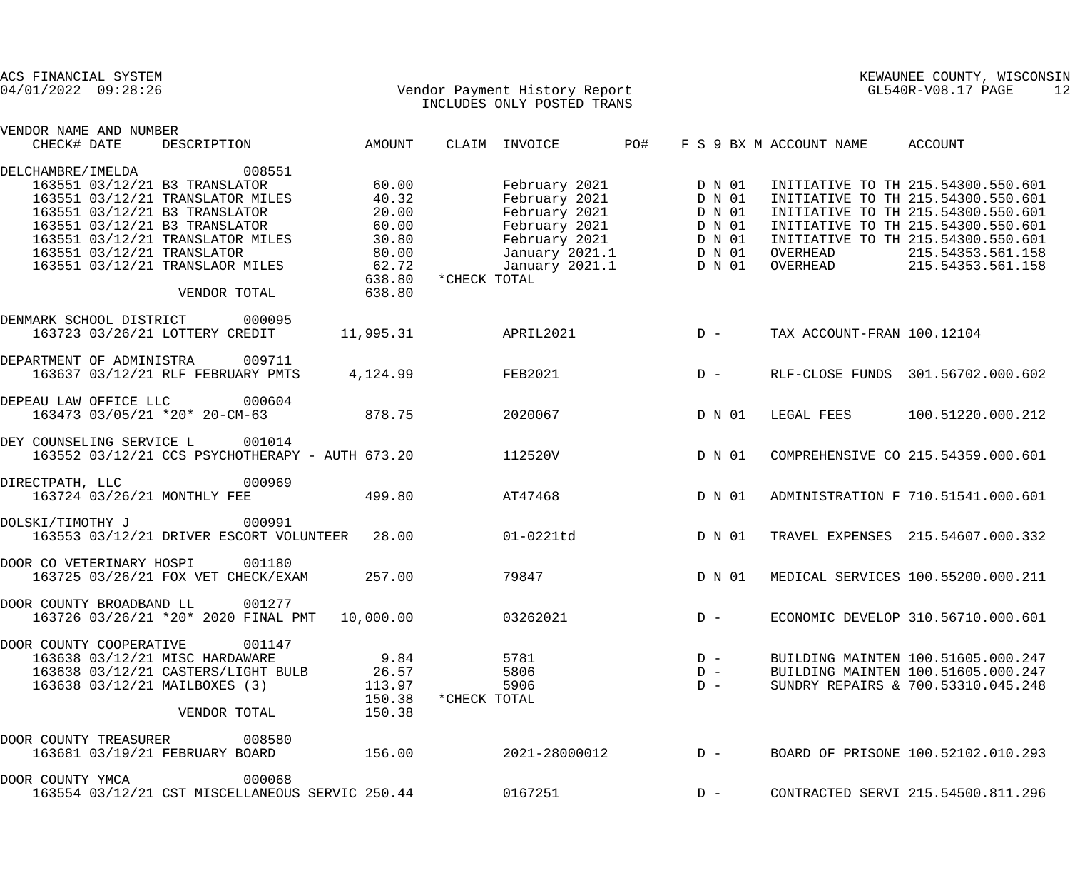| ACS FINANCIAL SYSTEM<br>$04/01/2022$ $09:28:26$ |  |                                                                                                                                                                   |                                                                                     | Vendor Payment History Report<br>THALLER ONLY POSTED TRANS | INCLUDES ONLY POSTED TRANS |                                                                                                                                                          | KEWAUNEE COUNTY, WISCONSIN<br>GL540R-V08.17 PAGE<br>12 |                         |                            |                                                                                                                                                                                                                                      |  |
|-------------------------------------------------|--|-------------------------------------------------------------------------------------------------------------------------------------------------------------------|-------------------------------------------------------------------------------------|------------------------------------------------------------|----------------------------|----------------------------------------------------------------------------------------------------------------------------------------------------------|--------------------------------------------------------|-------------------------|----------------------------|--------------------------------------------------------------------------------------------------------------------------------------------------------------------------------------------------------------------------------------|--|
| VENDOR NAME AND NUMBER<br>CHECK# DATE           |  | DESCRIPTION                                                                                                                                                       |                                                                                     | <b>AMOUNT</b>                                              |                            | CLAIM INVOICE                                                                                                                                            | PO#                                                    |                         | F S 9 BX M ACCOUNT NAME    | <b>ACCOUNT</b>                                                                                                                                                                                                                       |  |
|                                                 |  |                                                                                                                                                                   |                                                                                     |                                                            |                            |                                                                                                                                                          |                                                        |                         |                            |                                                                                                                                                                                                                                      |  |
| DELCHAMBRE/IMELDA                               |  | 163551 03/12/21 B3 TRANSLATOR<br>163551 03/12/21 TRANSLATOR MILES<br>163551 03/12/21 B3 TRANSLATOR<br>163551 03/12/21 B3 TRANSLATOR<br>163551 03/12/21 TRANSLATOR | 008551<br>163551 03/12/21 TRANSLATOR MILES<br>163551 03/12/21 TRANSLAOR MILES 62.72 | 60.00<br>40.32<br>20.00<br>60.00<br>30.80<br>80.00         | *CHECK TOTAL               | February 2021<br>February 2021 D N 01<br>February 2021 D N 01<br>February 2021 D N 01<br>February 2021 D N 01<br>January 2021.1 D N 01<br>January 2021.1 |                                                        | D N 01<br>D N 01        | OVERHEAD<br>OVERHEAD       | INITIATIVE TO TH 215.54300.550.601<br>INITIATIVE TO TH 215.54300.550.601<br>INITIATIVE TO TH 215.54300.550.601<br>INITIATIVE TO TH 215.54300.550.601<br>INITIATIVE TO TH 215.54300.550.601<br>215.54353.561.158<br>215.54353.561.158 |  |
|                                                 |  | VENDOR TOTAL                                                                                                                                                      |                                                                                     | 638.80<br>638.80                                           |                            |                                                                                                                                                          |                                                        |                         |                            |                                                                                                                                                                                                                                      |  |
| DENMARK SCHOOL DISTRICT 000095                  |  | 163723 03/26/21 LOTTERY CREDIT                                                                                                                                    |                                                                                     | 11,995.31                                                  |                            | APRIL2021                                                                                                                                                |                                                        | $D -$                   | TAX ACCOUNT-FRAN 100.12104 |                                                                                                                                                                                                                                      |  |
| DEPARTMENT OF ADMINISTRA 009711                 |  | 163637 03/12/21 RLF FEBRUARY PMTS                                                                                                                                 |                                                                                     | 4,124.99                                                   |                            | FEB2021                                                                                                                                                  |                                                        | $D -$                   |                            | RLF-CLOSE FUNDS 301.56702.000.602                                                                                                                                                                                                    |  |
| DEPEAU LAW OFFICE LLC 000604                    |  |                                                                                                                                                                   | 163473 03/05/21 *20* 20-CM-63 878.75                                                |                                                            |                            | 2020067                                                                                                                                                  |                                                        | D N 01                  | LEGAL FEES                 | 100.51220.000.212                                                                                                                                                                                                                    |  |
| DEY COUNSELING SERVICE L 001014                 |  |                                                                                                                                                                   | 163552 03/12/21 CCS PSYCHOTHERAPY - AUTH 673.20                                     |                                                            |                            | 112520V                                                                                                                                                  |                                                        | D N 01                  |                            | COMPREHENSIVE CO 215.54359.000.601                                                                                                                                                                                                   |  |
| DIRECTPATH, LLC                                 |  | 000969<br>163724 03/26/21 MONTHLY FEE                                                                                                                             |                                                                                     | 499.80                                                     |                            | AT47468                                                                                                                                                  |                                                        | D N 01                  |                            | ADMINISTRATION F 710.51541.000.601                                                                                                                                                                                                   |  |
| DOLSKI/TIMOTHY J                                |  | 000991                                                                                                                                                            | 163553 03/12/21 DRIVER ESCORT VOLUNTEER 28.00                                       |                                                            |                            | 01-0221td                                                                                                                                                |                                                        | D N 01                  |                            | TRAVEL EXPENSES 215.54607.000.332                                                                                                                                                                                                    |  |
| DOOR CO VETERINARY HOSPI                        |  |                                                                                                                                                                   | 001180<br>163725 03/26/21 FOX VET CHECK/EXAM                                        | 257.00                                                     |                            | 79847                                                                                                                                                    |                                                        | D N 01                  |                            | MEDICAL SERVICES 100.55200.000.211                                                                                                                                                                                                   |  |
| DOOR COUNTY BROADBAND LL                        |  |                                                                                                                                                                   | 001277<br>163726 03/26/21 *20* 2020 FINAL PMT                                       | 10,000.00                                                  |                            | 03262021                                                                                                                                                 |                                                        | $D -$                   |                            | ECONOMIC DEVELOP 310.56710.000.601                                                                                                                                                                                                   |  |
| DOOR COUNTY COOPERATIVE                         |  | 163638 03/12/21 MISC HARDAWARE<br>163638 03/12/21 MAILBOXES (3)                                                                                                   | 001147<br>163638 03/12/21 CASTERS/LIGHT BULB<br>VENDOR TOTAL                        | 9.84<br>26.57<br>113.97<br>150.38<br>150.38                | *CHECK TOTAL               | 5781<br>5806<br>5906                                                                                                                                     |                                                        | $D -$<br>$D -$<br>$D -$ |                            | BUILDING MAINTEN 100.51605.000.247<br>BUILDING MAINTEN 100.51605.000.247<br>SUNDRY REPAIRS & 700.53310.045.248                                                                                                                       |  |
| DOOR COUNTY TREASURER 008580                    |  |                                                                                                                                                                   | 163681 03/19/21 FEBRUARY BOARD 156.00                                               |                                                            |                            | 2021-28000012                                                                                                                                            |                                                        | $D -$                   |                            | BOARD OF PRISONE 100.52102.010.293                                                                                                                                                                                                   |  |
| DOOR COUNTY YMCA                                |  |                                                                                                                                                                   | 000068<br>163554 03/12/21 CST MISCELLANEOUS SERVIC 250.44                           |                                                            |                            | 0167251                                                                                                                                                  |                                                        | $D -$                   |                            | CONTRACTED SERVI 215.54500.811.296                                                                                                                                                                                                   |  |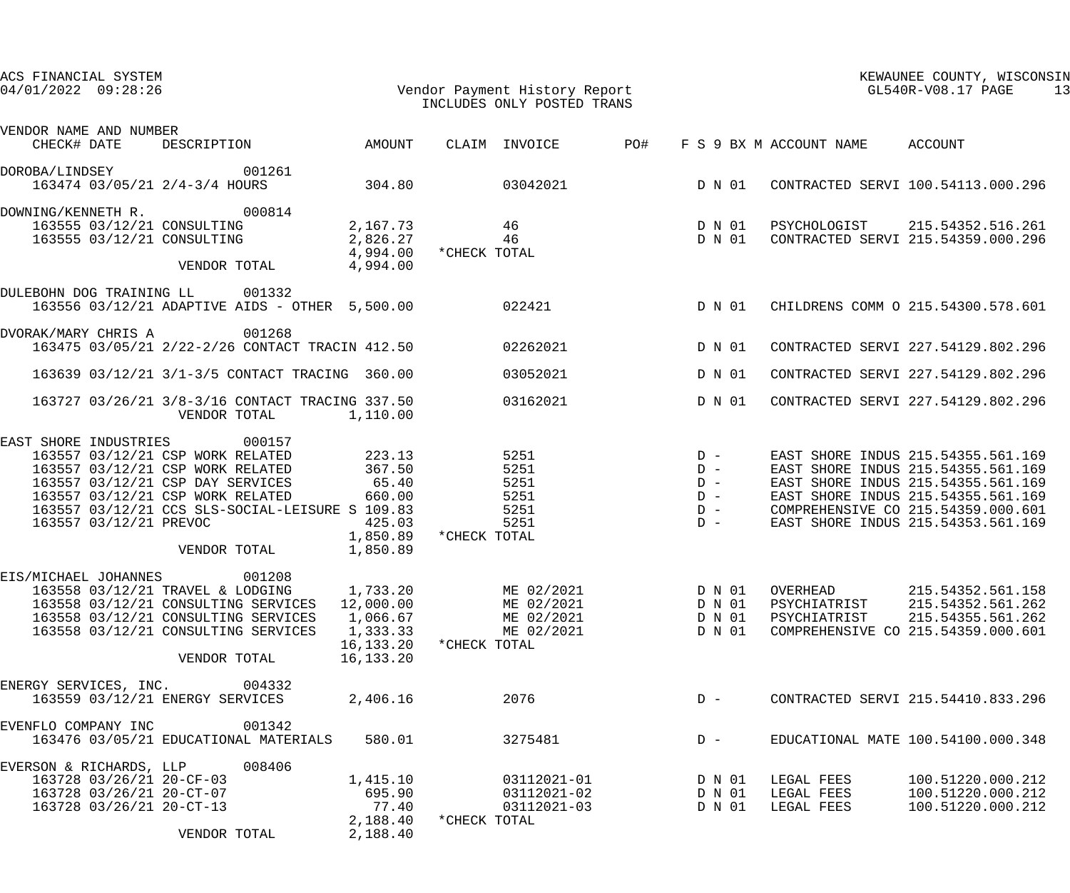| ACS FINANCIAL SYSTEM<br>Vendor Payment History Report<br>INCLUDES ONLY POSTED TRANS<br>$04/01/2022$ 09:28:26                                                                                                                                                                                                                        |                                                                                                                                   | KEWAUNEE COUNTY, WISCONSIN<br>GL540R-V08.17 PAGE<br>13                                                                                                                                                                           |
|-------------------------------------------------------------------------------------------------------------------------------------------------------------------------------------------------------------------------------------------------------------------------------------------------------------------------------------|-----------------------------------------------------------------------------------------------------------------------------------|----------------------------------------------------------------------------------------------------------------------------------------------------------------------------------------------------------------------------------|
| VENDOR NAME AND NUMBER                                                                                                                                                                                                                                                                                                              |                                                                                                                                   |                                                                                                                                                                                                                                  |
| DESCRIPTION AMOUNT<br>CHECK# DATE                                                                                                                                                                                                                                                                                                   | CLAIM INVOICE PO#                                                                                                                 | F S 9 BX M ACCOUNT NAME ACCOUNT                                                                                                                                                                                                  |
| DOROBA/LINDSEY 001261<br>163474 03/05/21 2/4-3/4 HOURS 304.80 03042021 D N 01                                                                                                                                                                                                                                                       |                                                                                                                                   | CONTRACTED SERVI 100.54113.000.296                                                                                                                                                                                               |
| DOWNING/KENNETH R. 000814<br>163555 03/12/21 CONSULTING<br>VENDOR TOTAL 4,994.00                                                                                                                                                                                                                                                    | 163555 03/12/21 CONSULTING 2,167.73 46 D N 01 PSYCHOLOGIST 215.54352.516.261<br>2,826.27 46 D N 01<br>4,994.00 *CHECK TOTAL       | CONTRACTED SERVI 215.54359.000.296                                                                                                                                                                                               |
| DULEBOHN DOG TRAINING LL 001332<br>163556 03/12/21 ADAPTIVE AIDS - OTHER 5,500.00 022421                                                                                                                                                                                                                                            | D N 01                                                                                                                            | CHILDRENS COMM O 215.54300.578.601                                                                                                                                                                                               |
| DVORAK/MARY CHRIS A<br>001268<br>163475 03/05/21 2/22-2/26 CONTACT TRACIN 412.50                                                                                                                                                                                                                                                    | 02262021 D N 01                                                                                                                   | CONTRACTED SERVI 227.54129.802.296                                                                                                                                                                                               |
| 163639 03/12/21 3/1-3/5 CONTACT TRACING 360.00                                                                                                                                                                                                                                                                                      | 03052021<br>D N 01                                                                                                                | CONTRACTED SERVI 227.54129.802.296                                                                                                                                                                                               |
| 163727 03/26/21 3/8-3/16 CONTACT TRACING 337.50<br>VENDOR TOTAL<br>1,110.00                                                                                                                                                                                                                                                         | 03162021<br>D N 01                                                                                                                | CONTRACTED SERVI 227.54129.802.296                                                                                                                                                                                               |
| EAST SHORE INDUSTRIES<br>000157<br>163557 03/12/21 CSP WORK RELATED 223.13<br>367.50<br>163557 03/12/21 CSP WORK RELATED<br>163557 03/12/21 CSP DAY SERVICES 65.40<br>163557 03/12/21 CSP WORK RELATED<br>660.00<br>163557 03/12/21 CCS SLS-SOCIAL-LEISURE S 109.83<br>163557 03/12/21 PREVOC<br>425.03<br>VENDOR TOTAL<br>1,850.89 | $5251$ D –<br>$5251$ D –<br>$5251$ D –<br>$5251$ D –<br>$5251$ $D -$<br>5251 $D -$<br>1,850.89 *CHECK TOTAL                       | EAST SHORE INDUS 215.54355.561.169<br>EAST SHORE INDUS 215.54355.561.169<br>EAST SHORE INDUS 215.54355.561.169<br>EAST SHORE INDUS 215.54355.561.169<br>COMPREHENSIVE CO 215.54359.000.601<br>EAST SHORE INDUS 215.54353.561.169 |
| 001208<br>EIS/MICHAEL JOHANNES<br>163558 03/12/21 TRAVEL & LODGING 1,733.20<br>163558 03/12/21 CONSULTING SERVICES 12,000.00<br>163558 03/12/21 CONSULTING SERVICES<br>1,066.67<br>163558 03/12/21 CONSULTING SERVICES<br>1,333.33<br>16,133.20<br>VENDOR TOTAL<br>16,133.20                                                        | ME 02/2021<br>D N 01<br>OVERHEAD<br>ME 02/2021<br>D N 01<br>ME 02/2021<br>D N 01<br>ME 02/2021<br>D N 01<br>*CHECK TOTAL          | 215.54352.561.158<br>PSYCHIATRIST<br>215.54352.561.262<br>PSYCHIATRIST<br>215.54355.561.262<br>COMPREHENSIVE CO 215.54359.000.601                                                                                                |
| ENERGY SERVICES, INC.<br>004332<br>163559 03/12/21 ENERGY SERVICES<br>2,406.16                                                                                                                                                                                                                                                      | 2076<br>$D -$                                                                                                                     | CONTRACTED SERVI 215.54410.833.296                                                                                                                                                                                               |
| 001342<br>EVENFLO COMPANY INC<br>163476 03/05/21 EDUCATIONAL MATERIALS<br>580.01                                                                                                                                                                                                                                                    | 3275481<br>$D -$                                                                                                                  | EDUCATIONAL MATE 100.54100.000.348                                                                                                                                                                                               |
| EVERSON & RICHARDS, LLP<br>008406<br>163728 03/26/21 20-CF-03<br>1,415.10<br>163728 03/26/21 20-CT-07<br>695.90<br>163728 03/26/21 20-CT-13<br>77.40<br>2,188.40<br>VENDOR TOTAL<br>2,188.40                                                                                                                                        | 03112021-01<br>LEGAL FEES<br>D N 01<br>03112021-02<br>D N 01<br>LEGAL FEES<br>03112021-03<br>D N 01<br>LEGAL FEES<br>*CHECK TOTAL | 100.51220.000.212<br>100.51220.000.212<br>100.51220.000.212                                                                                                                                                                      |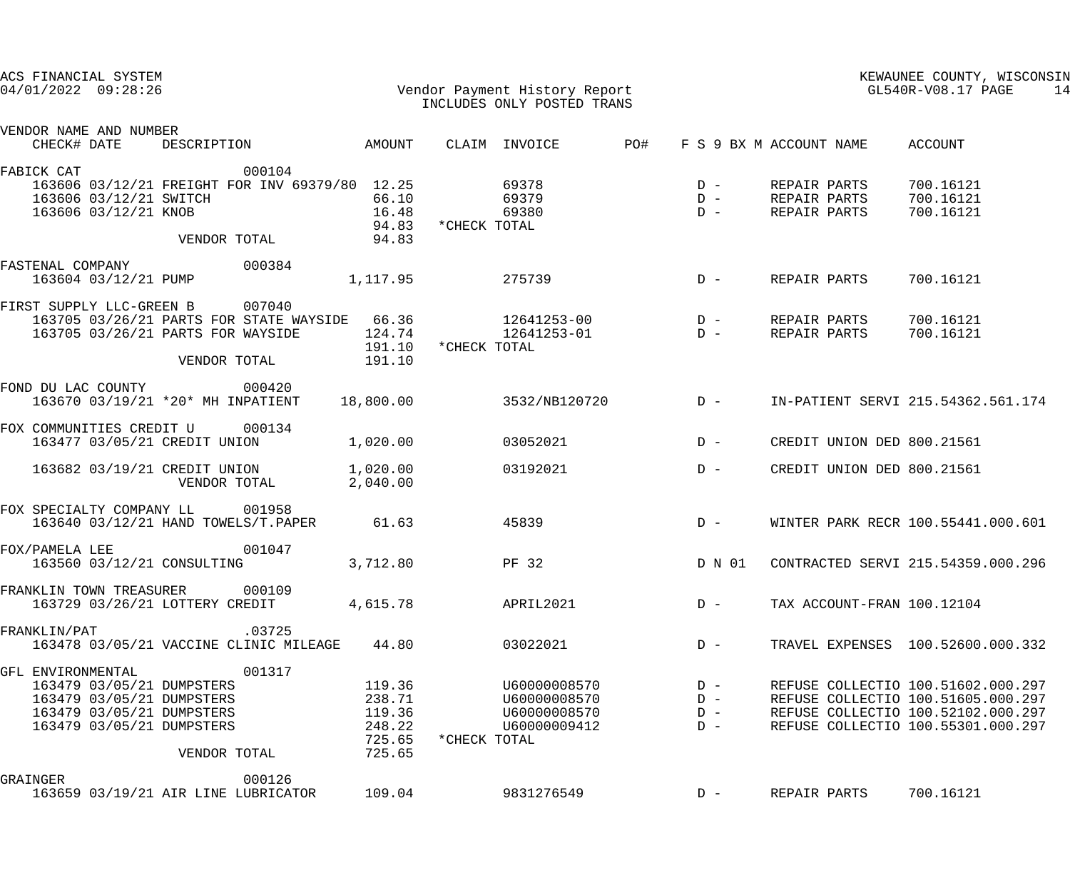|            |                | ACS FINANCIAL SYSTEM<br>$04/01/2022$ 09:28:26 |                                                                                                                                  |                                                                                                                            |                                                          |                       | Vendor Payment History Report<br>INCLUDES ONLY POSTED TRANS                                 |                                  |              |                                              | KEWAUNEE COUNTY, WISCONSIN<br>GL540R-V08.17 PAGE<br>14                                                                                               |
|------------|----------------|-----------------------------------------------|----------------------------------------------------------------------------------------------------------------------------------|----------------------------------------------------------------------------------------------------------------------------|----------------------------------------------------------|-----------------------|---------------------------------------------------------------------------------------------|----------------------------------|--------------|----------------------------------------------|------------------------------------------------------------------------------------------------------------------------------------------------------|
|            | CHECK# DATE    | VENDOR NAME AND NUMBER                        |                                                                                                                                  | DESCRIPTION AMOUNT                                                                                                         |                                                          |                       | CLAIM INVOICE PO#                                                                           | F S 9 BX M ACCOUNT NAME          |              |                                              | ACCOUNT                                                                                                                                              |
| FABICK CAT |                |                                               |                                                                                                                                  | 000104<br>163606 03/12/21 FREIGHT FOR INV 69379/80 12.25<br>163606 03/12/21 SWITCH<br>163606 03/12/21 KNOB<br>VENDOR TOTAL | 66.10<br>16.48<br>94.83<br>94.83                         | 69378<br>*CHECK TOTAL | 69379<br>69380                                                                              | $D -$<br>$D -$<br>$D -$          |              | REPAIR PARTS<br>REPAIR PARTS<br>REPAIR PARTS | 700.16121<br>700.16121<br>700.16121                                                                                                                  |
|            |                | 163604 03/12/21 PUMP                          | FASTENAL COMPANY 000384                                                                                                          |                                                                                                                            | 1,117.95                                                 |                       | 275739                                                                                      | $D -$                            |              | REPAIR PARTS                                 | 700.16121                                                                                                                                            |
|            |                |                                               | FIRST SUPPLY LLC-GREEN B 007040                                                                                                  | 163705 03/26/21 PARTS FOR WAYSIDE<br>VENDOR TOTAL                                                                          | 191.10<br>191.10                                         | *CHECK TOTAL          | 163705 03/26/21 PARTS FOR STATE WAYSIDE 66.36 12641253-00 D -<br>$124.74$ $12641253-01$ D - |                                  |              | REPAIR PARTS<br>REPAIR PARTS                 | 700.16121<br>700.16121                                                                                                                               |
|            |                |                                               | FOND DU LAC COUNTY 000420                                                                                                        | 163670 03/19/21 *20* MH INPATIENT 18,800.00                                                                                |                                                          |                       | $3532/NB120720$ D -                                                                         |                                  |              |                                              | IN-PATIENT SERVI 215.54362.561.174                                                                                                                   |
|            |                |                                               | FOX COMMUNITIES CREDIT U 000134<br>163477 03/05/21 CREDIT UNION                                                                  | 1,020.00                                                                                                                   |                                                          |                       | 03052021                                                                                    | $D -$                            |              |                                              | CREDIT UNION DED 800.21561                                                                                                                           |
|            |                |                                               |                                                                                                                                  | 163682 03/19/21 CREDIT UNION 1,020.00<br>VENDOR TOTAL                                                                      | 2,040.00                                                 |                       | 03192021                                                                                    | $D -$                            |              |                                              | CREDIT UNION DED 800.21561                                                                                                                           |
|            |                |                                               | FOX SPECIALTY COMPANY LL 001958                                                                                                  | 163640 03/12/21 HAND TOWELS/T. PAPER 61.63                                                                                 |                                                          | 45839                 |                                                                                             | $D -$                            |              |                                              | WINTER PARK RECR 100.55441.000.601                                                                                                                   |
|            | FOX/PAMELA LEE |                                               |                                                                                                                                  | 001047<br>163560 03/12/21 CONSULTING 3,712.80                                                                              |                                                          | <b>PF 32</b>          |                                                                                             | D N 01                           |              |                                              | CONTRACTED SERVI 215.54359.000.296                                                                                                                   |
|            |                | FRANKLIN TOWN TREASURER                       | 163729 03/26/21 LOTTERY CREDIT                                                                                                   | 000109                                                                                                                     | 4,615.78                                                 |                       | APRIL2021                                                                                   | $D -$                            |              |                                              | TAX ACCOUNT-FRAN 100.12104                                                                                                                           |
|            | FRANKLIN/PAT   |                                               |                                                                                                                                  | .03725<br>163478 03/05/21 VACCINE CLINIC MILEAGE                                                                           | 44.80                                                    |                       | 03022021                                                                                    | $D -$                            |              |                                              | TRAVEL EXPENSES 100.52600.000.332                                                                                                                    |
|            |                | GFL ENVIRONMENTAL                             | 163479 03/05/21 DUMPSTERS<br>163479 03/05/21 DUMPSTERS<br>163479 03/05/21 DUMPSTERS<br>163479 03/05/21 DUMPSTERS<br>VENDOR TOTAL | 001317                                                                                                                     | 119.36<br>238.71<br>119.36<br>248.22<br>725.65<br>725.65 | *CHECK TOTAL          | U60000008570<br>U60000008570<br>U60000008570<br>U60000009412                                | $D -$<br>$D -$<br>$D -$<br>$D -$ |              |                                              | REFUSE COLLECTIO 100.51602.000.297<br>REFUSE COLLECTIO 100.51605.000.297<br>REFUSE COLLECTIO 100.52102.000.297<br>REFUSE COLLECTIO 100.55301.000.297 |
| GRAINGER   |                |                                               |                                                                                                                                  | 000126<br>163659 03/19/21 AIR LINE LUBRICATOR                                                                              | 109.04                                                   |                       | 9831276549                                                                                  | $D -$                            | REPAIR PARTS |                                              | 700.16121                                                                                                                                            |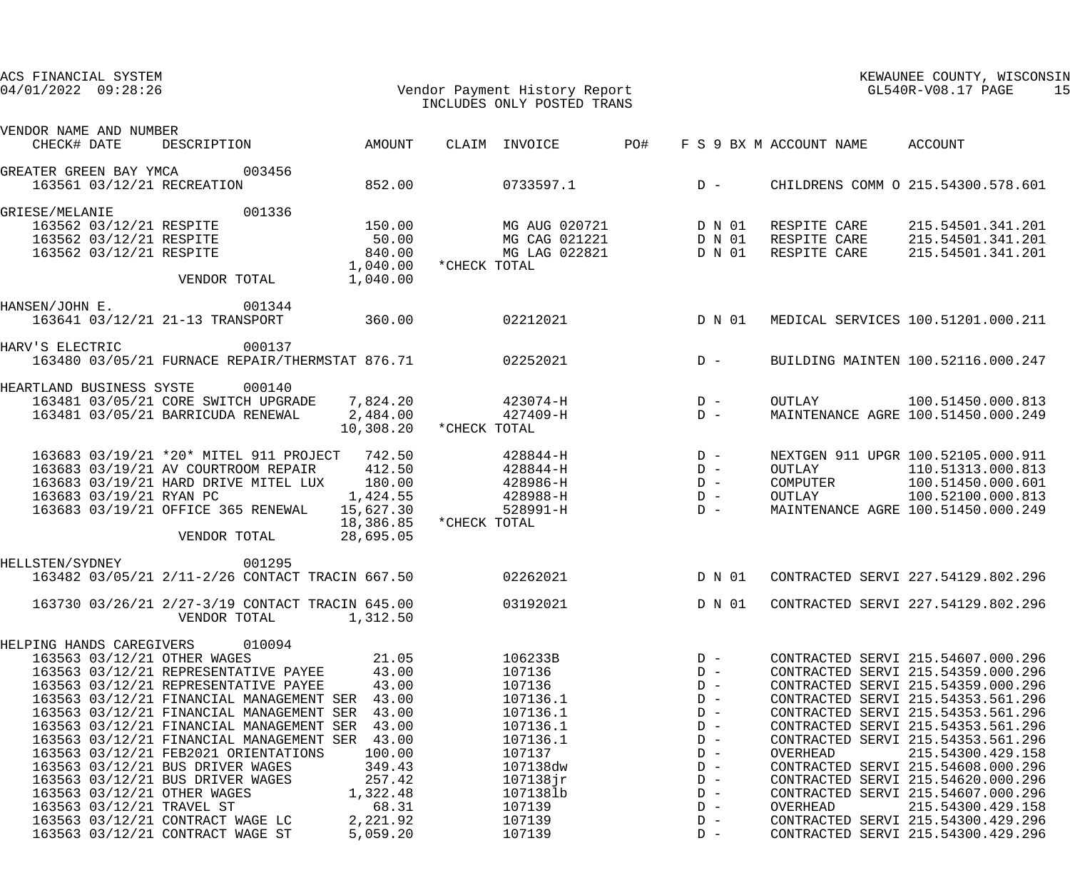| ACS FINANCIAL SYSTEM<br>Vendor Payment History Report<br>TNCLUDES ONLY POSTED TRANS<br>$04/01/2022$ 09:28:26 | INCLUDES ONLY POSTED TRANS                                                                                               |                         | KEWAUNEE COUNTY, WISCONSIN<br>GL540R-V08.17 PAGE<br>15                   |  |  |
|--------------------------------------------------------------------------------------------------------------|--------------------------------------------------------------------------------------------------------------------------|-------------------------|--------------------------------------------------------------------------|--|--|
| VENDOR NAME AND NUMBER                                                                                       |                                                                                                                          |                         |                                                                          |  |  |
| AMOUNT<br>CHECK# DATE<br>DESCRIPTION                                                                         | PO#<br>CLAIM INVOICE                                                                                                     | F S 9 BX M ACCOUNT NAME | ACCOUNT                                                                  |  |  |
| GREATER GREEN BAY YMCA<br>003456                                                                             |                                                                                                                          |                         |                                                                          |  |  |
| 163561 03/12/21 RECREATION<br>852.00                                                                         | 0733597.1                                                                                                                | $D -$                   | CHILDRENS COMM O 215.54300.578.601                                       |  |  |
| 001336<br>GRIESE/MELANIE                                                                                     |                                                                                                                          |                         |                                                                          |  |  |
| 163562 03/12/21 RESPITE<br>150.00                                                                            | MG AUG 020721 D N 01                                                                                                     |                         | RESPITE CARE 215.54501.341.201                                           |  |  |
| 163562 03/12/21 RESPITE<br>50.00                                                                             | MG CAG 021221 D N 01                                                                                                     |                         | RESPITE CARE 215.54501.341.201                                           |  |  |
| 163562 03/12/21 RESPITE<br>840.00                                                                            | MG LAG 022821                                                                                                            | D N 01<br>RESPITE CARE  | 215.54501.341.201                                                        |  |  |
| 1,040.00                                                                                                     | *CHECK TOTAL                                                                                                             |                         |                                                                          |  |  |
| 1,040.00<br>VENDOR TOTAL                                                                                     |                                                                                                                          |                         |                                                                          |  |  |
| 001344<br>HANSEN/JOHN E.                                                                                     |                                                                                                                          |                         |                                                                          |  |  |
| 163641 03/12/21 21-13 TRANSPORT 360.00                                                                       | 02212021 D N 01                                                                                                          |                         | MEDICAL SERVICES 100.51201.000.211                                       |  |  |
| HARV'S ELECTRIC<br>000137                                                                                    |                                                                                                                          |                         |                                                                          |  |  |
| 163480 03/05/21 FURNACE REPAIR/THERMSTAT 876.71                                                              | 02252021                                                                                                                 | $D -$                   | BUILDING MAINTEN 100.52116.000.247                                       |  |  |
| HEARTLAND BUSINESS SYSTE<br>000140                                                                           |                                                                                                                          |                         |                                                                          |  |  |
| 163481 03/05/21 CORE SWITCH UPGRADE 7,824.20                                                                 | $423074 - H$                                                                                                             | $D -$<br>OUTLAY         | 100.51450.000.813                                                        |  |  |
| 163481 03/05/21 BARRICUDA RENEWAL<br>2,484.00                                                                | 427409-H<br>10,308.20 * CHECK TOTAL                                                                                      | $D -$                   | MAINTENANCE AGRE 100.51450.000.249                                       |  |  |
| 163683 03/19/21 *20* MITEL 911 PROJECT 742.50                                                                | $428844 - H$                                                                                                             | $D -$                   | NEXTGEN 911 UPGR 100.52105.000.911                                       |  |  |
| 412.50<br>163683 03/19/21 AV COURTROOM REPAIR                                                                | 428844-H                                                                                                                 | $D -$<br>OUTLAY         | 110.51313.000.813                                                        |  |  |
| 163683 03/19/21 HARD DRIVE MITEL LUX<br>180.00                                                               | 428986-H                                                                                                                 | $D -$<br>COMPUTER       | 100.51450.000.601                                                        |  |  |
| 163683 03/19/21 RYAN PC<br>1,424.55                                                                          | 428988-H                                                                                                                 | $D -$<br>OUTLAY         | 100.52100.000.813                                                        |  |  |
| 163683 03/19/21 OFFICE 365 RENEWAL<br>15,627.30                                                              | 528991-H                                                                                                                 | $D -$                   | MAINTENANCE AGRE 100.51450.000.249                                       |  |  |
|                                                                                                              | 18,386.85 *CHECK TOTAL                                                                                                   |                         |                                                                          |  |  |
| VENDOR TOTAL<br>28,695.05                                                                                    |                                                                                                                          |                         |                                                                          |  |  |
| 001295<br>HELLSTEN/SYDNEY                                                                                    |                                                                                                                          |                         |                                                                          |  |  |
| 163482 03/05/21 2/11-2/26 CONTACT TRACIN 667.50                                                              | 02262021                                                                                                                 | D N 01                  | CONTRACTED SERVI 227.54129.802.296                                       |  |  |
| 163730 03/26/21 2/27-3/19 CONTACT TRACIN 645.00                                                              | 03192021                                                                                                                 | D N 01                  | CONTRACTED SERVI 227.54129.802.296                                       |  |  |
| VENDOR TOTAL<br>1,312.50                                                                                     |                                                                                                                          |                         |                                                                          |  |  |
| HELPING HANDS CAREGIVERS<br>010094                                                                           |                                                                                                                          |                         |                                                                          |  |  |
| 21.05<br>163563 03/12/21 OTHER WAGES                                                                         | 106233B and the state of the state of the state of the state of the state of the state of the state of the sta<br>107136 | $D -$                   | CONTRACTED SERVI 215.54607.000.296                                       |  |  |
| 163563 03/12/21 REPRESENTATIVE PAYEE 43.00                                                                   |                                                                                                                          | $D -$                   | CONTRACTED SERVI 215.54359.000.296                                       |  |  |
| 163563 03/12/21 REPRESENTATIVE PAYEE<br>43.00                                                                | 107136                                                                                                                   | $D -$                   | CONTRACTED SERVI 215.54359.000.296                                       |  |  |
| 163563 03/12/21 FINANCIAL MANAGEMENT SER 43.00                                                               | 107136.1                                                                                                                 | $D -$                   | CONTRACTED SERVI 215.54353.561.296                                       |  |  |
| 163563 03/12/21 FINANCIAL MANAGEMENT SER 43.00                                                               | 107136.1                                                                                                                 | $D -$<br>$D -$          | CONTRACTED SERVI 215.54353.561.296                                       |  |  |
| 163563 03/12/21 FINANCIAL MANAGEMENT SER 43.00<br>163563 03/12/21 FINANCIAL MANAGEMENT SER 43.00             | 107136.1<br>107136.1                                                                                                     | $D -$                   | CONTRACTED SERVI 215.54353.561.296<br>CONTRACTED SERVI 215.54353.561.296 |  |  |
| 163563 03/12/21 FEB2021 ORIENTATIONS<br>100.00                                                               | 107137                                                                                                                   | $D -$<br>OVERHEAD       | 215.54300.429.158                                                        |  |  |
| 163563 03/12/21 BUS DRIVER WAGES<br>349.43                                                                   | 107138dw                                                                                                                 | $D -$                   | CONTRACTED SERVI 215.54608.000.296                                       |  |  |
| 163563 03/12/21 BUS DRIVER WAGES<br>257.42                                                                   | $107138$ jr                                                                                                              | $D -$                   | CONTRACTED SERVI 215.54620.000.296                                       |  |  |
| 163563 03/12/21 OTHER WAGES<br>1,322.48                                                                      | 1071381b                                                                                                                 | $D -$                   | CONTRACTED SERVI 215.54607.000.296                                       |  |  |
| 163563 03/12/21 TRAVEL ST<br>68.31                                                                           | 107139                                                                                                                   | $D -$<br>OVERHEAD       | 215.54300.429.158                                                        |  |  |
| 163563 03/12/21 CONTRACT WAGE LC<br>2,221.92                                                                 | 107139                                                                                                                   | $D -$                   | CONTRACTED SERVI 215.54300.429.296                                       |  |  |
| 163563 03/12/21 CONTRACT WAGE ST<br>5,059.20                                                                 | 107139                                                                                                                   | $D -$                   | CONTRACTED SERVI 215.54300.429.296                                       |  |  |
|                                                                                                              |                                                                                                                          |                         |                                                                          |  |  |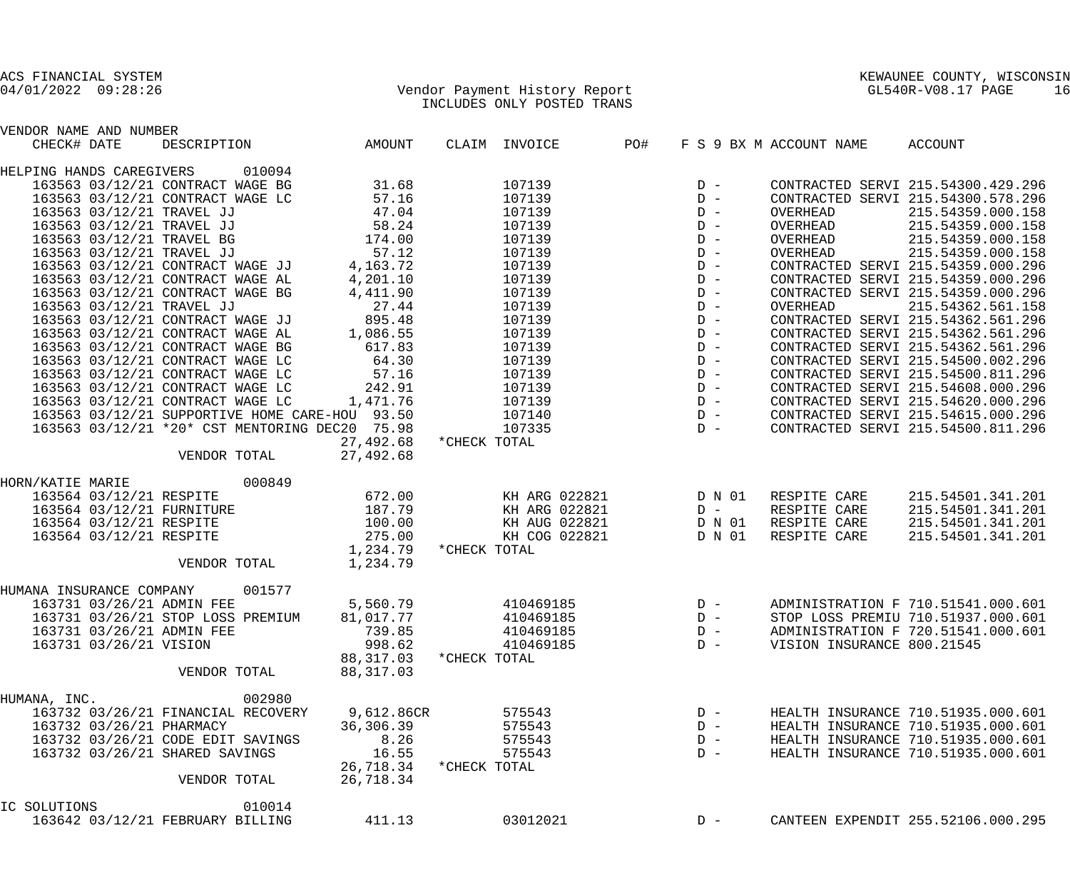| VENDOR NAME AND NUMBER          |                          |                                    |                                                |            |              |                        |     |       |        |                            |                                    |
|---------------------------------|--------------------------|------------------------------------|------------------------------------------------|------------|--------------|------------------------|-----|-------|--------|----------------------------|------------------------------------|
| CHECK# DATE                     |                          |                                    | DESCRIPTION AMOUNT                             |            |              | CLAIM INVOICE          | PO# |       |        | F S 9 BX M ACCOUNT NAME    | ACCOUNT                            |
| HELPING HANDS CAREGIVERS        |                          |                                    | 010094                                         |            |              |                        |     |       |        |                            |                                    |
|                                 |                          | 163563 03/12/21 CONTRACT WAGE BG   |                                                | 31.68      |              | 107139                 |     | $D -$ |        |                            | CONTRACTED SERVI 215.54300.429.296 |
|                                 |                          | 163563 03/12/21 CONTRACT WAGE LC   |                                                | 57.16      |              | 107139                 |     | $D -$ |        |                            | CONTRACTED SERVI 215.54300.578.296 |
|                                 |                          | 163563 03/12/21 TRAVEL JJ          |                                                | 47.04      |              | 107139                 |     | $D -$ |        | OVERHEAD                   | 215.54359.000.158                  |
|                                 |                          | 163563 03/12/21 TRAVEL JJ          |                                                | 58.24      |              | 107139                 |     | $D -$ |        | OVERHEAD                   | 215.54359.000.158                  |
|                                 |                          | 163563 03/12/21 TRAVEL BG          |                                                | 174.00     |              | 107139                 |     | $D -$ |        | OVERHEAD                   | 215.54359.000.158                  |
|                                 |                          | 163563 03/12/21 TRAVEL JJ          |                                                | 57.12      |              | 107139                 |     | $D -$ |        | OVERHEAD                   | 215.54359.000.158                  |
|                                 |                          | 163563 03/12/21 CONTRACT WAGE JJ   |                                                | 4,163.72   |              | 107139                 |     | $D -$ |        |                            | CONTRACTED SERVI 215.54359.000.296 |
|                                 |                          | 163563 03/12/21 CONTRACT WAGE AL   |                                                | 4,201.10   |              | 107139                 |     | $D -$ |        |                            | CONTRACTED SERVI 215.54359.000.296 |
|                                 |                          | 163563 03/12/21 CONTRACT WAGE BG   |                                                | 4,411.90   |              | 107139                 |     | $D -$ |        |                            | CONTRACTED SERVI 215.54359.000.296 |
|                                 |                          | 163563 03/12/21 TRAVEL JJ          |                                                | 27.44      |              | 107139                 |     | $D -$ |        | OVERHEAD                   | 215.54362.561.158                  |
|                                 |                          | 163563 03/12/21 CONTRACT WAGE JJ   |                                                | 895.48     |              | 107139                 |     | $D -$ |        |                            | CONTRACTED SERVI 215.54362.561.296 |
|                                 |                          | 163563 03/12/21 CONTRACT WAGE AL   |                                                | 1,086.55   |              | 107139                 |     | $D -$ |        |                            | CONTRACTED SERVI 215.54362.561.296 |
|                                 |                          | 163563 03/12/21 CONTRACT WAGE BG   |                                                | 617.83     |              | 107139                 |     | $D -$ |        |                            | CONTRACTED SERVI 215.54362.561.296 |
|                                 |                          | 163563 03/12/21 CONTRACT WAGE LC   |                                                | 64.30      |              | 107139                 |     | $D -$ |        |                            | CONTRACTED SERVI 215.54500.002.296 |
|                                 |                          | 163563 03/12/21 CONTRACT WAGE LC   |                                                | 57.16      |              | 107139                 |     | $D -$ |        |                            | CONTRACTED SERVI 215.54500.811.296 |
|                                 |                          | 163563 03/12/21 CONTRACT WAGE LC   |                                                | 242.91     |              | 107139                 |     | $D -$ |        |                            | CONTRACTED SERVI 215.54608.000.296 |
|                                 |                          |                                    |                                                |            |              |                        |     |       |        |                            |                                    |
|                                 |                          | 163563 03/12/21 CONTRACT WAGE LC   |                                                | 1,471.76   |              | 107139                 |     | $D -$ |        |                            | CONTRACTED SERVI 215.54620.000.296 |
|                                 |                          |                                    | 163563 03/12/21 SUPPORTIVE HOME CARE-HOU 93.50 |            |              | 107140                 |     | $D -$ |        |                            | CONTRACTED SERVI 215.54615.000.296 |
|                                 |                          |                                    | 163563 03/12/21 *20* CST MENTORING DEC20 75.98 |            |              | 107335                 |     | $D -$ |        |                            | CONTRACTED SERVI 215.54500.811.296 |
|                                 |                          |                                    |                                                | 27,492.68  | *CHECK TOTAL |                        |     |       |        |                            |                                    |
|                                 |                          | VENDOR TOTAL                       |                                                | 27,492.68  |              |                        |     |       |        |                            |                                    |
| HORN/KATIE MARIE                |                          |                                    | 000849                                         |            |              |                        |     |       |        |                            |                                    |
|                                 | 163564 03/12/21 RESPITE  |                                    |                                                | 672.00     |              | KH ARG 022821          |     |       | D N 01 | RESPITE CARE               | 215.54501.341.201                  |
|                                 |                          | 163564 03/12/21 FURNITURE          |                                                | 187.79     |              | KH ARG 022821          |     |       | $D -$  | RESPITE CARE               | 215.54501.341.201                  |
|                                 | 163564 03/12/21 RESPITE  |                                    |                                                | 100.00     |              | KH AUG 022821          |     |       | D N 01 | RESPITE CARE               | 215.54501.341.201                  |
|                                 | 163564 03/12/21 RESPITE  |                                    |                                                | 275.00     |              | KH COG 022821          |     |       | D N 01 | RESPITE CARE               | 215.54501.341.201                  |
|                                 |                          |                                    |                                                | 1,234.79   | *CHECK TOTAL |                        |     |       |        |                            |                                    |
|                                 |                          | VENDOR TOTAL                       |                                                | 1,234.79   |              |                        |     |       |        |                            |                                    |
| HUMANA INSURANCE COMPANY 001577 |                          |                                    |                                                |            |              |                        |     |       |        |                            |                                    |
|                                 |                          | 163731 03/26/21 ADMIN FEE          |                                                | 5,560.79   |              | 410469185              |     |       | $D -$  |                            | ADMINISTRATION F 710.51541.000.601 |
|                                 |                          | 163731 03/26/21 STOP LOSS PREMIUM  |                                                | 81,017.77  |              | 410469185              |     | $D -$ |        |                            | STOP LOSS PREMIU 710.51937.000.601 |
|                                 |                          |                                    |                                                | 739.85     |              |                        |     | $D -$ |        |                            | ADMINISTRATION F 720.51541.000.601 |
|                                 |                          | 163731 03/26/21 ADMIN FEE          |                                                |            |              | 410469185<br>410469185 |     |       |        |                            |                                    |
|                                 | 163731 03/26/21 VISION   |                                    |                                                | 998.62     |              |                        |     | $D -$ |        | VISION INSURANCE 800.21545 |                                    |
|                                 |                          |                                    |                                                | 88,317.03  | *CHECK TOTAL |                        |     |       |        |                            |                                    |
|                                 |                          | VENDOR TOTAL                       |                                                | 88, 317.03 |              |                        |     |       |        |                            |                                    |
| HUMANA, INC.                    |                          |                                    | 002980                                         |            |              |                        |     |       |        |                            |                                    |
|                                 |                          | 163732 03/26/21 FINANCIAL RECOVERY |                                                | 9,612.86CR |              | 575543                 |     | $D -$ |        |                            | HEALTH INSURANCE 710.51935.000.601 |
|                                 | 163732 03/26/21 PHARMACY |                                    |                                                | 36,306.39  |              | 575543                 |     | $D -$ |        |                            | HEALTH INSURANCE 710.51935.000.601 |
|                                 |                          | 163732 03/26/21 CODE EDIT SAVINGS  |                                                | 8.26       |              | 575543                 |     | $D -$ |        |                            | HEALTH INSURANCE 710.51935.000.601 |
|                                 |                          | 163732 03/26/21 SHARED SAVINGS     |                                                | 16.55      |              | 575543                 |     | $D -$ |        |                            | HEALTH INSURANCE 710.51935.000.601 |
|                                 |                          |                                    |                                                | 26,718.34  | *CHECK TOTAL |                        |     |       |        |                            |                                    |
|                                 |                          | VENDOR TOTAL                       |                                                | 26,718.34  |              |                        |     |       |        |                            |                                    |
| IC SOLUTIONS                    |                          |                                    | 010014                                         |            |              |                        |     |       |        |                            |                                    |
|                                 |                          |                                    |                                                |            |              |                        |     |       |        |                            |                                    |
|                                 |                          | 163642 03/12/21 FEBRUARY BILLING   |                                                | 411.13     |              | 03012021               |     | $D -$ |        |                            | CANTEEN EXPENDIT 255.52106.000.295 |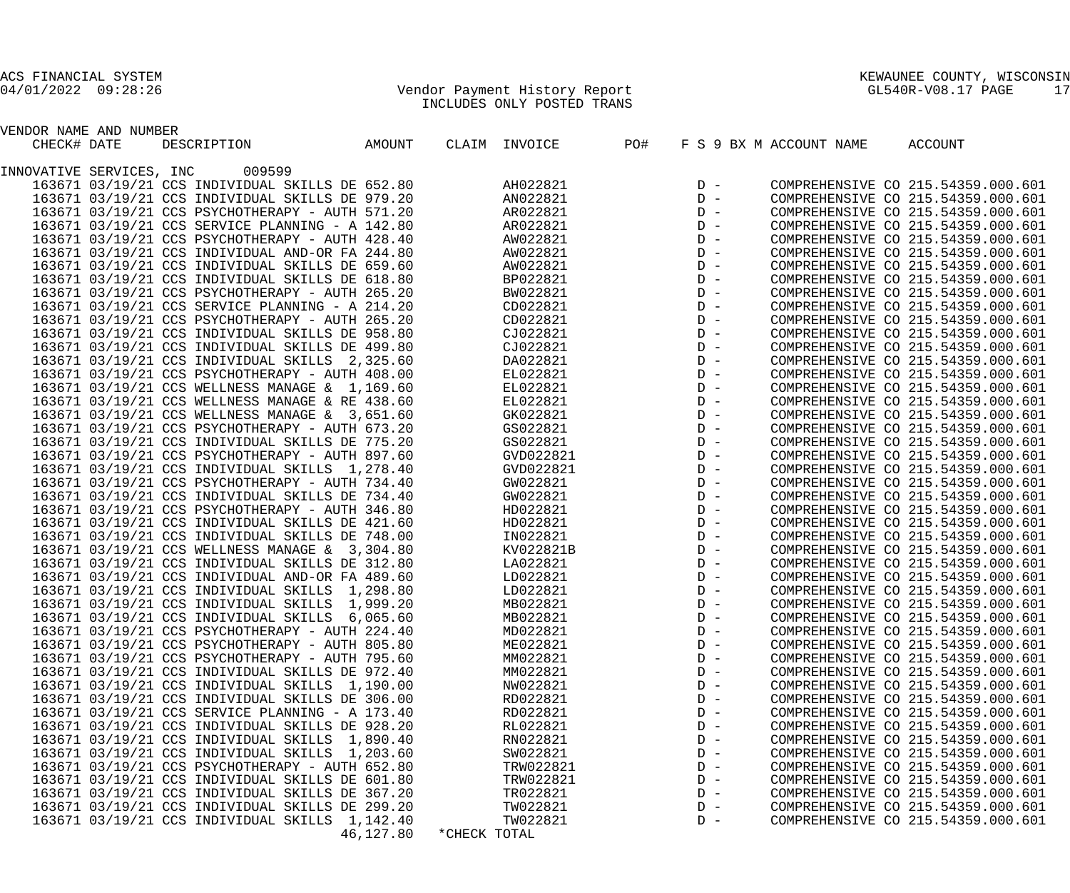04/01/2022 09:28:26 Vendor Payment History Report GL540R-V08.17 PAGE 17 INCLUDES ONLY POSTED TRANS

| ACS FINANCIAL SYSTEM |                               | KEWAUNEE COUNTY, WISCONSIN          |
|----------------------|-------------------------------|-------------------------------------|
| 04/01/2022 09:28:26  | Vendor Payment History Report | $\sim$ $\sim$<br>GL540R-V08.17 PAGE |

| VENDOR NAME AND NUMBER   |                                                                                                    |           |              |               |     |       |                         |                                    |
|--------------------------|----------------------------------------------------------------------------------------------------|-----------|--------------|---------------|-----|-------|-------------------------|------------------------------------|
| CHECK# DATE              | DESCRIPTION                                                                                        | AMOUNT    |              | CLAIM INVOICE | PO# |       | F S 9 BX M ACCOUNT NAME | ACCOUNT                            |
|                          |                                                                                                    |           |              |               |     |       |                         |                                    |
| INNOVATIVE SERVICES, INC | 009599                                                                                             |           |              |               |     |       |                         |                                    |
|                          | 163671 03/19/21 CCS INDIVIDUAL SKILLS DE 652.80                                                    |           |              | AH022821      |     | $D -$ |                         | COMPREHENSIVE CO 215.54359.000.601 |
|                          | 163671 03/19/21 CCS INDIVIDUAL SKILLS DE 979.20                                                    |           |              | AN022821      |     | $D -$ |                         | COMPREHENSIVE CO 215.54359.000.601 |
|                          | 163671 03/19/21 CCS PSYCHOTHERAPY - AUTH 571.20                                                    |           |              | AR022821      |     | $D -$ |                         | COMPREHENSIVE CO 215.54359.000.601 |
|                          | 163671 03/19/21 CCS SERVICE PLANNING - A 142.80                                                    |           |              | AR022821      |     | $D -$ |                         | COMPREHENSIVE CO 215.54359.000.601 |
|                          | 163671 03/19/21 CCS PSYCHOTHERAPY - AUTH 428.40                                                    |           |              | AW022821      |     | $D -$ |                         | COMPREHENSIVE CO 215.54359.000.601 |
|                          | 163671 03/19/21 CCS INDIVIDUAL AND-OR FA 244.80                                                    |           |              | AW022821      |     | $D -$ |                         | COMPREHENSIVE CO 215.54359.000.601 |
|                          | 163671 03/19/21 CCS INDIVIDUAL SKILLS DE 659.60                                                    |           |              | AW022821      |     | $D -$ |                         | COMPREHENSIVE CO 215.54359.000.601 |
|                          | 163671 03/19/21 CCS INDIVIDUAL SKILLS DE 618.80                                                    |           |              | BP022821      |     | $D -$ |                         | COMPREHENSIVE CO 215.54359.000.601 |
|                          | 163671 03/19/21 CCS PSYCHOTHERAPY - AUTH 265.20                                                    |           |              | BW022821      |     | $D -$ |                         | COMPREHENSIVE CO 215.54359.000.601 |
|                          | 163671 03/19/21 CCS SERVICE PLANNING - A 214.20                                                    |           |              | CD022821      |     | $D -$ |                         | COMPREHENSIVE CO 215.54359.000.601 |
|                          | 163671 03/19/21 CCS PSYCHOTHERAPY - AUTH 265.20                                                    |           |              | CD022821      |     | $D -$ |                         | COMPREHENSIVE CO 215.54359.000.601 |
|                          | 163671 03/19/21 CCS INDIVIDUAL SKILLS DE 958.80                                                    |           |              | CJ022821      |     | $D -$ |                         | COMPREHENSIVE CO 215.54359.000.601 |
|                          | 163671 03/19/21 CCS INDIVIDUAL SKILLS DE 499.80                                                    |           |              | CJ022821      |     | $D -$ |                         | COMPREHENSIVE CO 215.54359.000.601 |
|                          | 163671 03/19/21 CCS INDIVIDUAL SKILLS 2,325.60                                                     |           |              | DA022821      |     | $D -$ |                         | COMPREHENSIVE CO 215.54359.000.601 |
|                          | 163671 03/19/21 CCS PSYCHOTHERAPY - AUTH 408.00                                                    |           |              | EL022821      |     | $D -$ |                         | COMPREHENSIVE CO 215.54359.000.601 |
|                          | 163671 03/19/21 CCS WELLNESS MANAGE & 1,169.60                                                     |           |              | EL022821      |     | $D -$ |                         | COMPREHENSIVE CO 215.54359.000.601 |
|                          | 163671 03/19/21 CCS WELLNESS MANAGE & RE 438.60                                                    |           |              | EL022821      |     | $D -$ |                         | COMPREHENSIVE CO 215.54359.000.601 |
|                          | 163671 03/19/21 CCS WELLNESS MANAGE & 3,651.60                                                     |           |              | GK022821      |     | $D -$ |                         | COMPREHENSIVE CO 215.54359.000.601 |
|                          | 163671 03/19/21 CCS PSYCHOTHERAPY - AUTH 673.20                                                    |           |              | GS022821      |     | $D -$ |                         | COMPREHENSIVE CO 215.54359.000.601 |
|                          | 163671 03/19/21 CCS INDIVIDUAL SKILLS DE 775.20                                                    |           |              | GS022821      |     | $D -$ |                         | COMPREHENSIVE CO 215.54359.000.601 |
|                          | 163671 03/19/21 CCS PSYCHOTHERAPY - AUTH 897.60                                                    |           |              | GVD022821     |     | $D -$ |                         | COMPREHENSIVE CO 215.54359.000.601 |
|                          | 163671 03/19/21 CCS INDIVIDUAL SKILLS 1,278.40                                                     |           |              | GVD022821     |     | $D -$ |                         | COMPREHENSIVE CO 215.54359.000.601 |
|                          | 163671 03/19/21 CCS PSYCHOTHERAPY - AUTH 734.40                                                    |           |              | GW022821      |     | $D -$ |                         | COMPREHENSIVE CO 215.54359.000.601 |
|                          | 163671 03/19/21 CCS INDIVIDUAL SKILLS DE 734.40                                                    |           |              | GW022821      |     | $D -$ |                         | COMPREHENSIVE CO 215.54359.000.601 |
|                          | 163671 03/19/21 CCS PSYCHOTHERAPY - AUTH 346.80                                                    |           |              | HD022821      |     | $D -$ |                         | COMPREHENSIVE CO 215.54359.000.601 |
|                          | 163671 03/19/21 CCS INDIVIDUAL SKILLS DE 421.60                                                    |           |              | HD022821      |     | $D -$ |                         | COMPREHENSIVE CO 215.54359.000.601 |
|                          | 163671 03/19/21 CCS INDIVIDUAL SKILLS DE 748.00                                                    |           |              | IN022821      |     | $D -$ |                         | COMPREHENSIVE CO 215.54359.000.601 |
|                          | 163671 03/19/21 CCS WELLNESS MANAGE & 3,304.80                                                     |           |              | KV022821B     |     | $D -$ |                         | COMPREHENSIVE CO 215.54359.000.601 |
|                          | 163671 03/19/21 CCS INDIVIDUAL SKILLS DE 312.80                                                    |           |              | LA022821      |     | $D -$ |                         | COMPREHENSIVE CO 215.54359.000.601 |
|                          |                                                                                                    |           |              | LD022821      |     | $D -$ |                         | COMPREHENSIVE CO 215.54359.000.601 |
|                          | 163671 03/19/21 CCS INDIVIDUAL AND-OR FA 489.60<br>163671 03/19/21 CCS INDIVIDUAL SKILLS 1,298.80  |           |              | LD022821      |     | $D -$ |                         | COMPREHENSIVE CO 215.54359.000.601 |
|                          |                                                                                                    |           |              | MB022821      |     | $D -$ |                         | COMPREHENSIVE CO 215.54359.000.601 |
|                          | 163671 03/19/21 CCS INDIVIDUAL SKILLS 1,999.20                                                     |           |              |               |     | $D -$ |                         |                                    |
|                          | 163671 03/19/21 CCS INDIVIDUAL SKILLS 6,065.60                                                     |           |              | MB022821      |     | $D -$ |                         | COMPREHENSIVE CO 215.54359.000.601 |
|                          | 163671 03/19/21 CCS PSYCHOTHERAPY - AUTH 224.40<br>163671 03/19/21 CCS PSYCHOTHERAPY - AUTH 805.80 |           |              | MD022821      |     | $D -$ |                         | COMPREHENSIVE CO 215.54359.000.601 |
|                          |                                                                                                    |           |              | ME022821      |     |       |                         | COMPREHENSIVE CO 215.54359.000.601 |
|                          | 163671 03/19/21 CCS PSYCHOTHERAPY - AUTH 795.60                                                    |           |              | MM022821      |     | $D -$ |                         | COMPREHENSIVE CO 215.54359.000.601 |
|                          | 163671 03/19/21 CCS INDIVIDUAL SKILLS DE 972.40                                                    |           |              | MM022821      |     | $D -$ |                         | COMPREHENSIVE CO 215.54359.000.601 |
|                          | 163671 03/19/21 CCS INDIVIDUAL SKILLS 1,190.00                                                     |           |              | NW022821      |     | $D -$ |                         | COMPREHENSIVE CO 215.54359.000.601 |
|                          | 163671 03/19/21 CCS INDIVIDUAL SKILLS DE 306.00                                                    |           |              | RD022821      |     | $D -$ |                         | COMPREHENSIVE CO 215.54359.000.601 |
|                          | 163671 03/19/21 CCS SERVICE PLANNING - A 173.40                                                    |           |              | RD022821      |     | $D -$ |                         | COMPREHENSIVE CO 215.54359.000.601 |
|                          | 163671 03/19/21 CCS INDIVIDUAL SKILLS DE 928.20                                                    |           |              | RL022821      |     | $D -$ |                         | COMPREHENSIVE CO 215.54359.000.601 |
|                          | 163671 03/19/21 CCS INDIVIDUAL SKILLS 1,890.40                                                     |           |              | RN022821      |     | $D -$ |                         | COMPREHENSIVE CO 215.54359.000.601 |
|                          | 163671 03/19/21 CCS INDIVIDUAL SKILLS 1,203.60                                                     |           |              | SW022821      |     | $D -$ |                         | COMPREHENSIVE CO 215.54359.000.601 |
|                          | 163671 03/19/21 CCS PSYCHOTHERAPY - AUTH 652.80                                                    |           |              | TRW022821     |     | $D -$ |                         | COMPREHENSIVE CO 215.54359.000.601 |
|                          | 163671 03/19/21 CCS INDIVIDUAL SKILLS DE 601.80                                                    |           |              | TRW022821     |     | $D -$ |                         | COMPREHENSIVE CO 215.54359.000.601 |
|                          | 163671 03/19/21 CCS INDIVIDUAL SKILLS DE 367.20                                                    |           |              | TR022821      |     | $D -$ |                         | COMPREHENSIVE CO 215.54359.000.601 |
|                          | 163671 03/19/21 CCS INDIVIDUAL SKILLS DE 299.20                                                    |           |              | TW022821      |     | $D -$ |                         | COMPREHENSIVE CO 215.54359.000.601 |
|                          | 163671 03/19/21 CCS INDIVIDUAL SKILLS 1,142.40                                                     |           |              | TW022821      |     | $D -$ |                         | COMPREHENSIVE CO 215.54359.000.601 |
|                          |                                                                                                    | 46,127.80 | *CHECK TOTAL |               |     |       |                         |                                    |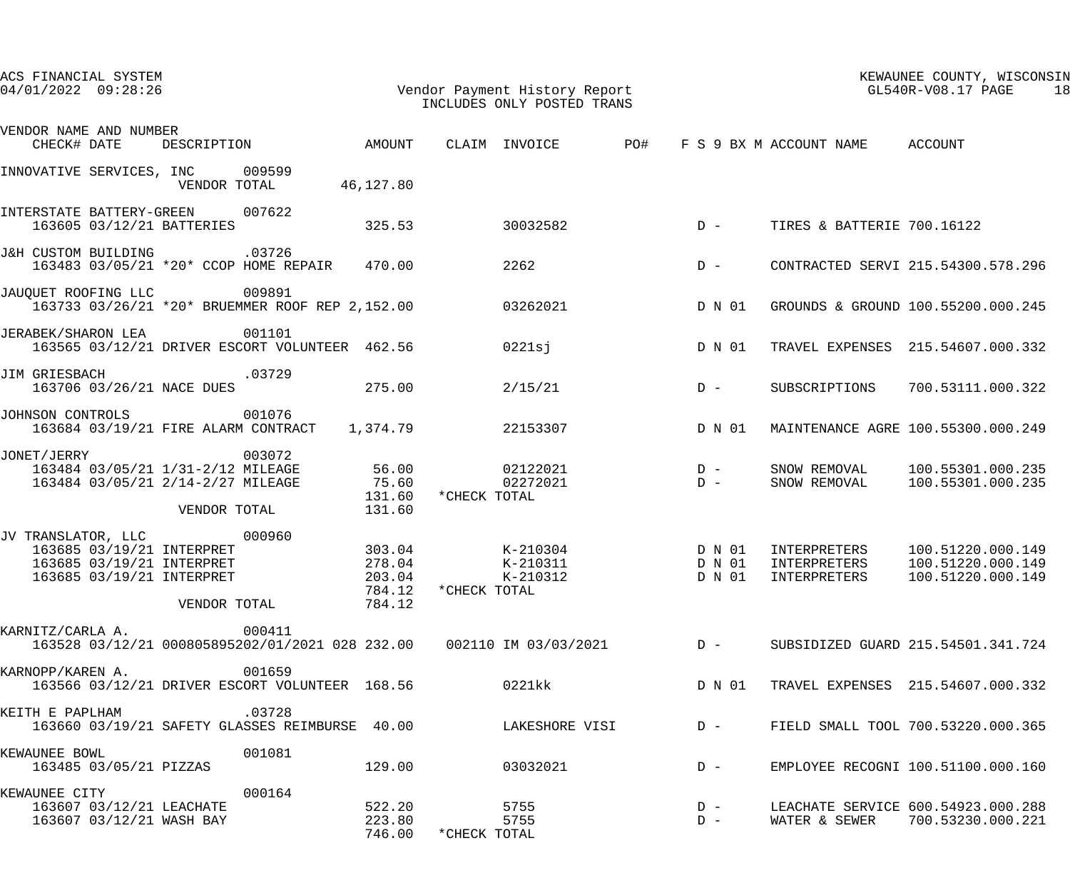| ACS FINANCIAL SYSTEM<br>04/01/2022 09:28:26                                                                      | Vendor Payment History Report                                                                    |                                      |              | INCLUDES ONLY POSTED TRANS              |       |                  |                                                   | KEWAUNEE COUNTY, WISCONSIN<br>GL540R-V08.17 PAGE<br>18                          |
|------------------------------------------------------------------------------------------------------------------|--------------------------------------------------------------------------------------------------|--------------------------------------|--------------|-----------------------------------------|-------|------------------|---------------------------------------------------|---------------------------------------------------------------------------------|
| VENDOR NAME AND NUMBER<br>CHECK# DATE                                                                            | DESCRIPTION AMOUNT                                                                               |                                      |              |                                         |       |                  | CLAIM INVOICE PO# F S 9 BX M ACCOUNT NAME ACCOUNT |                                                                                 |
| INNOVATIVE SERVICES, INC 009599                                                                                  | VENDOR TOTAL 46,127.80                                                                           |                                      |              |                                         |       |                  |                                                   |                                                                                 |
| INTERSTATE BATTERY-GREEN 007622<br>163605 03/12/21 BATTERIES                                                     |                                                                                                  | 325.53                               |              | 30032582                                |       | $D -$            | TIRES & BATTERIE 700.16122                        |                                                                                 |
| J&H CUSTOM BUILDING                                                                                              | .03726<br>163483 03/05/21 *20* CCOP HOME REPAIR 470.00                                           |                                      | 2262         |                                         |       | $D -$            |                                                   | CONTRACTED SERVI 215.54300.578.296                                              |
| JAUOUET ROOFING LLC                                                                                              | 009891<br>163733 03/26/21 *20* BRUEMMER ROOF REP 2,152.00                                        |                                      |              | 03262021                                |       | D N 01           |                                                   | GROUNDS & GROUND 100.55200.000.245                                              |
| JERABEK/SHARON LEA                                                                                               | 001101<br>163565 03/12/21 DRIVER ESCORT VOLUNTEER 462.56                                         |                                      |              | $0221$ sj                               |       | D N 01           |                                                   | TRAVEL EXPENSES 215.54607.000.332                                               |
| JIM GRIESBACH                                                                                                    | .03729<br>163706 03/26/21 NACE DUES 275.00                                                       |                                      |              | 2/15/21                                 |       | $D -$            | SUBSCRIPTIONS                                     | 700.53111.000.322                                                               |
| JOHNSON CONTROLS                                                                                                 | 001076<br>163684 03/19/21 FIRE ALARM CONTRACT 1,374.79                                           |                                      |              | 22153307                                |       | D N 01           |                                                   | MAINTENANCE AGRE 100.55300.000.249                                              |
| JONET/JERRY                                                                                                      | 003072<br>163484 03/05/21 1/31-2/12 MILEAGE<br>163484 03/05/21 2/14-2/27 MILEAGE<br>VENDOR TOTAL | 56.00<br>75.60<br>131.60<br>131.60   | *CHECK TOTAL | 02122021<br>02272021                    | $D -$ | $D -$            | SNOW REMOVAL                                      | SNOW REMOVAL 100.55301.000.235<br>100.55301.000.235                             |
| JV TRANSLATOR, LLC 000960<br>163685 03/19/21 INTERPRET<br>163685 03/19/21 INTERPRET<br>163685 03/19/21 INTERPRET | VENDOR TOTAL                                                                                     | 278.04<br>203.04<br>784.12<br>784.12 | *CHECK TOTAL | 303.04 K-210304<br>K-210311<br>K-210312 |       | D N 01<br>D N 01 | INTERPRETERS<br>INTERPRETERS                      | 100.51220.000.149<br>100.51220.000.149<br>D N 01 INTERPRETERS 100.51220.000.149 |
|                                                                                                                  | 163528 03/12/21 000805895202/01/2021 028 232.00     002110 IM 03/03/2021     D -                 |                                      |              |                                         |       |                  |                                                   | SUBSIDIZED GUARD 215.54501.341.724                                              |
| KARNOPP/KAREN A.                                                                                                 | 001659<br>163566 03/12/21 DRIVER ESCORT VOLUNTEER 168.56 0221kk                                  |                                      |              |                                         |       | D N 01           |                                                   | TRAVEL EXPENSES 215.54607.000.332                                               |
| KEITH E PAPLHAM                                                                                                  | .03728<br>163660 03/19/21 SAFETY GLASSES REIMBURSE 40.00                                         |                                      |              | LAKESHORE VISI                          |       | $D -$            |                                                   | FIELD SMALL TOOL 700.53220.000.365                                              |
| KEWAUNEE BOWL<br>163485 03/05/21 PIZZAS                                                                          | 001081                                                                                           | 129.00                               |              | 03032021                                |       | $D -$            |                                                   | EMPLOYEE RECOGNI 100.51100.000.160                                              |
| KEWAUNEE CITY<br>163607 03/12/21 LEACHATE<br>163607 03/12/21 WASH BAY                                            | 000164                                                                                           | 522.20<br>223.80<br>746.00           | *CHECK TOTAL | 5755<br>5755                            |       | $D -$<br>$D -$   |                                                   | LEACHATE SERVICE 600.54923.000.288<br>WATER & SEWER 700.53230.000.221           |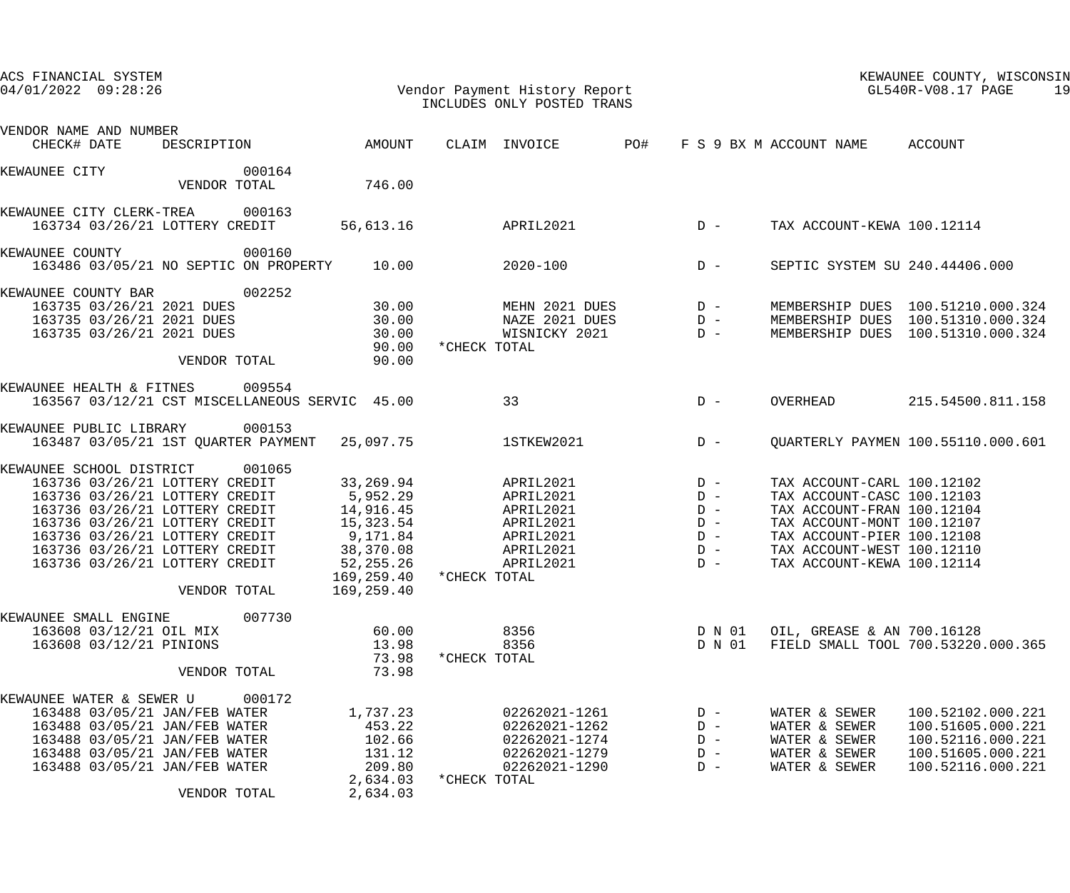| ACS FINANCIAL SYSTEM<br>$04/01/2022$ 09:28:26                                                                                                                                                                                                                          |                                                       |                                                                                                                   |              | Vendor Payment History Report<br>INCLUDES ONLY POSTED TRANS                             |     |                                                             |                                                                                                                                                                                                                | KEWAUNEE COUNTY, WISCONSIN<br>GL540R-V08.17 PAGE<br>19                                                      |
|------------------------------------------------------------------------------------------------------------------------------------------------------------------------------------------------------------------------------------------------------------------------|-------------------------------------------------------|-------------------------------------------------------------------------------------------------------------------|--------------|-----------------------------------------------------------------------------------------|-----|-------------------------------------------------------------|----------------------------------------------------------------------------------------------------------------------------------------------------------------------------------------------------------------|-------------------------------------------------------------------------------------------------------------|
| VENDOR NAME AND NUMBER<br>CHECK# DATE                                                                                                                                                                                                                                  | DESCRIPTION                                           | AMOUNT                                                                                                            |              | CLAIM INVOICE                                                                           | PO# |                                                             | F S 9 BX M ACCOUNT NAME                                                                                                                                                                                        | ACCOUNT                                                                                                     |
| KEWAUNEE CITY                                                                                                                                                                                                                                                          | 000164<br>VENDOR TOTAL                                | 746.00                                                                                                            |              |                                                                                         |     |                                                             |                                                                                                                                                                                                                |                                                                                                             |
| KEWAUNEE CITY CLERK-TREA<br>163734 03/26/21 LOTTERY CREDIT                                                                                                                                                                                                             | 000163                                                | 56,613.16                                                                                                         |              | APRIL2021                                                                               |     | $D -$                                                       | TAX ACCOUNT-KEWA 100.12114                                                                                                                                                                                     |                                                                                                             |
| KEWAUNEE COUNTY                                                                                                                                                                                                                                                        | 000160<br>163486 03/05/21 NO SEPTIC ON PROPERTY 10.00 |                                                                                                                   |              | $2020 - 100$                                                                            |     | $D -$                                                       | SEPTIC SYSTEM SU 240.44406.000                                                                                                                                                                                 |                                                                                                             |
| KEWAUNEE COUNTY BAR<br>163735 03/26/21 2021 DUES<br>163735 03/26/21 2021 DUES<br>163735 03/26/21 2021 DUES                                                                                                                                                             | 002252<br>VENDOR TOTAL                                | 30.00<br>30.00<br>30.00<br>90.00<br>90.00                                                                         | *CHECK TOTAL | MEHN 2021 DUES<br>NAZE 2021 DUES<br>WISNICKY 2021                                       |     | $D -$<br>$D -$<br>$D -$                                     |                                                                                                                                                                                                                | MEMBERSHIP DUES 100.51210.000.324<br>MEMBERSHIP DUES 100.51310.000.324<br>MEMBERSHIP DUES 100.51310.000.324 |
| KEWAUNEE HEALTH & FITNES 009554                                                                                                                                                                                                                                        | 163567 03/12/21 CST MISCELLANEOUS SERVIC 45.00        |                                                                                                                   |              | 33                                                                                      |     | $D -$                                                       | OVERHEAD                                                                                                                                                                                                       | 215.54500.811.158                                                                                           |
| KEWAUNEE PUBLIC LIBRARY                                                                                                                                                                                                                                                | 000153<br>163487 03/05/21 1ST QUARTER PAYMENT         | 25,097.75                                                                                                         |              | 1STKEW2021                                                                              |     | $D -$                                                       |                                                                                                                                                                                                                | <b>QUARTERLY PAYMEN 100.55110.000.601</b>                                                                   |
| KEWAUNEE SCHOOL DISTRICT<br>163736 03/26/21 LOTTERY CREDIT<br>163736 03/26/21 LOTTERY CREDIT<br>163736 03/26/21 LOTTERY CREDIT<br>163736 03/26/21 LOTTERY CREDIT<br>163736 03/26/21 LOTTERY CREDIT<br>163736 03/26/21 LOTTERY CREDIT<br>163736 03/26/21 LOTTERY CREDIT | 001065<br>VENDOR TOTAL                                | 33,269.94<br>5,952.29<br>14,916.45<br>15,323.54<br>9,171.84<br>38,370.08<br>52,255.26<br>169,259.40<br>169,259.40 | *CHECK TOTAL | APRIL2021<br>APRIL2021<br>APRIL2021<br>APRIL2021<br>APRIL2021<br>APRIL2021<br>APRIL2021 |     | $D -$<br>$D -$<br>$D -$<br>$D -$<br>$D -$<br>$D -$<br>$D -$ | TAX ACCOUNT-CARL 100.12102<br>TAX ACCOUNT-CASC 100.12103<br>TAX ACCOUNT-FRAN 100.12104<br>TAX ACCOUNT-MONT 100.12107<br>TAX ACCOUNT-PIER 100.12108<br>TAX ACCOUNT-WEST 100.12110<br>TAX ACCOUNT-KEWA 100.12114 |                                                                                                             |
| KEWAUNEE SMALL ENGINE<br>163608 03/12/21 OIL MIX<br>163608 03/12/21 PINIONS                                                                                                                                                                                            | 007730<br>VENDOR TOTAL                                | 60.00<br>13.98<br>73.98<br>73.98                                                                                  | *CHECK TOTAL | 8356<br>8356                                                                            |     | D N 01<br>D N 01                                            | OIL, GREASE & AN 700.16128                                                                                                                                                                                     | FIELD SMALL TOOL 700.53220.000.365                                                                          |
| KEWAUNEE WATER & SEWER U<br>163488 03/05/21 JAN/FEB WATER<br>163488 03/05/21 JAN/FEB WATER<br>163488 03/05/21 JAN/FEB WATER<br>163488 03/05/21 JAN/FEB WATER<br>163488 03/05/21 JAN/FEB WATER                                                                          | 000172<br>VENDOR TOTAL                                | 1,737.23<br>453.22<br>102.66<br>131.12<br>209.80<br>2,634.03<br>2,634.03                                          | *CHECK TOTAL | 02262021-1261<br>02262021-1262<br>02262021-1274<br>02262021-1279<br>02262021-1290       |     | $D -$<br>$D -$<br>$D -$<br>$D -$<br>$D -$                   | WATER & SEWER<br>WATER & SEWER<br>WATER & SEWER<br>WATER & SEWER<br>WATER & SEWER                                                                                                                              | 100.52102.000.221<br>100.51605.000.221<br>100.52116.000.221<br>100.51605.000.221<br>100.52116.000.221       |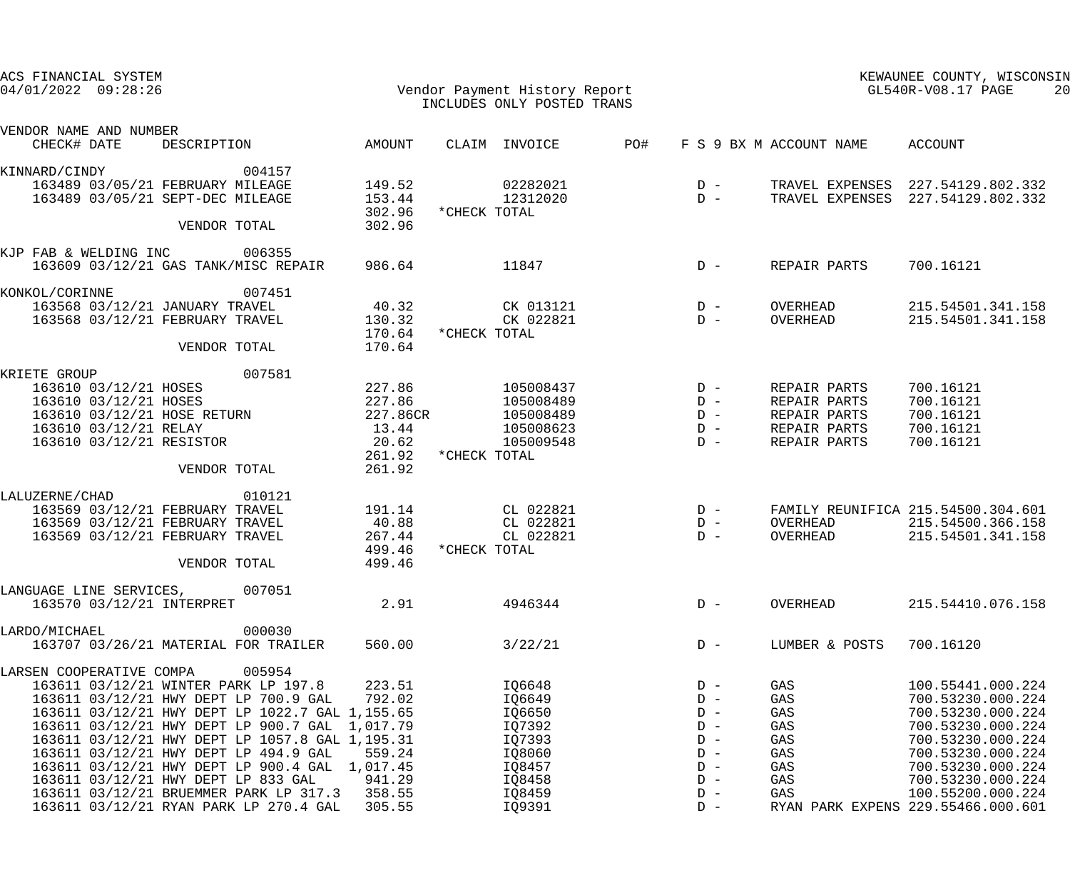| ACS FINANCIAL SYSTEM<br>04/01/2022 09:28:26<br>Vendor Payment History Report<br>INCLUDES ONLY POSTED TRANS |                                                 |                    |                      |     |       | KEWAUNEE COUNTY, WISCONSIN<br>GL540R-V08.17 PAGE |                                    |  |
|------------------------------------------------------------------------------------------------------------|-------------------------------------------------|--------------------|----------------------|-----|-------|--------------------------------------------------|------------------------------------|--|
| VENDOR NAME AND NUMBER<br>CHECK# DATE                                                                      | DESCRIPTION                                     | AMOUNT             | CLAIM INVOICE        | PO# |       | F S 9 BX M ACCOUNT NAME                          | ACCOUNT                            |  |
| KINNARD/CINDY                                                                                              | 004157                                          |                    |                      |     |       |                                                  |                                    |  |
| 163489 03/05/21 FEBRUARY MILEAGE                                                                           |                                                 | 149.52             | 02282021             |     | $D -$ |                                                  | TRAVEL EXPENSES 227.54129.802.332  |  |
| 163489 03/05/21 SEPT-DEC MILEAGE                                                                           |                                                 | 153.44             | 12312020             |     | $D -$ |                                                  | TRAVEL EXPENSES 227.54129.802.332  |  |
|                                                                                                            |                                                 | 302.96             | *CHECK TOTAL         |     |       |                                                  |                                    |  |
|                                                                                                            | VENDOR TOTAL                                    | 302.96             |                      |     |       |                                                  |                                    |  |
| KJP FAB & WELDING INC 006355                                                                               |                                                 |                    |                      |     |       |                                                  |                                    |  |
|                                                                                                            | 163609 03/12/21 GAS TANK/MISC REPAIR            | 986.64             | 11847                |     | $D -$ | REPAIR PARTS                                     | 700.16121                          |  |
|                                                                                                            |                                                 |                    |                      |     |       |                                                  |                                    |  |
| KONKOL/CORINNE                                                                                             | 007451                                          |                    |                      |     |       |                                                  |                                    |  |
| 163568 03/12/21 JANUARY TRAVEL                                                                             |                                                 | 40.32              | CK 013121            |     | $D -$ | OVERHEAD                                         | 215.54501.341.158                  |  |
| 163568 03/12/21 FEBRUARY TRAVEL                                                                            |                                                 | 130.32             | CK 022821            |     | $D -$ | OVERHEAD                                         | 215.54501.341.158                  |  |
|                                                                                                            |                                                 | 170.64             | *CHECK TOTAL         |     |       |                                                  |                                    |  |
|                                                                                                            | VENDOR TOTAL                                    | 170.64             |                      |     |       |                                                  |                                    |  |
| KRIETE GROUP                                                                                               | 007581                                          |                    |                      |     |       |                                                  |                                    |  |
| 163610 03/12/21 HOSES                                                                                      |                                                 | 227.86             | 105008437            |     | $D -$ | REPAIR PARTS                                     | 700.16121                          |  |
| 163610 03/12/21 HOSES                                                                                      |                                                 | 227.86<br>227.86CR | 105008489            |     | $D -$ | REPAIR PARTS                                     | 700.16121                          |  |
| 163610 03/12/21 HOSE RETURN                                                                                |                                                 |                    | 105008489            |     | $D -$ | REPAIR PARTS                                     | 700.16121                          |  |
| 163610 03/12/21 RELAY                                                                                      |                                                 | 13.44              | 105008623            |     | $D -$ | REPAIR PARTS                                     | 700.16121                          |  |
| 163610 03/12/21 RESISTOR                                                                                   |                                                 | 20.62              | 105009548            |     | $D -$ | REPAIR PARTS                                     | 700.16121                          |  |
|                                                                                                            |                                                 |                    | 261.92 * CHECK TOTAL |     |       |                                                  |                                    |  |
|                                                                                                            | VENDOR TOTAL                                    | 261.92             |                      |     |       |                                                  |                                    |  |
| LALUZERNE/CHAD                                                                                             | 010121                                          |                    |                      |     |       |                                                  |                                    |  |
| 163569 03/12/21 FEBRUARY TRAVEL                                                                            |                                                 | 191.14             | $CL$ 022821 $D -$    |     |       |                                                  | FAMILY REUNIFICA 215.54500.304.601 |  |
| 163569 03/12/21 FEBRUARY TRAVEL                                                                            |                                                 | 40.88              | CL 022821            |     | $D -$ | OVERHEAD                                         | 215.54500.366.158                  |  |
| 163569 03/12/21 FEBRUARY TRAVEL                                                                            |                                                 | 267.44             | CL 022821            |     | $D -$ | OVERHEAD                                         | 215.54501.341.158                  |  |
|                                                                                                            |                                                 | 499.46             | *CHECK TOTAL         |     |       |                                                  |                                    |  |
|                                                                                                            | VENDOR TOTAL                                    | 499.46             |                      |     |       |                                                  |                                    |  |
|                                                                                                            |                                                 |                    |                      |     |       |                                                  |                                    |  |
| LANGUAGE LINE SERVICES,                                                                                    | 007051                                          |                    |                      |     |       |                                                  |                                    |  |
| 163570 03/12/21 INTERPRET                                                                                  |                                                 | 2.91               | 4946344              |     | $D -$ | OVERHEAD                                         | 215.54410.076.158                  |  |
| LARDO/MICHAEL                                                                                              | 000030                                          |                    |                      |     |       |                                                  |                                    |  |
|                                                                                                            | 163707 03/26/21 MATERIAL FOR TRAILER            | 560.00             | 3/22/21              |     | $D -$ | LUMBER & POSTS                                   | 700.16120                          |  |
| LARSEN COOPERATIVE COMPA                                                                                   | 005954                                          |                    |                      |     |       |                                                  |                                    |  |
|                                                                                                            | 163611 03/12/21 WINTER PARK LP 197.8            | 223.51             | IQ6648               |     | $D -$ | GAS                                              | 100.55441.000.224                  |  |
|                                                                                                            | 163611 03/12/21 HWY DEPT LP 700.9 GAL           | 792.02             | IQ6649               |     | $D -$ | GAS                                              | 700.53230.000.224                  |  |
|                                                                                                            | 163611 03/12/21 HWY DEPT LP 1022.7 GAL 1,155.65 |                    | IQ6650               |     | $D -$ | GAS                                              | 700.53230.000.224                  |  |
|                                                                                                            | 163611 03/12/21 HWY DEPT LP 900.7 GAL           | 1,017.79           | IQ7392               |     | $D -$ | GAS                                              | 700.53230.000.224                  |  |
|                                                                                                            | 163611 03/12/21 HWY DEPT LP 1057.8 GAL 1,195.31 |                    | IQ7393               |     | $D -$ | GAS                                              | 700.53230.000.224                  |  |
|                                                                                                            | 163611 03/12/21 HWY DEPT LP 494.9 GAL           | 559.24             | IQ8060               |     | $D -$ | GAS                                              | 700.53230.000.224                  |  |
|                                                                                                            | 163611 03/12/21 HWY DEPT LP 900.4 GAL           | 1,017.45           | IQ8457               |     | $D -$ | GAS                                              | 700.53230.000.224                  |  |
|                                                                                                            | 163611 03/12/21 HWY DEPT LP 833 GAL             | 941.29             | IQ8458               |     | $D -$ | GAS                                              | 700.53230.000.224                  |  |
|                                                                                                            | 163611 03/12/21 BRUEMMER PARK LP 317.3          | 358.55             | IQ8459               |     | $D -$ | GAS                                              | 100.55200.000.224                  |  |
|                                                                                                            | 163611 03/12/21 RYAN PARK LP 270.4 GAL          | 305.55             | IQ9391               |     | $D -$ |                                                  | RYAN PARK EXPENS 229.55466.000.601 |  |
|                                                                                                            |                                                 |                    |                      |     |       |                                                  |                                    |  |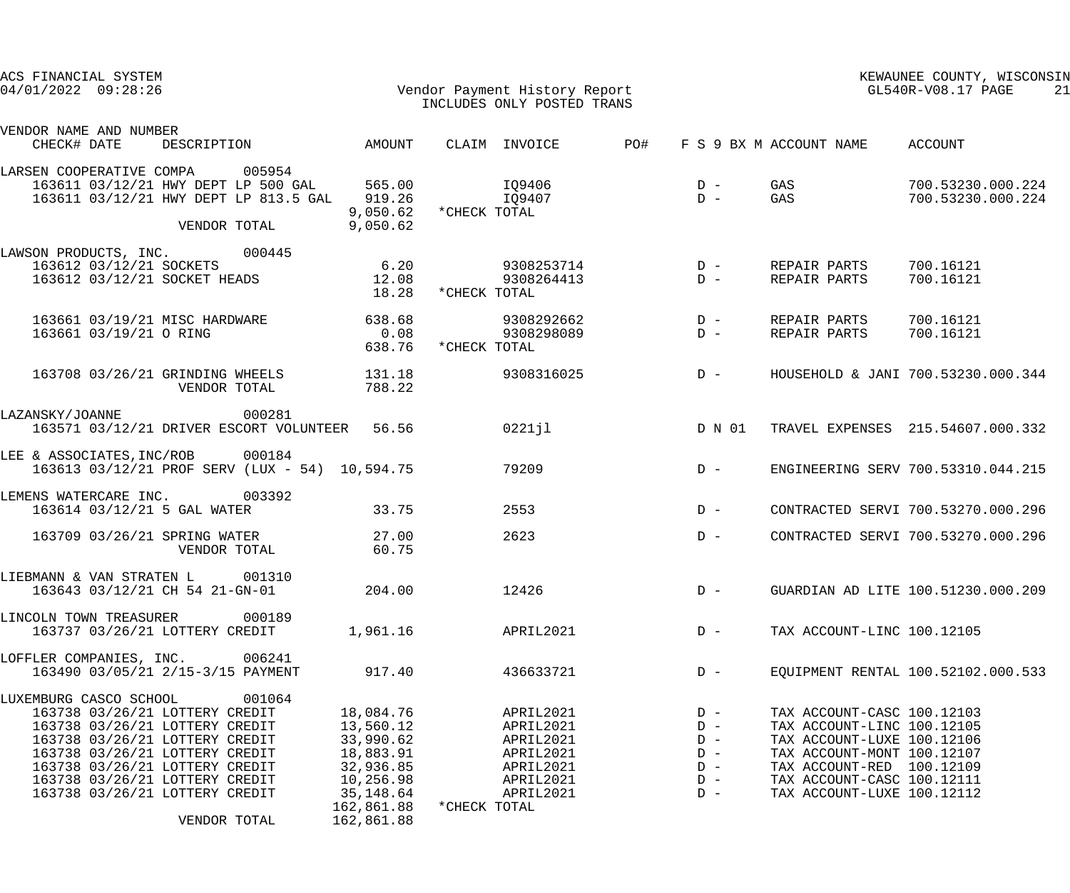| ACS FINANCIAL SYSTEM<br>$04/01/2022$ $09:28:26$                                                                                                                                                                                                                                                |                                                                                                                     | Vendor Payment History Report<br>INCLUDES ONLY POSTED TRANS                                             |     |                                                             |                                                                                                                                                                                                               | KEWAUNEE COUNTY, WISCONSIN<br>GL540R-V08.17 PAGE<br>21 |
|------------------------------------------------------------------------------------------------------------------------------------------------------------------------------------------------------------------------------------------------------------------------------------------------|---------------------------------------------------------------------------------------------------------------------|---------------------------------------------------------------------------------------------------------|-----|-------------------------------------------------------------|---------------------------------------------------------------------------------------------------------------------------------------------------------------------------------------------------------------|--------------------------------------------------------|
| VENDOR NAME AND NUMBER<br>DESCRIPTION AMOUNT<br>CHECK# DATE                                                                                                                                                                                                                                    |                                                                                                                     | CLAIM INVOICE                                                                                           | PO# |                                                             | F S 9 BX M ACCOUNT NAME ACCOUNT                                                                                                                                                                               |                                                        |
|                                                                                                                                                                                                                                                                                                |                                                                                                                     |                                                                                                         |     |                                                             |                                                                                                                                                                                                               |                                                        |
| LARSEN COOPERATIVE COMPA 005954<br>163611 03/12/21 HWY DEPT LP 500 GAL 565.00 1Q9406<br>163611 03/12/21 HWY DEPT LP 813.5 GAL 919.26<br>VENDOR TOTAL                                                                                                                                           | 9,050.62                                                                                                            | IQ9407<br>9,050.62 *CHECK TOTAL                                                                         |     | $D - GAS$                                                   |                                                                                                                                                                                                               | $D - GAS$ 700.53230.000.224<br>700.53230.000.224       |
| LAWSON PRODUCTS, INC. 000445                                                                                                                                                                                                                                                                   |                                                                                                                     |                                                                                                         |     |                                                             |                                                                                                                                                                                                               |                                                        |
| 163612 03/12/21 SOCKETS<br>163612 03/12/21 SOCKET HEADS                                                                                                                                                                                                                                        | 6.20<br>12.08                                                                                                       | 18.28 * CHECK TOTAL                                                                                     |     |                                                             |                                                                                                                                                                                                               |                                                        |
| 163661 03/19/21 MISC HARDWARE<br>163661 03/19/21 O RING                                                                                                                                                                                                                                        | 638.68<br>0.08                                                                                                      | 638.76 *CHECK TOTAL                                                                                     |     |                                                             | REPAIR PARTS 700.16121<br>REPAIR PARTS                                                                                                                                                                        | 700.16121                                              |
| 163708 03/26/21 GRINDING WHEELS 131.18<br>VENDOR TOTAL                                                                                                                                                                                                                                         | 788.22                                                                                                              | 9308316025                                                                                              |     | $D -$                                                       |                                                                                                                                                                                                               | HOUSEHOLD & JANI 700.53230.000.344                     |
| 000281<br>LAZANSKY/JOANNE<br>163571 03/12/21 DRIVER ESCORT VOLUNTEER 56.56                                                                                                                                                                                                                     |                                                                                                                     | 0221jl                                                                                                  |     | D N 01                                                      |                                                                                                                                                                                                               | TRAVEL EXPENSES 215.54607.000.332                      |
| LEE & ASSOCIATES, INC/ROB 000184<br>163613 03/12/21 PROF SERV (LUX - 54) 10,594.75                                                                                                                                                                                                             |                                                                                                                     | 79209                                                                                                   |     | $D -$                                                       |                                                                                                                                                                                                               | ENGINEERING SERV 700.53310.044.215                     |
| LEMENS WATERCARE INC. 003392<br>163614 03/12/21 5 GAL WATER                                                                                                                                                                                                                                    | 33.75                                                                                                               | 2553                                                                                                    |     | $D -$                                                       |                                                                                                                                                                                                               | CONTRACTED SERVI 700.53270.000.296                     |
| 163709 03/26/21 SPRING WATER 27.00<br>VENDOR TOTAL                                                                                                                                                                                                                                             | 60.75                                                                                                               | 2623                                                                                                    |     | $D -$                                                       |                                                                                                                                                                                                               | CONTRACTED SERVI 700.53270.000.296                     |
| LIEBMANN & VAN STRATEN L<br>001310<br>163643 03/12/21 CH 54 21-GN-01                                                                                                                                                                                                                           | 204.00                                                                                                              | 12426                                                                                                   |     | $D -$                                                       |                                                                                                                                                                                                               | GUARDIAN AD LITE 100.51230.000.209                     |
| LINCOLN TOWN TREASURER<br>000189<br>163737 03/26/21 LOTTERY CREDIT                                                                                                                                                                                                                             | 1,961.16                                                                                                            | APRIL2021                                                                                               |     | $D -$                                                       | TAX ACCOUNT-LINC 100.12105                                                                                                                                                                                    |                                                        |
| 006241<br>LOFFLER COMPANIES, INC.<br>163490 03/05/21 2/15-3/15 PAYMENT                                                                                                                                                                                                                         | 917.40                                                                                                              | 436633721                                                                                               |     | $D -$                                                       |                                                                                                                                                                                                               | EOUIPMENT RENTAL 100.52102.000.533                     |
| LUXEMBURG CASCO SCHOOL<br>001064<br>163738 03/26/21 LOTTERY CREDIT<br>163738 03/26/21 LOTTERY CREDIT<br>163738 03/26/21 LOTTERY CREDIT<br>163738 03/26/21 LOTTERY CREDIT<br>163738 03/26/21 LOTTERY CREDIT<br>163738 03/26/21 LOTTERY CREDIT<br>163738 03/26/21 LOTTERY CREDIT<br>VENDOR TOTAL | 18,084.76<br>13,560.12<br>33,990.62<br>18,883.91<br>32,936.85<br>10,256.98<br>35,148.64<br>162,861.88<br>162,861.88 | APRIL2021<br>APRIL2021<br>APRIL2021<br>APRIL2021<br>APRIL2021<br>APRIL2021<br>APRIL2021<br>*CHECK TOTAL |     | $D -$<br>$D -$<br>$D -$<br>$D -$<br>$D -$<br>$D -$<br>$D -$ | TAX ACCOUNT-CASC 100.12103<br>TAX ACCOUNT-LINC 100.12105<br>TAX ACCOUNT-LUXE 100.12106<br>TAX ACCOUNT-MONT 100.12107<br>TAX ACCOUNT-RED 100.12109<br>TAX ACCOUNT-CASC 100.12111<br>TAX ACCOUNT-LUXE 100.12112 |                                                        |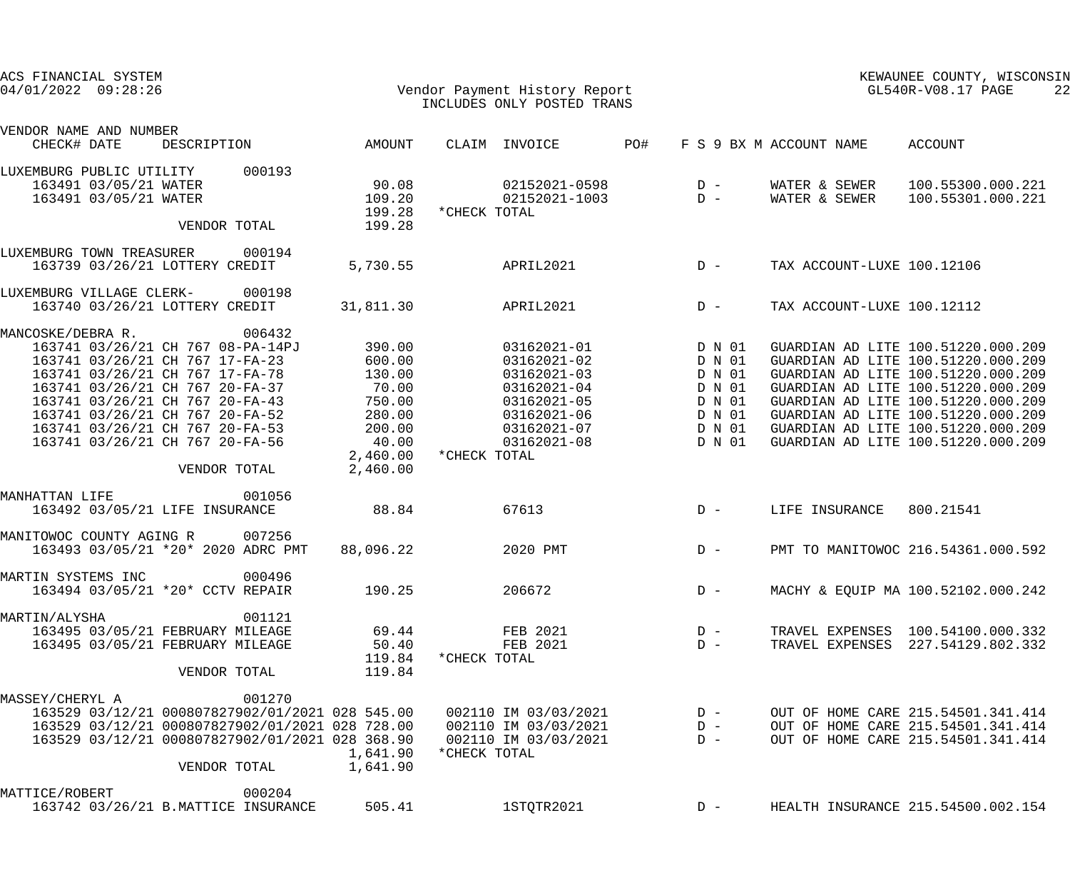| ACS FINANCIAL SYSTEM<br>$04/01/2022$ 09:28:26                                                                                                                                                                                                                          |                                                                                                                                                                                 |                                                                                                    |              | Vendor Payment History Report<br>INCLUDES ONLY POSTED TRANS                                                          |     |                                                                              |                                | KEWAUNEE COUNTY, WISCONSIN<br>GL540R-V08.17 PAGE<br>22                                                                                                                                                                                                                                                       |
|------------------------------------------------------------------------------------------------------------------------------------------------------------------------------------------------------------------------------------------------------------------------|---------------------------------------------------------------------------------------------------------------------------------------------------------------------------------|----------------------------------------------------------------------------------------------------|--------------|----------------------------------------------------------------------------------------------------------------------|-----|------------------------------------------------------------------------------|--------------------------------|--------------------------------------------------------------------------------------------------------------------------------------------------------------------------------------------------------------------------------------------------------------------------------------------------------------|
| VENDOR NAME AND NUMBER<br>CHECK# DATE                                                                                                                                                                                                                                  | DESCRIPTION                                                                                                                                                                     | AMOUNT                                                                                             |              | CLAIM INVOICE                                                                                                        | PO# |                                                                              | F S 9 BX M ACCOUNT NAME        | ACCOUNT                                                                                                                                                                                                                                                                                                      |
| LUXEMBURG PUBLIC UTILITY<br>163491 03/05/21 WATER<br>163491 03/05/21 WATER                                                                                                                                                                                             | 000193                                                                                                                                                                          | 90.08<br>109.20<br>199.28                                                                          | *CHECK TOTAL | 02152021-0598<br>02152021-1003                                                                                       |     | $D -$<br>$D -$                                                               | WATER & SEWER<br>WATER & SEWER | 100.55300.000.221<br>100.55301.000.221                                                                                                                                                                                                                                                                       |
|                                                                                                                                                                                                                                                                        | VENDOR TOTAL                                                                                                                                                                    | 199.28                                                                                             |              |                                                                                                                      |     |                                                                              |                                |                                                                                                                                                                                                                                                                                                              |
| LUXEMBURG TOWN TREASURER<br>163739 03/26/21 LOTTERY CREDIT                                                                                                                                                                                                             | 000194                                                                                                                                                                          | 5,730.55                                                                                           |              | APRIL2021                                                                                                            |     | $D -$                                                                        | TAX ACCOUNT-LUXE 100.12106     |                                                                                                                                                                                                                                                                                                              |
| LUXEMBURG VILLAGE CLERK-<br>163740 03/26/21 LOTTERY CREDIT                                                                                                                                                                                                             | 000198                                                                                                                                                                          | 31,811.30                                                                                          |              | APRIL2021                                                                                                            |     | $D -$                                                                        | TAX ACCOUNT-LUXE 100.12112     |                                                                                                                                                                                                                                                                                                              |
| MANCOSKE/DEBRA R.<br>163741 03/26/21 CH 767 17-FA-23<br>163741 03/26/21 CH 767 17-FA-78<br>163741 03/26/21 CH 767 20-FA-37<br>163741 03/26/21 CH 767 20-FA-43<br>163741 03/26/21 CH 767 20-FA-52<br>163741 03/26/21 CH 767 20-FA-53<br>163741 03/26/21 CH 767 20-FA-56 | 006432<br>163741 03/26/21 CH 767 08-PA-14PJ<br>VENDOR TOTAL                                                                                                                     | 390.00<br>600.00<br>130.00<br>70.00<br>750.00<br>280.00<br>200.00<br>40.00<br>2,460.00<br>2,460.00 | *CHECK TOTAL | 03162021-01<br>03162021-02<br>03162021-03<br>03162021-04<br>03162021-05<br>03162021-06<br>03162021-07<br>03162021-08 |     | D N 01<br>D N 01<br>D N 01<br>D N 01<br>D N 01<br>D N 01<br>D N 01<br>D N 01 |                                | GUARDIAN AD LITE 100.51220.000.209<br>GUARDIAN AD LITE 100.51220.000.209<br>GUARDIAN AD LITE 100.51220.000.209<br>GUARDIAN AD LITE 100.51220.000.209<br>GUARDIAN AD LITE 100.51220.000.209<br>GUARDIAN AD LITE 100.51220.000.209<br>GUARDIAN AD LITE 100.51220.000.209<br>GUARDIAN AD LITE 100.51220.000.209 |
| MANHATTAN LIFE<br>163492 03/05/21 LIFE INSURANCE                                                                                                                                                                                                                       | 001056                                                                                                                                                                          | 88.84                                                                                              |              | 67613                                                                                                                |     | $D -$                                                                        | LIFE INSURANCE                 | 800.21541                                                                                                                                                                                                                                                                                                    |
| MANITOWOC COUNTY AGING R                                                                                                                                                                                                                                               | 007256<br>163493 03/05/21 *20* 2020 ADRC PMT                                                                                                                                    | 88,096.22                                                                                          |              | 2020 PMT                                                                                                             |     | $D -$                                                                        |                                | PMT TO MANITOWOC 216.54361.000.592                                                                                                                                                                                                                                                                           |
| MARTIN SYSTEMS INC<br>163494 03/05/21 *20* CCTV REPAIR                                                                                                                                                                                                                 | 000496                                                                                                                                                                          | 190.25                                                                                             |              | 206672                                                                                                               |     | $D -$                                                                        |                                | MACHY & EOUIP MA 100.52102.000.242                                                                                                                                                                                                                                                                           |
| MARTIN/ALYSHA<br>163495 03/05/21 FEBRUARY MILEAGE<br>163495 03/05/21 FEBRUARY MILEAGE                                                                                                                                                                                  | 001121<br>VENDOR TOTAL                                                                                                                                                          | 69.44<br>50.40<br>119.84<br>119.84                                                                 | *CHECK TOTAL | FEB 2021<br>FEB 2021                                                                                                 |     | $D -$<br>$D -$                                                               |                                | TRAVEL EXPENSES 100.54100.000.332<br>TRAVEL EXPENSES 227.54129.802.332                                                                                                                                                                                                                                       |
| MASSEY/CHERYL A                                                                                                                                                                                                                                                        | 001270<br>163529 03/12/21 000807827902/01/2021 028 545.00<br>163529 03/12/21 000807827902/01/2021 028 728.00<br>163529 03/12/21 000807827902/01/2021 028 368.90<br>VENDOR TOTAL | 1,641.90<br>1,641.90                                                                               | *CHECK TOTAL | 002110 IM 03/03/2021<br>002110 IM 03/03/2021<br>002110 IM 03/03/2021                                                 |     | $D -$<br>$D -$<br>$D -$                                                      |                                | OUT OF HOME CARE 215.54501.341.414<br>OUT OF HOME CARE 215.54501.341.414<br>OUT OF HOME CARE 215.54501.341.414                                                                                                                                                                                               |
| MATTICE/ROBERT                                                                                                                                                                                                                                                         | 000204<br>163742 03/26/21 B.MATTICE INSURANCE                                                                                                                                   | 505.41                                                                                             |              | 1STQTR2021                                                                                                           |     | $D -$                                                                        |                                | HEALTH INSURANCE 215.54500.002.154                                                                                                                                                                                                                                                                           |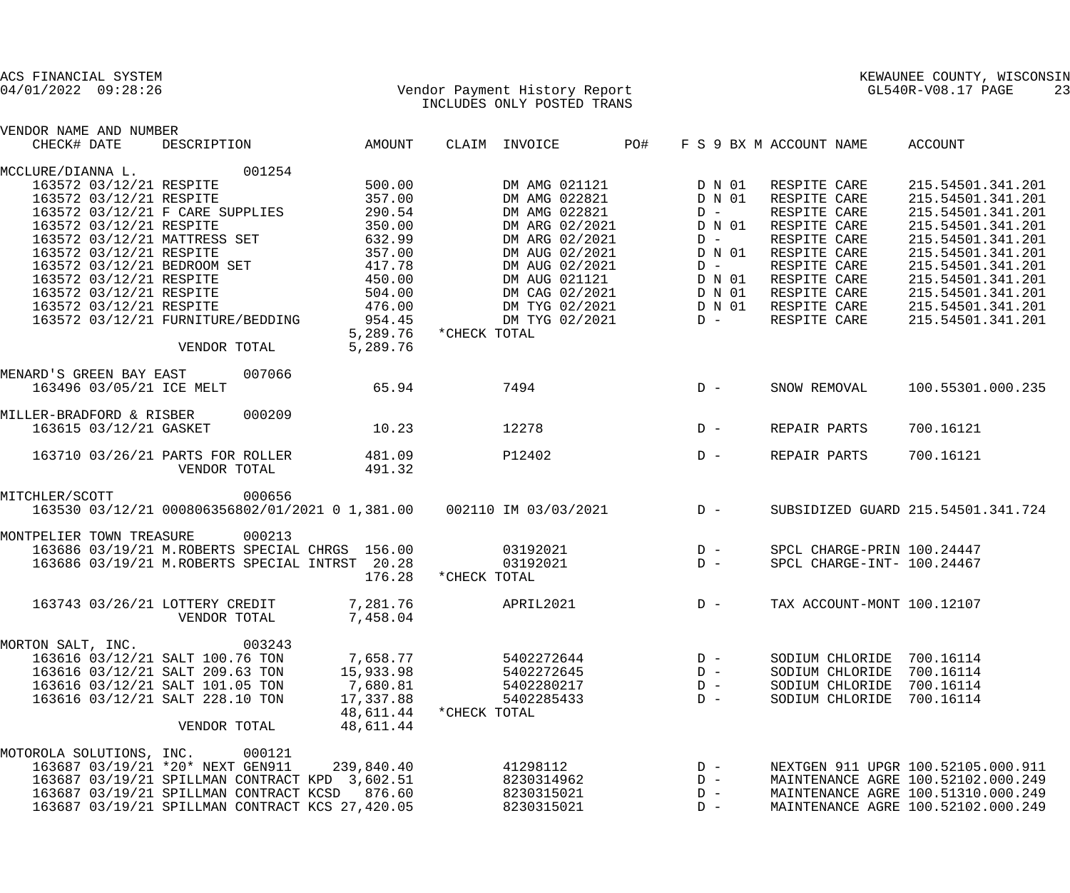| ACS FINANCIAL SYSTEM<br>Vendor Payment History Report<br>INCLUDES ONLY POSTED TRANS<br>$04/01/2022$ 09:28:26 |                         |                                   |        |                                                                      |              | INCLUDES ONLY POSTED TRANS      |       |        |                 |                              |                 | KEWAUNEE COUNTY, WISCONSIN<br>KEWAUNEE COUNTY, WIS<br>GL540R-V08.17 PAGE | 23 |
|--------------------------------------------------------------------------------------------------------------|-------------------------|-----------------------------------|--------|----------------------------------------------------------------------|--------------|---------------------------------|-------|--------|-----------------|------------------------------|-----------------|--------------------------------------------------------------------------|----|
| VENDOR NAME AND NUMBER<br>CHECK# DATE                                                                        |                         | DESCRIPTION                       |        | AMOUNT                                                               |              | CLAIM INVOICE                   | PO#   |        |                 | F S 9 BX M ACCOUNT NAME      |                 | ACCOUNT                                                                  |    |
|                                                                                                              |                         |                                   |        |                                                                      |              |                                 |       |        |                 |                              |                 |                                                                          |    |
| MCCLURE/DIANNA L.                                                                                            |                         | 001254                            |        |                                                                      |              |                                 |       |        |                 |                              |                 |                                                                          |    |
|                                                                                                              |                         | 163572 03/12/21 RESPITE           |        | 500.00                                                               |              | DM AMG 021121                   |       | D N 01 |                 | RESPITE CARE                 |                 | 215.54501.341.201                                                        |    |
|                                                                                                              | 163572 03/12/21 RESPITE |                                   |        | 357.00                                                               |              | DM AMG 022821                   |       | D N 01 |                 | RESPITE CARE                 |                 | 215.54501.341.201                                                        |    |
|                                                                                                              |                         | 163572 03/12/21 F CARE SUPPLIES   |        | 290.54                                                               |              | DM AMG 022821                   |       |        | $D -$           | RESPITE CARE                 |                 | 215.54501.341.201                                                        |    |
|                                                                                                              | 163572 03/12/21 RESPITE |                                   |        | 350.00                                                               |              | DM ARG 02/2021                  |       |        | D N 01          | RESPITE CARE                 |                 | 215.54501.341.201                                                        |    |
|                                                                                                              |                         |                                   |        | 163572 03/12/21 MATTRESS SET 632.99                                  |              | DM ARG 02/2021                  |       |        | $D -$           | RESPITE CARE                 |                 | 215.54501.341.201                                                        |    |
|                                                                                                              | 163572 03/12/21 RESPITE |                                   |        | 357.00<br>163572 03/12/21 BEDROOM SET 417.78                         |              | DM AUG 02/2021                  |       |        | D N 01          | RESPITE CARE                 |                 | 215.54501.341.201<br>215.54501.341.201                                   |    |
|                                                                                                              | 163572 03/12/21 RESPITE |                                   |        | 450.00                                                               |              | DM AUG 02/2021<br>DM AUG 021121 |       |        | $D -$<br>D N 01 | RESPITE CARE<br>RESPITE CARE |                 | 215.54501.341.201                                                        |    |
|                                                                                                              |                         | 163572 03/12/21 RESPITE           |        | 504.00                                                               |              | DM CAG 02/2021                  |       |        | D N 01          |                              | RESPITE CARE    | 215.54501.341.201                                                        |    |
|                                                                                                              | 163572 03/12/21 RESPITE |                                   |        | 476.00                                                               |              | DM TYG 02/2021 D N 01           |       |        |                 |                              | RESPITE CARE    | 215.54501.341.201                                                        |    |
|                                                                                                              |                         | 163572 03/12/21 FURNITURE/BEDDING |        | 954.45                                                               |              | DM TYG 02/2021                  |       |        | $D -$           |                              | RESPITE CARE    | 215.54501.341.201                                                        |    |
|                                                                                                              |                         |                                   |        | 5,289.76 * CHECK TOTAL                                               |              |                                 |       |        |                 |                              |                 |                                                                          |    |
|                                                                                                              |                         | VENDOR TOTAL                      |        | 5,289.76                                                             |              |                                 |       |        |                 |                              |                 |                                                                          |    |
| MENARD'S GREEN BAY EAST                                                                                      |                         |                                   | 007066 |                                                                      |              |                                 |       |        |                 |                              |                 |                                                                          |    |
|                                                                                                              |                         | 163496 03/05/21 ICE MELT          |        | 65.94                                                                |              | 7494                            | $D -$ |        |                 | SNOW REMOVAL                 |                 | 100.55301.000.235                                                        |    |
|                                                                                                              |                         |                                   |        |                                                                      |              |                                 |       |        |                 |                              |                 |                                                                          |    |
| MILLER-BRADFORD & RISBER                                                                                     |                         |                                   | 000209 |                                                                      |              |                                 |       |        |                 |                              |                 |                                                                          |    |
|                                                                                                              | 163615 03/12/21 GASKET  |                                   |        | 10.23                                                                | 12278        |                                 | $D -$ |        |                 | REPAIR PARTS                 |                 | 700.16121                                                                |    |
|                                                                                                              |                         | 163710 03/26/21 PARTS FOR ROLLER  |        | 481.09                                                               |              | P12402                          |       |        | $D -$           | REPAIR PARTS                 |                 | 700.16121                                                                |    |
|                                                                                                              |                         | VENDOR TOTAL                      |        | 491.32                                                               |              |                                 |       |        |                 |                              |                 |                                                                          |    |
| MITCHLER/SCOTT                                                                                               |                         |                                   | 000656 |                                                                      |              |                                 |       |        |                 |                              |                 |                                                                          |    |
|                                                                                                              |                         |                                   |        | 163530 03/12/21 000806356802/01/2021 0 1,381.00 002110 IM 03/03/2021 |              |                                 |       | $D -$  |                 |                              |                 | SUBSIDIZED GUARD 215.54501.341.724                                       |    |
|                                                                                                              |                         |                                   |        |                                                                      |              |                                 |       |        |                 |                              |                 |                                                                          |    |
| MONTPELIER TOWN TREASURE                                                                                     |                         |                                   | 000213 |                                                                      |              |                                 |       |        |                 |                              |                 |                                                                          |    |
|                                                                                                              |                         |                                   |        | 163686 03/19/21 M.ROBERTS SPECIAL CHRGS 156.00                       |              | 03192021                        |       |        | $D -$           |                              |                 | SPCL CHARGE-PRIN 100.24447                                               |    |
|                                                                                                              |                         |                                   |        | 163686 03/19/21 M.ROBERTS SPECIAL INTRST 20.28<br>176.28             | *CHECK TOTAL | 03192021                        |       |        | $D -$           |                              |                 | SPCL CHARGE-INT- 100.24467                                               |    |
|                                                                                                              |                         |                                   |        |                                                                      |              |                                 |       |        |                 |                              |                 |                                                                          |    |
|                                                                                                              |                         | 163743 03/26/21 LOTTERY CREDIT    |        | 7,281.76                                                             |              | APRIL2021                       |       |        | $D -$           |                              |                 | TAX ACCOUNT-MONT 100.12107                                               |    |
|                                                                                                              |                         | VENDOR TOTAL                      |        | 7,458.04                                                             |              |                                 |       |        |                 |                              |                 |                                                                          |    |
| MORTON SALT, INC.                                                                                            |                         |                                   | 003243 |                                                                      |              |                                 |       |        |                 |                              |                 |                                                                          |    |
|                                                                                                              |                         | 163616 03/12/21 SALT 100.76 TON   |        | 7,658.77                                                             |              | 5402272644                      |       |        | $D -$           |                              |                 | SODIUM CHLORIDE 700.16114                                                |    |
|                                                                                                              |                         | 163616 03/12/21 SALT 209.63 TON   |        | 15,933.98                                                            |              | 5402272645                      |       |        | $D -$           |                              | SODIUM CHLORIDE | 700.16114                                                                |    |
|                                                                                                              |                         | 163616 03/12/21 SALT 101.05 TON   |        | 7,680.81                                                             |              | 5402280217                      |       |        | $D -$           |                              | SODIUM CHLORIDE | 700.16114                                                                |    |
|                                                                                                              |                         | 163616 03/12/21 SALT 228.10 TON   |        | 17,337.88                                                            |              | 5402285433                      |       |        | $D -$           |                              |                 | SODIUM CHLORIDE 700.16114                                                |    |
|                                                                                                              |                         |                                   |        | 48,611.44                                                            | *CHECK TOTAL |                                 |       |        |                 |                              |                 |                                                                          |    |
|                                                                                                              |                         | VENDOR TOTAL                      |        | 48,611.44                                                            |              |                                 |       |        |                 |                              |                 |                                                                          |    |
| MOTOROLA SOLUTIONS, INC. 000121                                                                              |                         |                                   |        |                                                                      |              |                                 |       |        |                 |                              |                 |                                                                          |    |
|                                                                                                              |                         | 163687 03/19/21 *20* NEXT GEN911  |        | 239,840.40                                                           |              | 41298112                        |       |        | $D -$           |                              |                 | NEXTGEN 911 UPGR 100.52105.000.911                                       |    |
|                                                                                                              |                         |                                   |        | 163687 03/19/21 SPILLMAN CONTRACT KPD 3,602.51                       |              | 8230314962                      |       |        | $D -$           |                              |                 | MAINTENANCE AGRE 100.52102.000.249                                       |    |
|                                                                                                              |                         |                                   |        | 163687 03/19/21 SPILLMAN CONTRACT KCSD 876.60                        |              | 8230315021                      |       |        | $D -$           |                              |                 | MAINTENANCE AGRE 100.51310.000.249                                       |    |
|                                                                                                              |                         |                                   |        | 163687 03/19/21 SPILLMAN CONTRACT KCS 27,420.05                      |              | 8230315021                      |       |        | $D -$           |                              |                 | MAINTENANCE AGRE 100.52102.000.249                                       |    |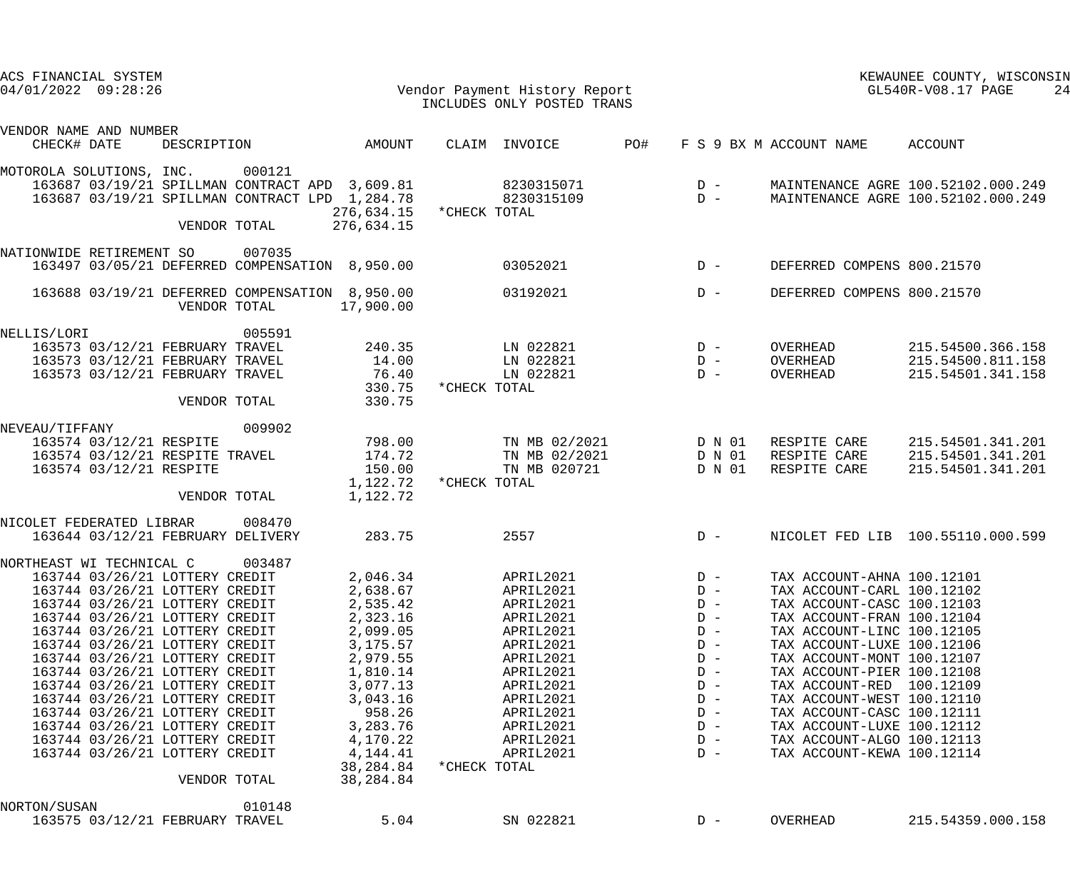| ACS FINANCIAL SYSTEM<br>$04/01/2022$ $09:28:26$                                                                                                                                                                                                                                                                                                                                                                                                                                                                      |              |        |                                                                                                                                                                                                  |              | Vendor Payment History Report<br>INCLUDES ONLY POSTED TRANS                                                                                                                        |     |                                                                                                                            |                                                                                                                                                                                                                                                                                                                                                                                                                                 | KEWAUNEE COUNTY, WISCONSIN<br>$GL540R-V08.17$ PAGE<br>24                        |
|----------------------------------------------------------------------------------------------------------------------------------------------------------------------------------------------------------------------------------------------------------------------------------------------------------------------------------------------------------------------------------------------------------------------------------------------------------------------------------------------------------------------|--------------|--------|--------------------------------------------------------------------------------------------------------------------------------------------------------------------------------------------------|--------------|------------------------------------------------------------------------------------------------------------------------------------------------------------------------------------|-----|----------------------------------------------------------------------------------------------------------------------------|---------------------------------------------------------------------------------------------------------------------------------------------------------------------------------------------------------------------------------------------------------------------------------------------------------------------------------------------------------------------------------------------------------------------------------|---------------------------------------------------------------------------------|
| VENDOR NAME AND NUMBER<br>CHECK# DATE                                                                                                                                                                                                                                                                                                                                                                                                                                                                                | DESCRIPTION  |        | AMOUNT                                                                                                                                                                                           |              | CLAIM INVOICE                                                                                                                                                                      | PO# |                                                                                                                            | F S 9 BX M ACCOUNT NAME                                                                                                                                                                                                                                                                                                                                                                                                         | ACCOUNT                                                                         |
| MOTOROLA SOLUTIONS, INC.<br>163687 03/19/21 SPILLMAN CONTRACT APD 3,609.81<br>163687 03/19/21 SPILLMAN CONTRACT LPD 1,284.78                                                                                                                                                                                                                                                                                                                                                                                         | VENDOR TOTAL | 000121 | 276,634.15<br>276,634.15                                                                                                                                                                         | *CHECK TOTAL | 8230315071<br>8230315109                                                                                                                                                           |     | $D -$<br>$D -$                                                                                                             |                                                                                                                                                                                                                                                                                                                                                                                                                                 | MAINTENANCE AGRE 100.52102.000.249<br>MAINTENANCE AGRE 100.52102.000.249        |
| NATIONWIDE RETIREMENT SO<br>163497 03/05/21 DEFERRED COMPENSATION 8,950.00                                                                                                                                                                                                                                                                                                                                                                                                                                           |              | 007035 |                                                                                                                                                                                                  |              | 03052021                                                                                                                                                                           |     | $D -$                                                                                                                      | DEFERRED COMPENS 800.21570                                                                                                                                                                                                                                                                                                                                                                                                      |                                                                                 |
| 163688 03/19/21 DEFERRED COMPENSATION 8,950.00                                                                                                                                                                                                                                                                                                                                                                                                                                                                       | VENDOR TOTAL |        | 17,900.00                                                                                                                                                                                        |              | 03192021                                                                                                                                                                           |     | $D -$                                                                                                                      | DEFERRED COMPENS 800.21570                                                                                                                                                                                                                                                                                                                                                                                                      |                                                                                 |
| NELLIS/LORI<br>163573 03/12/21 FEBRUARY TRAVEL<br>163573 03/12/21 FEBRUARY TRAVEL<br>163573 03/12/21 FEBRUARY TRAVEL                                                                                                                                                                                                                                                                                                                                                                                                 | VENDOR TOTAL | 005591 | 240.35<br>14.00<br>76.40<br>330.75<br>330.75                                                                                                                                                     | *CHECK TOTAL | LN 022821<br>LN 022821<br>LN 022821                                                                                                                                                |     | $D -$<br>$D -$<br>$D -$                                                                                                    | OVERHEAD<br>OVERHEAD<br>OVERHEAD                                                                                                                                                                                                                                                                                                                                                                                                | 215.54500.366.158<br>215.54500.811.158<br>215.54501.341.158                     |
| NEVEAU/TIFFANY<br>163574 03/12/21 RESPITE<br>163574 03/12/21 RESPITE TRAVEL<br>163574 03/12/21 RESPITE                                                                                                                                                                                                                                                                                                                                                                                                               | VENDOR TOTAL | 009902 | 798.00<br>174.72<br>150.00<br>1,122.72<br>1,122.72                                                                                                                                               | *CHECK TOTAL | TN MB 02/2021<br>TN MB 020721                                                                                                                                                      |     | D N 01                                                                                                                     | TN MB 02/2021 D N 01 RESPITE CARE<br>RESPITE CARE                                                                                                                                                                                                                                                                                                                                                                               | 215.54501.341.201<br>D N 01 RESPITE CARE 215.54501.341.201<br>215.54501.341.201 |
| NICOLET FEDERATED LIBRAR<br>163644 03/12/21 FEBRUARY DELIVERY                                                                                                                                                                                                                                                                                                                                                                                                                                                        |              | 008470 | 283.75                                                                                                                                                                                           |              | 2557                                                                                                                                                                               |     | $D -$                                                                                                                      |                                                                                                                                                                                                                                                                                                                                                                                                                                 | NICOLET FED LIB 100.55110.000.599                                               |
| NORTHEAST WI TECHNICAL C<br>163744 03/26/21 LOTTERY CREDIT<br>163744 03/26/21 LOTTERY CREDIT<br>163744 03/26/21 LOTTERY CREDIT<br>163744 03/26/21 LOTTERY CREDIT<br>163744 03/26/21 LOTTERY CREDIT<br>163744 03/26/21 LOTTERY CREDIT<br>163744 03/26/21 LOTTERY CREDIT<br>163744 03/26/21 LOTTERY CREDIT<br>163744 03/26/21 LOTTERY CREDIT<br>163744 03/26/21 LOTTERY CREDIT<br>163744 03/26/21 LOTTERY CREDIT<br>163744 03/26/21 LOTTERY CREDIT<br>163744 03/26/21 LOTTERY CREDIT<br>163744 03/26/21 LOTTERY CREDIT | VENDOR TOTAL | 003487 | 2,046.34<br>2,638.67<br>2,535.42<br>2,323.16<br>2,099.05<br>3,175.57<br>2,979.55<br>1,810.14<br>3,077.13<br>3,043.16<br>958.26<br>3,283.76<br>4,170.22<br>4, 144. 41<br>38, 284.84<br>38, 284.84 | *CHECK TOTAL | APRIL2021<br>APRIL2021<br>APRIL2021<br>APRIL2021<br>APRIL2021<br>APRIL2021<br>APRIL2021<br>APRIL2021<br>APRIL2021<br>APRIL2021<br>APRIL2021<br>APRIL2021<br>APRIL2021<br>APRIL2021 |     | $D -$<br>$D -$<br>$D -$<br>$D -$<br>$D -$<br>$D -$<br>$D -$<br>$D -$<br>$D -$<br>$D -$<br>$D -$<br>$D -$<br>$D -$<br>$D -$ | TAX ACCOUNT-AHNA 100.12101<br>TAX ACCOUNT-CARL 100.12102<br>TAX ACCOUNT-CASC 100.12103<br>TAX ACCOUNT-FRAN 100.12104<br>TAX ACCOUNT-LINC 100.12105<br>TAX ACCOUNT-LUXE 100.12106<br>TAX ACCOUNT-MONT 100.12107<br>TAX ACCOUNT-PIER 100.12108<br>TAX ACCOUNT-RED 100.12109<br>TAX ACCOUNT-WEST 100.12110<br>TAX ACCOUNT-CASC 100.12111<br>TAX ACCOUNT-LUXE 100.12112<br>TAX ACCOUNT-ALGO 100.12113<br>TAX ACCOUNT-KEWA 100.12114 |                                                                                 |
| NORTON/SUSAN<br>163575 03/12/21 FEBRUARY TRAVEL                                                                                                                                                                                                                                                                                                                                                                                                                                                                      |              | 010148 | 5.04                                                                                                                                                                                             |              | SN 022821                                                                                                                                                                          |     | $D -$                                                                                                                      | OVERHEAD                                                                                                                                                                                                                                                                                                                                                                                                                        | 215.54359.000.158                                                               |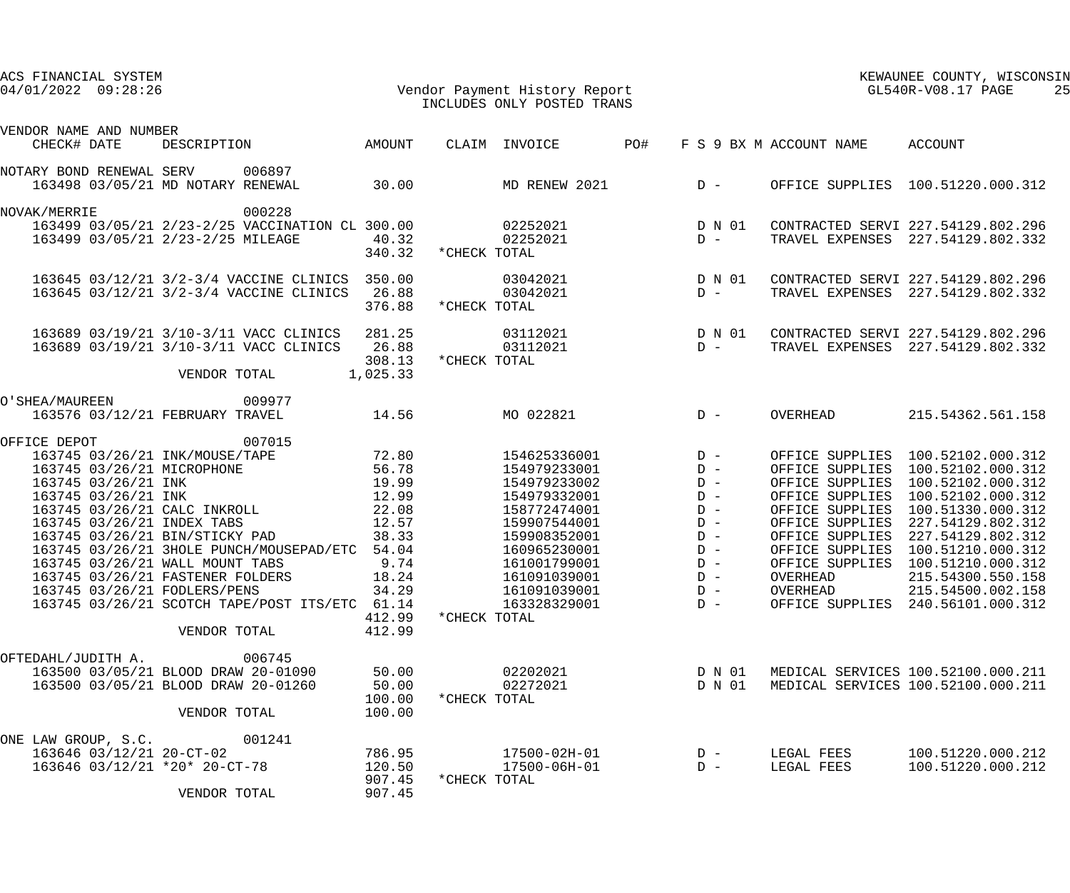| ACS FINANCIAL SYSTEM<br>04/01/2022 09:28:26                                                                                                                                                                                                                                                                                                                                                                                                                     |                                                                                                           | Vendor Payment History Report<br>INCLUDES ONLY POSTED TRANS                                                                                                                                                  |                                                                                                          | KEWAUNEE COUNTY, WISCONSIN<br>GL540R-V08.17 PAGE<br>25                                                              |                                                                                                                                                                                                                                                                                                                                          |  |
|-----------------------------------------------------------------------------------------------------------------------------------------------------------------------------------------------------------------------------------------------------------------------------------------------------------------------------------------------------------------------------------------------------------------------------------------------------------------|-----------------------------------------------------------------------------------------------------------|--------------------------------------------------------------------------------------------------------------------------------------------------------------------------------------------------------------|----------------------------------------------------------------------------------------------------------|---------------------------------------------------------------------------------------------------------------------|------------------------------------------------------------------------------------------------------------------------------------------------------------------------------------------------------------------------------------------------------------------------------------------------------------------------------------------|--|
| VENDOR NAME AND NUMBER<br>DESCRIPTION AMOUNT<br>CHECK# DATE                                                                                                                                                                                                                                                                                                                                                                                                     |                                                                                                           | PO#<br>CLAIM INVOICE                                                                                                                                                                                         |                                                                                                          | F S 9 BX M ACCOUNT NAME ACCOUNT                                                                                     |                                                                                                                                                                                                                                                                                                                                          |  |
| NOTARY BOND RENEWAL SERV 006897<br>163498 03/05/21 MD NOTARY RENEWAL                                                                                                                                                                                                                                                                                                                                                                                            | 30.00                                                                                                     | $MD$ RENEW 2021 $D -$                                                                                                                                                                                        |                                                                                                          |                                                                                                                     | OFFICE SUPPLIES 100.51220.000.312                                                                                                                                                                                                                                                                                                        |  |
| 000228<br>NOVAK/MERRIE<br>163499 03/05/21 2/23-2/25 VACCINATION CL 300.00<br>163499 03/05/21 2/23-2/25 MILEAGE                                                                                                                                                                                                                                                                                                                                                  | 40.32<br>340.32                                                                                           | 02252021<br>02252021<br>*CHECK TOTAL                                                                                                                                                                         | D N 01<br>$D -$                                                                                          |                                                                                                                     | CONTRACTED SERVI 227.54129.802.296<br>TRAVEL EXPENSES 227.54129.802.332                                                                                                                                                                                                                                                                  |  |
| 163645 03/12/21 3/2-3/4 VACCINE CLINICS 350.00<br>163645 03/12/21 3/2-3/4 VACCINE CLINICS                                                                                                                                                                                                                                                                                                                                                                       | 26.88<br>376.88                                                                                           | 03042021<br>03042021<br>*CHECK TOTAL                                                                                                                                                                         | D N 01<br>$D -$                                                                                          |                                                                                                                     | CONTRACTED SERVI 227.54129.802.296<br>TRAVEL EXPENSES 227.54129.802.332                                                                                                                                                                                                                                                                  |  |
| 163689 03/19/21 3/10-3/11 VACC CLINICS 281.25<br>163689 03/19/21 3/10-3/11 VACC CLINICS<br>VENDOR TOTAL                                                                                                                                                                                                                                                                                                                                                         | 26.88<br>308.13<br>1,025.33                                                                               | 03112021<br>03112021<br>*CHECK TOTAL                                                                                                                                                                         | D N 01<br>D –                                                                                            |                                                                                                                     | CONTRACTED SERVI 227.54129.802.296<br>TRAVEL EXPENSES 227.54129.802.332                                                                                                                                                                                                                                                                  |  |
| 009977<br>O'SHEA/MAUREEN<br>163576 03/12/21 FEBRUARY TRAVEL                                                                                                                                                                                                                                                                                                                                                                                                     | 14.56                                                                                                     | MO 022821                                                                                                                                                                                                    | $D -$                                                                                                    | OVERHEAD                                                                                                            | 215.54362.561.158                                                                                                                                                                                                                                                                                                                        |  |
| 007015<br>OFFICE DEPOT<br>163745 03/26/21 INK/MOUSE/TAPE<br>163745 03/26/21 MICROPHONE<br>163745 03/26/21 INK<br>163745 03/26/21 INK<br>163745 03/26/21 CALC INKROLL<br>163745 03/26/21 INDEX TABS<br>163745 03/26/21 BIN/STICKY PAD<br>163745 03/26/21 3HOLE PUNCH/MOUSEPAD/ETC 54.04<br>163745 03/26/21 WALL MOUNT TABS<br>163745 03/26/21 FASTENER FOLDERS<br>163745 03/26/21 FODLERS/PENS<br>163745 03/26/21 SCOTCH TAPE/POST ITS/ETC 61.14<br>VENDOR TOTAL | 72.80<br>56.78<br>19.99<br>12.99<br>22.08<br>12.57<br>38.33<br>9.74<br>18.24<br>34.29<br>412.99<br>412.99 | 154625336001<br>154979233001<br>154979233002<br>154979332001<br>158772474001<br>159907544001<br>159908352001<br>160965230001<br>161001799001<br>161091039001<br>161091039001<br>163328329001<br>*CHECK TOTAL | $D -$<br>$D -$<br>$D -$<br>$D -$<br>$D -$<br>$D -$<br>$D -$<br>$D -$<br>$D -$<br>$D -$<br>$D -$<br>$D -$ | OFFICE SUPPLIES<br>OFFICE SUPPLIES<br>OFFICE SUPPLIES<br>OFFICE SUPPLIES<br>OFFICE SUPPLIES<br>OVERHEAD<br>OVERHEAD | OFFICE SUPPLIES 100.52102.000.312<br>OFFICE SUPPLIES 100.52102.000.312<br>100.52102.000.312<br>100.52102.000.312<br>100.51330.000.312<br>227.54129.802.312<br>227.54129.802.312<br>OFFICE SUPPLIES 100.51210.000.312<br>OFFICE SUPPLIES 100.51210.000.312<br>215.54300.550.158<br>215.54500.002.158<br>OFFICE SUPPLIES 240.56101.000.312 |  |
| 006745<br>OFTEDAHL/JUDITH A.<br>163500 03/05/21 BLOOD DRAW 20-01090<br>163500 03/05/21 BLOOD DRAW 20-01260<br>VENDOR TOTAL                                                                                                                                                                                                                                                                                                                                      | 50.00<br>50.00<br>100.00<br>100.00                                                                        | 02202021<br>02272021<br>*CHECK TOTAL                                                                                                                                                                         | D N 01<br>D N 01                                                                                         |                                                                                                                     | MEDICAL SERVICES 100.52100.000.211<br>MEDICAL SERVICES 100.52100.000.211                                                                                                                                                                                                                                                                 |  |
| 001241<br>ONE LAW GROUP, S.C.<br>163646 03/12/21 20-CT-02<br>163646 03/12/21 *20* 20-CT-78<br>VENDOR TOTAL                                                                                                                                                                                                                                                                                                                                                      | 786.95<br>120.50<br>907.45<br>907.45                                                                      | 17500-02H-01<br>17500-06H-01<br>*CHECK TOTAL                                                                                                                                                                 | $D -$<br>$D -$                                                                                           | LEGAL FEES<br>LEGAL FEES                                                                                            | 100.51220.000.212<br>100.51220.000.212                                                                                                                                                                                                                                                                                                   |  |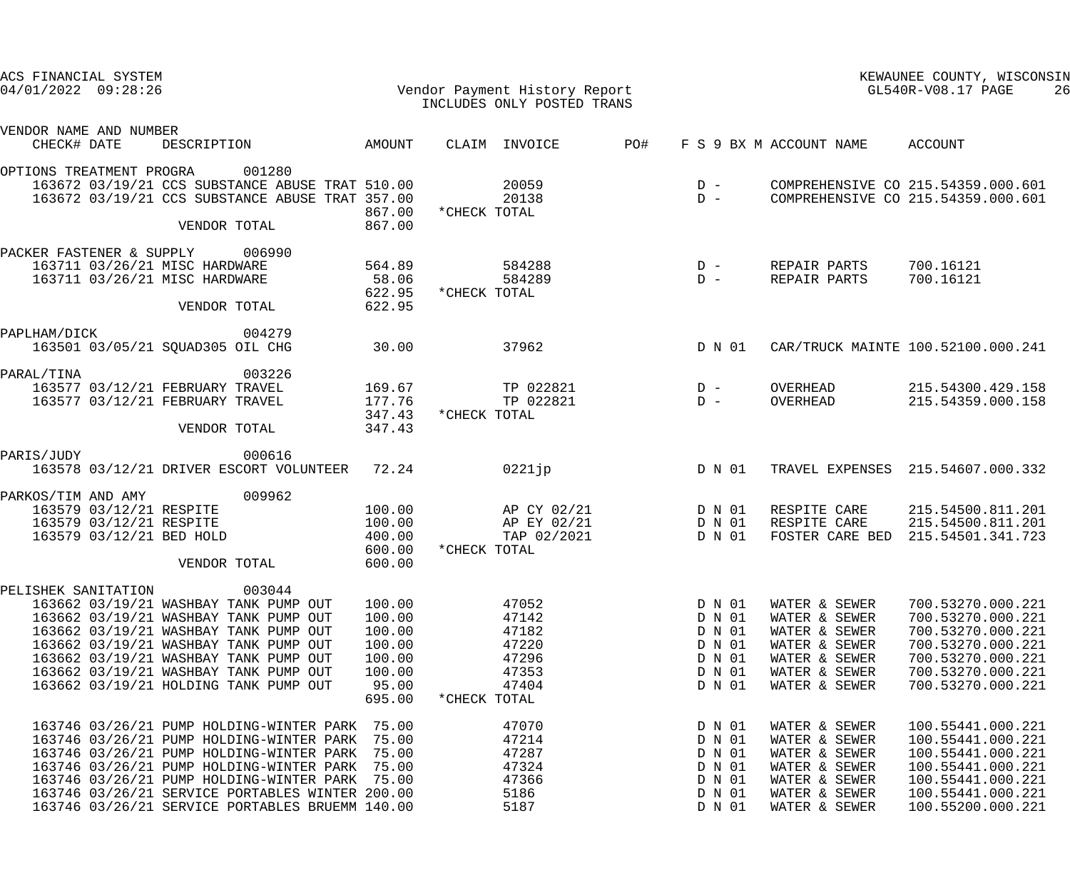| ACS FINANCIAL SYSTEM<br>$04/01/2022$ 09:28:26 |                         |                                                                                                    |                  |              | Vendor Payment History Report<br>INCLUDES ONLY POSTED TRANS |     |                  |                                | KEWAUNEE COUNTY, WISCONSIN<br>GL540R-V08.17 PAGE<br>26                   |
|-----------------------------------------------|-------------------------|----------------------------------------------------------------------------------------------------|------------------|--------------|-------------------------------------------------------------|-----|------------------|--------------------------------|--------------------------------------------------------------------------|
| VENDOR NAME AND NUMBER<br>CHECK# DATE         |                         | DESCRIPTION                                                                                        | AMOUNT           |              | CLAIM INVOICE                                               | PO# |                  | F S 9 BX M ACCOUNT NAME        | ACCOUNT                                                                  |
| OPTIONS TREATMENT PROGRA                      |                         | 001280                                                                                             |                  |              |                                                             |     |                  |                                |                                                                          |
|                                               |                         | 163672 03/19/21 CCS SUBSTANCE ABUSE TRAT 510.00<br>163672 03/19/21 CCS SUBSTANCE ABUSE TRAT 357.00 |                  |              | 20059<br>20138                                              |     | $D -$<br>$D -$   |                                | COMPREHENSIVE CO 215.54359.000.601<br>COMPREHENSIVE CO 215.54359.000.601 |
|                                               |                         | VENDOR TOTAL                                                                                       | 867.00<br>867.00 | *CHECK TOTAL |                                                             |     |                  |                                |                                                                          |
|                                               |                         |                                                                                                    |                  |              |                                                             |     |                  |                                |                                                                          |
|                                               |                         | PACKER FASTENER & SUPPLY 006990<br>163711 03/26/21 MISC HARDWARE                                   | 564.89           |              | 584288                                                      |     | $D -$            | REPAIR PARTS                   | 700.16121                                                                |
|                                               |                         | 163711 03/26/21 MISC HARDWARE                                                                      | 58.06<br>622.95  | *CHECK TOTAL | 584289                                                      |     | $D -$            | REPAIR PARTS                   | 700.16121                                                                |
|                                               |                         | VENDOR TOTAL                                                                                       | 622.95           |              |                                                             |     |                  |                                |                                                                          |
| PAPLHAM/DICK                                  |                         | 004279                                                                                             |                  |              |                                                             |     |                  |                                |                                                                          |
|                                               |                         | 163501 03/05/21 SQUAD305 OIL CHG                                                                   | 30.00            |              | 37962                                                       |     | D N 01           |                                | CAR/TRUCK MAINTE 100.52100.000.241                                       |
| PARAL/TINA                                    |                         | 003226                                                                                             |                  |              |                                                             |     |                  |                                |                                                                          |
|                                               |                         | 163577 03/12/21 FEBRUARY TRAVEL                                                                    | 169.67           |              | TP 022821                                                   |     | $D -$            | OVERHEAD                       | 215.54300.429.158                                                        |
|                                               |                         | 163577 03/12/21 FEBRUARY TRAVEL                                                                    | 177.76<br>347.43 | *CHECK TOTAL | TP 022821                                                   |     | $D -$            | OVERHEAD                       | 215.54359.000.158                                                        |
|                                               |                         | VENDOR TOTAL                                                                                       | 347.43           |              |                                                             |     |                  |                                |                                                                          |
| PARIS/JUDY                                    |                         | 000616                                                                                             |                  |              |                                                             |     |                  |                                |                                                                          |
|                                               |                         | 163578 03/12/21 DRIVER ESCORT VOLUNTEER 72.24                                                      |                  |              | 0221 jp                                                     |     | D N 01           |                                | TRAVEL EXPENSES 215.54607.000.332                                        |
| PARKOS/TIM AND AMY                            |                         | 009962                                                                                             |                  |              |                                                             |     |                  |                                |                                                                          |
|                                               | 163579 03/12/21 RESPITE |                                                                                                    | 100.00           |              | AP CY 02/21                                                 |     | D N 01           | RESPITE CARE                   | 215.54500.811.201                                                        |
|                                               | 163579 03/12/21 RESPITE |                                                                                                    | 100.00           |              | AP EY 02/21                                                 |     | D N 01           | RESPITE CARE                   | 215.54500.811.201                                                        |
|                                               |                         | 163579 03/12/21 BED HOLD                                                                           | 400.00           |              | TAP 02/2021                                                 |     | D N 01           | FOSTER CARE BED                | 215.54501.341.723                                                        |
|                                               |                         | VENDOR TOTAL                                                                                       | 600.00<br>600.00 | *CHECK TOTAL |                                                             |     |                  |                                |                                                                          |
|                                               |                         | 003044                                                                                             |                  |              |                                                             |     |                  |                                |                                                                          |
| PELISHEK SANITATION                           |                         | 163662 03/19/21 WASHBAY TANK PUMP OUT                                                              | 100.00           |              | 47052                                                       |     | D N 01           | WATER & SEWER                  | 700.53270.000.221                                                        |
|                                               |                         | 163662 03/19/21 WASHBAY TANK PUMP OUT                                                              | 100.00           |              | 47142                                                       |     | D N 01           | WATER & SEWER                  | 700.53270.000.221                                                        |
|                                               |                         | 163662 03/19/21 WASHBAY TANK PUMP OUT                                                              | 100.00           |              | 47182                                                       |     | D N 01           | WATER & SEWER                  | 700.53270.000.221                                                        |
|                                               |                         | 163662 03/19/21 WASHBAY TANK PUMP OUT                                                              | 100.00           |              | 47220                                                       |     | D N 01           | WATER & SEWER                  | 700.53270.000.221                                                        |
|                                               |                         | 163662 03/19/21 WASHBAY TANK PUMP OUT                                                              | 100.00           |              | 47296                                                       |     | D N 01           | WATER & SEWER                  | 700.53270.000.221                                                        |
|                                               |                         | 163662 03/19/21 WASHBAY TANK PUMP OUT                                                              | 100.00           |              | 47353                                                       |     | D N 01           | WATER & SEWER                  | 700.53270.000.221                                                        |
|                                               |                         | 163662 03/19/21 HOLDING TANK PUMP OUT                                                              | 95.00            |              | 47404                                                       |     | D N 01           | WATER & SEWER                  | 700.53270.000.221                                                        |
|                                               |                         |                                                                                                    | 695.00           | *CHECK TOTAL |                                                             |     |                  |                                |                                                                          |
|                                               |                         | 163746 03/26/21 PUMP HOLDING-WINTER PARK                                                           | 75.00            |              | 47070                                                       |     | D N 01           | WATER & SEWER                  | 100.55441.000.221                                                        |
|                                               |                         | 163746 03/26/21 PUMP HOLDING-WINTER PARK                                                           | 75.00            |              | 47214                                                       |     | D N 01           | WATER & SEWER                  | 100.55441.000.221                                                        |
|                                               |                         | 163746 03/26/21 PUMP HOLDING-WINTER PARK                                                           | 75.00            |              | 47287                                                       |     | D N 01           | WATER & SEWER                  | 100.55441.000.221                                                        |
|                                               |                         | 163746 03/26/21 PUMP HOLDING-WINTER PARK                                                           | 75.00            |              | 47324                                                       |     | D N 01           | WATER & SEWER                  | 100.55441.000.221                                                        |
|                                               |                         | 163746 03/26/21 PUMP HOLDING-WINTER PARK<br>163746 03/26/21 SERVICE PORTABLES WINTER 200.00        | 75.00            |              | 47366<br>5186                                               |     | D N 01<br>D N 01 | WATER & SEWER<br>WATER & SEWER | 100.55441.000.221<br>100.55441.000.221                                   |
|                                               |                         | 163746 03/26/21 SERVICE PORTABLES BRUEMM 140.00                                                    |                  |              | 5187                                                        |     | D N 01           | WATER & SEWER                  | 100.55200.000.221                                                        |
|                                               |                         |                                                                                                    |                  |              |                                                             |     |                  |                                |                                                                          |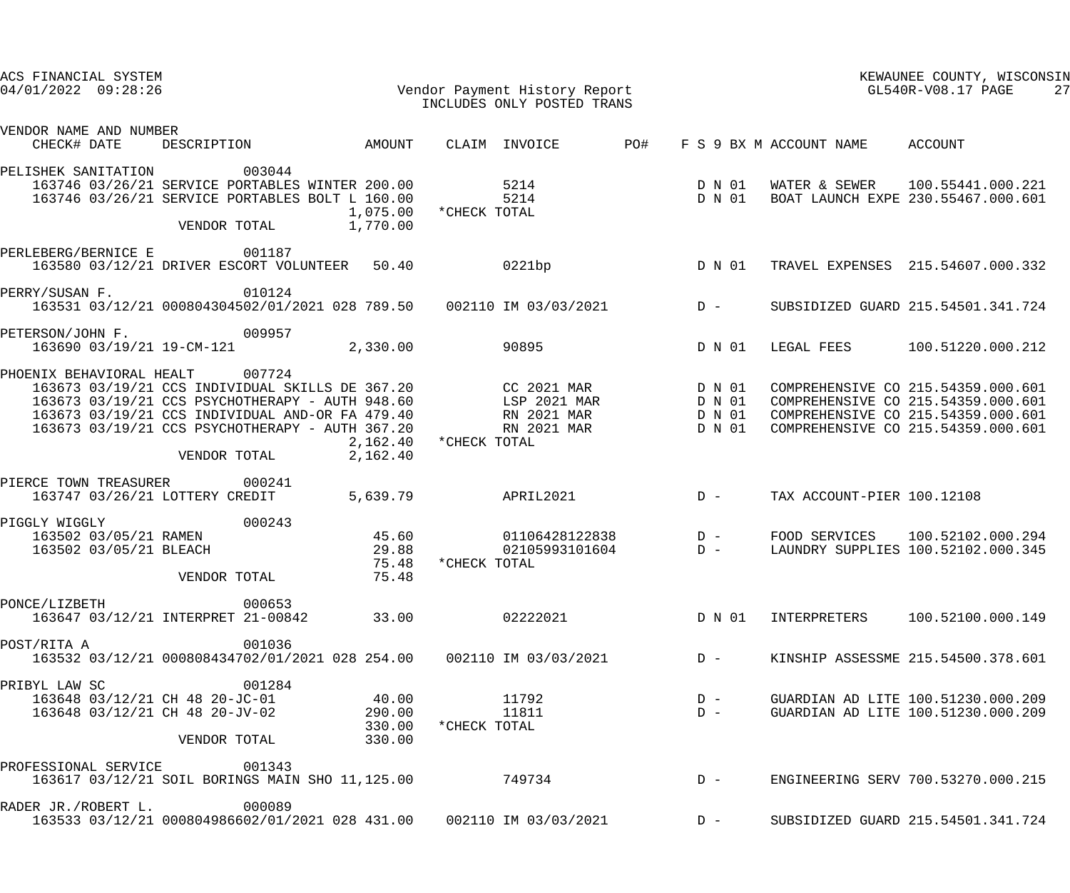| ACS FINANCIAL SYSTEM<br>04/01/2022 09:28:26             |                                                                                                                                                                                                                                    |                                     | Vendor Payment History Report<br>TNCLUDES ONLY POSTED TRANS<br>INCLUDES ONLY POSTED TRANS |            | KEWAUNEE COUNTY, WISCONSIN<br>GL540R-V08.17 PAGE<br>27 |                                 |                                                                                                                                                      |  |
|---------------------------------------------------------|------------------------------------------------------------------------------------------------------------------------------------------------------------------------------------------------------------------------------------|-------------------------------------|-------------------------------------------------------------------------------------------|------------|--------------------------------------------------------|---------------------------------|------------------------------------------------------------------------------------------------------------------------------------------------------|--|
| VENDOR NAME AND NUMBER<br>CHECK# DATE                   | DESCRIPTION AMOUNT                                                                                                                                                                                                                 |                                     | CLAIM INVOICE                                                                             | <b>PO#</b> |                                                        | F S 9 BX M ACCOUNT NAME ACCOUNT |                                                                                                                                                      |  |
| PELISHEK SANITATION                                     | 003044<br>163746 03/26/21 SERVICE PORTABLES WINTER 200.00<br>163746 03/26/21 SERVICE PORTABLES BOLT L 160.00<br>VENDOR TOTAL                                                                                                       | 1,075.00<br>1,770.00                | 5214<br>5214<br>*CHECK TOTAL                                                              |            | D N 01<br>D N 01                                       | WATER & SEWER                   | 100.55441.000.221<br>BOAT LAUNCH EXPE 230.55467.000.601                                                                                              |  |
| PERLEBERG/BERNICE E                                     | 001187<br>163580 03/12/21 DRIVER ESCORT VOLUNTEER 50.40                                                                                                                                                                            |                                     | 0221bp                                                                                    |            | D N 01                                                 |                                 | TRAVEL EXPENSES 215.54607.000.332                                                                                                                    |  |
| PERRY/SUSAN F.                                          | 010124<br>163531 03/12/21 000804304502/01/2021 028 789.50  002110 IM 03/03/2021  D-                                                                                                                                                |                                     |                                                                                           |            |                                                        |                                 | SUBSIDIZED GUARD 215.54501.341.724                                                                                                                   |  |
| PETERSON/JOHN F.<br>163690 03/19/21 19-CM-121           | 009957                                                                                                                                                                                                                             | 2,330.00                            | 90895                                                                                     |            | D N 01                                                 | LEGAL FEES                      | 100.51220.000.212                                                                                                                                    |  |
| PHOENIX BEHAVIORAL HEALT                                | 007724<br>163673 03/19/21 CCS INDIVIDUAL SKILLS DE 367.20<br>163673 03/19/21 CCS PSYCHOTHERAPY - AUTH 948.60<br>163673 03/19/21 CCS INDIVIDUAL AND-OR FA 479.40<br>163673 03/19/21 CCS PSYCHOTHERAPY - AUTH 367.20<br>VENDOR TOTAL | 2,162.40<br>2,162.40                | CC 2021 MAR<br>LSP 2021 MAR<br>RN 2021 MAR<br>RN 2021 MAR<br>*CHECK TOTAL                 |            | D N 01<br>D N 01<br>D N 01<br>D N 01                   |                                 | COMPREHENSIVE CO 215.54359.000.601<br>COMPREHENSIVE CO 215.54359.000.601<br>COMPREHENSIVE CO 215.54359.000.601<br>COMPREHENSIVE CO 215.54359.000.601 |  |
| PIERCE TOWN TREASURER<br>163747 03/26/21 LOTTERY CREDIT | 000241                                                                                                                                                                                                                             | 5,639.79                            | APRIL2021                                                                                 |            | $D -$                                                  | TAX ACCOUNT-PIER 100.12108      |                                                                                                                                                      |  |
| PIGGLY WIGGLY<br>163502 03/05/21 BLEACH                 | 000243<br>163502 03/05/21 RAMEN<br>VENDOR TOTAL                                                                                                                                                                                    | 45.60<br>29.88<br>75.48<br>75.48    | 01106428122838 D -<br>02105993101604<br>*CHECK TOTAL                                      | $D -$      |                                                        | FOOD SERVICES                   | 100.52102.000.294<br>LAUNDRY SUPPLIES 100.52102.000.345                                                                                              |  |
| PONCE/LIZBETH                                           | 000653<br>163647 03/12/21 INTERPRET 21-00842                                                                                                                                                                                       | 33.00                               | 02222021                                                                                  |            | D N 01                                                 |                                 | INTERPRETERS 100.52100.000.149                                                                                                                       |  |
| POST/RITA A                                             | 001036<br>163532 03/12/21 000808434702/01/2021 028 254.00     002110 IM 03/03/2021     D -                                                                                                                                         |                                     |                                                                                           |            |                                                        |                                 | KINSHIP ASSESSME 215.54500.378.601                                                                                                                   |  |
| PRIBYL LAW SC<br>163648 03/12/21 CH 48 20-JV-02         | 001284<br>163648 03/12/21 CH 48 20-JC-01<br>VENDOR TOTAL                                                                                                                                                                           | 40.00<br>290.00<br>330.00<br>330.00 | 11792<br>11811<br>*CHECK TOTAL                                                            |            | $D -$<br>$D -$                                         |                                 | GUARDIAN AD LITE 100.51230.000.209<br>GUARDIAN AD LITE 100.51230.000.209                                                                             |  |
| PROFESSIONAL SERVICE                                    | 001343<br>163617 03/12/21 SOIL BORINGS MAIN SHO 11,125.00                                                                                                                                                                          |                                     | 749734                                                                                    |            |                                                        |                                 | ENGINEERING SERV 700.53270.000.215                                                                                                                   |  |
| RADER JR./ROBERT L.                                     | 000089<br>163533 03/12/21 000804986602/01/2021 028 431.00   002110 IM 03/03/2021                                                                                                                                                   |                                     |                                                                                           |            | $D -$                                                  |                                 | SUBSIDIZED GUARD 215.54501.341.724                                                                                                                   |  |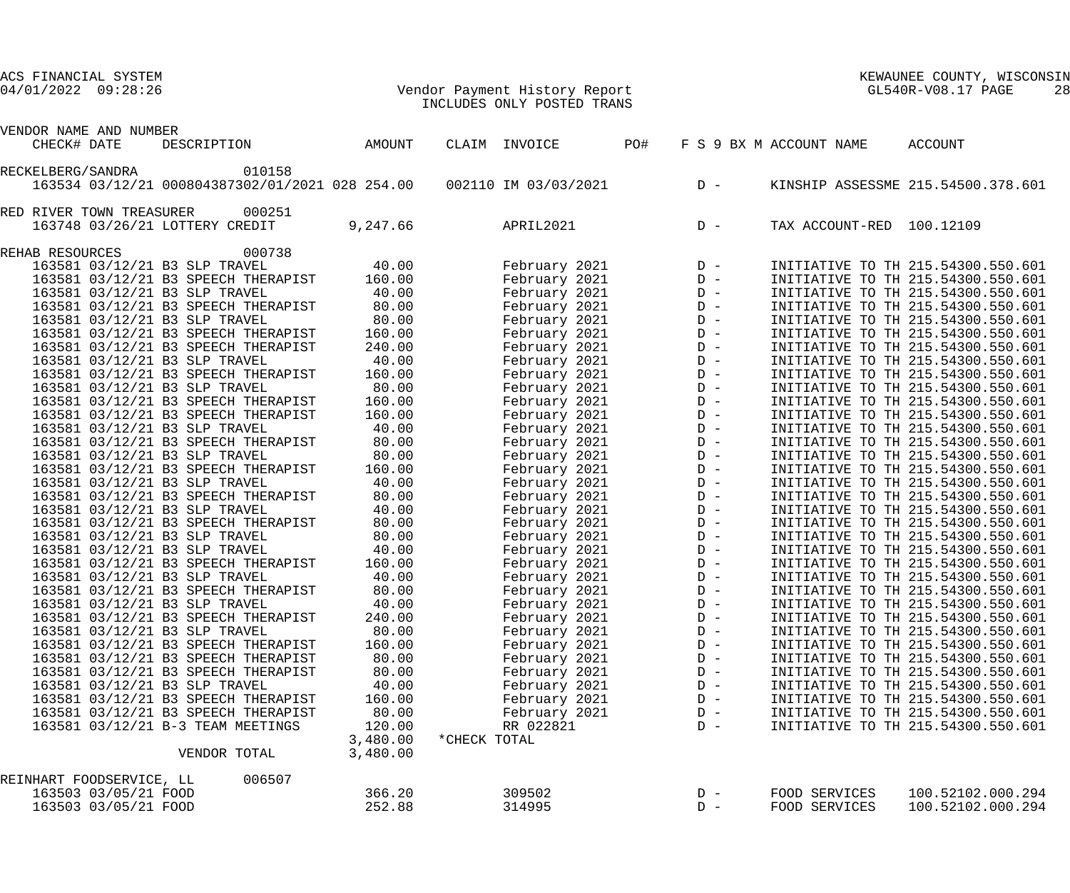| ACS FINANCIAL SYSTEM<br>$04/01/2022$ $09:28:26$ |                      |                                                 |                      | Vendor Payment History Report<br>TNCLUDES ONLY POSTED TRANS |     | KEWAUNEE COUNTY, WIS<br>GL540R-V08.17 PAGE<br>KEWAUNEE COUNTY, WISCONSIN |                           |                                    |  |  |
|-------------------------------------------------|----------------------|-------------------------------------------------|----------------------|-------------------------------------------------------------|-----|--------------------------------------------------------------------------|---------------------------|------------------------------------|--|--|
| VENDOR NAME AND NUMBER                          |                      |                                                 |                      |                                                             |     |                                                                          |                           |                                    |  |  |
| CHECK# DATE                                     |                      | DESCRIPTION                                     | AMOUNT               | CLAIM INVOICE                                               | PO# |                                                                          | F S 9 BX M ACCOUNT NAME   | ACCOUNT                            |  |  |
| RECKELBERG/SANDRA                               |                      | 010158                                          |                      |                                                             |     |                                                                          |                           |                                    |  |  |
|                                                 |                      | 163534 03/12/21 000804387302/01/2021 028 254.00 |                      | 002110 IM 03/03/2021                                        |     | $D -$                                                                    |                           | KINSHIP ASSESSME 215.54500.378.601 |  |  |
| RED RIVER TOWN TREASURER                        |                      | 000251                                          |                      |                                                             |     |                                                                          |                           |                                    |  |  |
|                                                 |                      | 163748 03/26/21 LOTTERY CREDIT                  | 9,247.66             | APRIL2021                                                   |     | $D -$                                                                    | TAX ACCOUNT-RED 100.12109 |                                    |  |  |
| REHAB RESOURCES                                 |                      | 000738                                          |                      |                                                             |     |                                                                          |                           |                                    |  |  |
|                                                 |                      | 163581 03/12/21 B3 SLP TRAVEL                   | 40.00                | February 2021                                               |     |                                                                          |                           | INITIATIVE TO TH 215.54300.550.601 |  |  |
|                                                 |                      | 163581 03/12/21 B3 SPEECH THERAPIST             | 160.00               | February 2021                                               |     |                                                                          |                           | INITIATIVE TO TH 215.54300.550.601 |  |  |
|                                                 |                      | 163581 03/12/21 B3 SLP TRAVEL                   | 40.00                | February 2021                                               |     |                                                                          |                           | INITIATIVE TO TH 215.54300.550.601 |  |  |
|                                                 |                      | 163581 03/12/21 B3 SPEECH THERAPIST             | 80.00                | February 2021                                               |     |                                                                          |                           | INITIATIVE TO TH 215.54300.550.601 |  |  |
|                                                 |                      | 163581 03/12/21 B3 SLP TRAVEL                   | 80.00                | February 2021                                               |     |                                                                          |                           | INITIATIVE TO TH 215.54300.550.601 |  |  |
|                                                 |                      | 163581 03/12/21 B3 SPEECH THERAPIST             | 160.00               | February 2021                                               |     |                                                                          |                           | INITIATIVE TO TH 215.54300.550.601 |  |  |
|                                                 |                      | 163581 03/12/21 B3 SPEECH THERAPIST             | 240.00               | February 2021                                               |     |                                                                          |                           | INITIATIVE TO TH 215.54300.550.601 |  |  |
|                                                 |                      | 163581 03/12/21 B3 SLP TRAVEL                   | 40.00                | February 2021                                               |     |                                                                          |                           | INITIATIVE TO TH 215.54300.550.601 |  |  |
|                                                 |                      | 163581 03/12/21 B3 SPEECH THERAPIST             | 160.00               | February 2021                                               |     |                                                                          |                           | INITIATIVE TO TH 215.54300.550.601 |  |  |
|                                                 |                      | 163581 03/12/21 B3 SLP TRAVEL                   | 80.00                | February 2021                                               |     |                                                                          |                           | INITIATIVE TO TH 215.54300.550.601 |  |  |
|                                                 |                      | 163581 03/12/21 B3 SPEECH THERAPIST             | 160.00               | February 2021                                               |     |                                                                          |                           | INITIATIVE TO TH 215.54300.550.601 |  |  |
|                                                 |                      | 163581 03/12/21 B3 SPEECH THERAPIST             | 160.00               | February 2021                                               |     |                                                                          |                           | INITIATIVE TO TH 215.54300.550.601 |  |  |
|                                                 |                      | 163581 03/12/21 B3 SLP TRAVEL                   | 40.00                | February 2021                                               |     |                                                                          |                           | INITIATIVE TO TH 215.54300.550.601 |  |  |
|                                                 |                      | 163581 03/12/21 B3 SPEECH THERAPIST             | 80.00                | February 2021                                               |     |                                                                          |                           | INITIATIVE TO TH 215.54300.550.601 |  |  |
|                                                 |                      | 163581 03/12/21 B3 SLP TRAVEL                   | 80.00                | February 2021                                               |     |                                                                          |                           | INITIATIVE TO TH 215.54300.550.601 |  |  |
|                                                 |                      | 163581 03/12/21 B3 SPEECH THERAPIST             | 160.00               | February 2021                                               |     |                                                                          |                           | INITIATIVE TO TH 215.54300.550.601 |  |  |
|                                                 |                      | 163581 03/12/21 B3 SLP TRAVEL                   | 40.00                | February 2021                                               |     |                                                                          |                           | INITIATIVE TO TH 215.54300.550.601 |  |  |
|                                                 |                      | 163581 03/12/21 B3 SPEECH THERAPIST             | 80.00                | February 2021                                               |     |                                                                          |                           | INITIATIVE TO TH 215.54300.550.601 |  |  |
|                                                 |                      | 163581 03/12/21 B3 SLP TRAVEL                   | 40.00                | February 2021                                               |     |                                                                          |                           | INITIATIVE TO TH 215.54300.550.601 |  |  |
|                                                 |                      | 163581 03/12/21 B3 SPEECH THERAPIST             | 80.00                | February 2021                                               |     |                                                                          |                           | INITIATIVE TO TH 215.54300.550.601 |  |  |
|                                                 |                      | 163581 03/12/21 B3 SLP TRAVEL                   | 80.00                | February 2021                                               |     |                                                                          |                           | INITIATIVE TO TH 215.54300.550.601 |  |  |
|                                                 |                      | 163581 03/12/21 B3 SLP TRAVEL                   | 40.00                | February 2021                                               |     |                                                                          |                           | INITIATIVE TO TH 215.54300.550.601 |  |  |
|                                                 |                      | 163581 03/12/21 B3 SPEECH THERAPIST             | 160.00               | February 2021                                               |     | $D -$                                                                    |                           | INITIATIVE TO TH 215.54300.550.601 |  |  |
|                                                 |                      | 163581 03/12/21 B3 SLP TRAVEL                   | 40.00                | February 2021                                               |     | $D -$                                                                    |                           | INITIATIVE TO TH 215.54300.550.601 |  |  |
|                                                 |                      | 163581 03/12/21 B3 SPEECH THERAPIST             | 80.00                | February 2021                                               |     | $D -$                                                                    |                           | INITIATIVE TO TH 215.54300.550.601 |  |  |
|                                                 |                      | 163581 03/12/21 B3 SLP TRAVEL                   | 40.00                | February 2021                                               |     | $D -$                                                                    |                           | INITIATIVE TO TH 215.54300.550.601 |  |  |
|                                                 |                      | 163581 03/12/21 B3 SPEECH THERAPIST             | 240.00               | February 2021                                               |     | $D -$                                                                    |                           | INITIATIVE TO TH 215.54300.550.601 |  |  |
|                                                 |                      | 163581 03/12/21 B3 SLP TRAVEL                   | 80.00                | February 2021                                               |     | $D -$                                                                    |                           | INITIATIVE TO TH 215.54300.550.601 |  |  |
|                                                 |                      | 163581 03/12/21 B3 SPEECH THERAPIST             | 160.00               | February 2021                                               |     | $D -$                                                                    |                           | INITIATIVE TO TH 215.54300.550.601 |  |  |
|                                                 |                      | 163581 03/12/21 B3 SPEECH THERAPIST             | 80.00                | February 2021                                               |     | $D -$                                                                    |                           | INITIATIVE TO TH 215.54300.550.601 |  |  |
|                                                 |                      | 163581 03/12/21 B3 SPEECH THERAPIST             | 80.00                | February 2021                                               |     | $D -$                                                                    |                           | INITIATIVE TO TH 215.54300.550.601 |  |  |
|                                                 |                      | 163581 03/12/21 B3 SLP TRAVEL                   | 40.00                | February 2021                                               |     | $D -$                                                                    |                           | INITIATIVE TO TH 215.54300.550.601 |  |  |
|                                                 |                      | 163581 03/12/21 B3 SPEECH THERAPIST             | 160.00               | February 2021                                               |     | $D -$                                                                    |                           | INITIATIVE TO TH 215.54300.550.601 |  |  |
|                                                 |                      | 163581 03/12/21 B3 SPEECH THERAPIST             | 80.00                |                                                             |     | $D -$                                                                    |                           | INITIATIVE TO TH 215.54300.550.601 |  |  |
|                                                 |                      |                                                 |                      | February 2021                                               |     | $D -$                                                                    |                           |                                    |  |  |
|                                                 |                      | 163581 03/12/21 B-3 TEAM MEETINGS               | 120.00               | RR 022821                                                   |     |                                                                          |                           | INITIATIVE TO TH 215.54300.550.601 |  |  |
|                                                 |                      | VENDOR TOTAL                                    | 3,480.00<br>3,480.00 | *CHECK TOTAL                                                |     |                                                                          |                           |                                    |  |  |
| REINHART FOODSERVICE, LL                        |                      | 006507                                          |                      |                                                             |     |                                                                          |                           |                                    |  |  |
|                                                 | 163503 03/05/21 FOOD |                                                 | 366.20               | 309502                                                      |     | $D -$                                                                    | FOOD SERVICES             | 100.52102.000.294                  |  |  |
|                                                 | 163503 03/05/21 FOOD |                                                 | 252.88               | 314995                                                      |     | $D -$                                                                    | FOOD SERVICES             | 100.52102.000.294                  |  |  |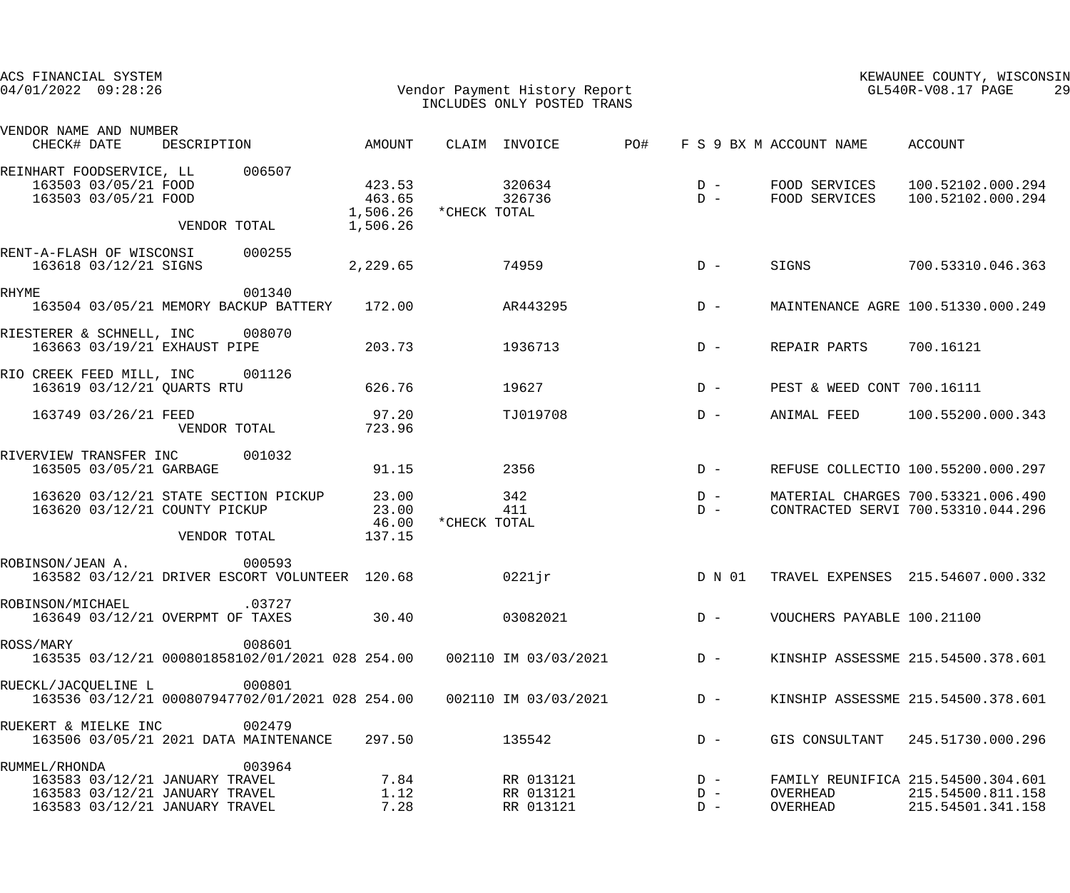| ACS FINANCIAL SYSTEM<br>$04/01/2022$ 09:28:26                                                                       |                                                          |                                          | Vendor Payment History Report<br>INCLUDES ONLY POSTED TRANS                                         | KEWAUNEE COUNTY, WISCONSIN<br>GL540R-V08.17 PAGE<br>29 |                                                                              |  |
|---------------------------------------------------------------------------------------------------------------------|----------------------------------------------------------|------------------------------------------|-----------------------------------------------------------------------------------------------------|--------------------------------------------------------|------------------------------------------------------------------------------|--|
| VENDOR NAME AND NUMBER<br>CHECK# DATE                                                                               | DESCRIPTION                                              | AMOUNT                                   | CLAIM INVOICE<br>PO#                                                                                | F S 9 BX M ACCOUNT NAME                                | ACCOUNT                                                                      |  |
| REINHART FOODSERVICE, LL<br>163503 03/05/21 FOOD<br>163503 03/05/21 FOOD                                            | 006507<br>VENDOR TOTAL                                   | 423.53<br>463.65<br>1,506.26<br>1,506.26 | 320634<br>326736<br>*CHECK TOTAL                                                                    | $D -$<br>FOOD SERVICES<br>$D -$<br>FOOD SERVICES       | 100.52102.000.294<br>100.52102.000.294                                       |  |
| RENT-A-FLASH OF WISCONSI<br>163618 03/12/21 SIGNS                                                                   | 000255                                                   | 2,229.65                                 | 74959                                                                                               | SIGNS<br>$D -$                                         | 700.53310.046.363                                                            |  |
| <b>RHYME</b>                                                                                                        | 001340<br>163504 03/05/21 MEMORY BACKUP BATTERY          | 172.00                                   | AR443295                                                                                            | $D -$                                                  | MAINTENANCE AGRE 100.51330.000.249                                           |  |
| RIESTERER & SCHNELL, INC<br>163663 03/19/21 EXHAUST PIPE                                                            | 008070                                                   | 203.73                                   | 1936713                                                                                             | REPAIR PARTS<br>$D -$                                  | 700.16121                                                                    |  |
| RIO CREEK FEED MILL, INC<br>163619 03/12/21 QUARTS RTU                                                              | 001126                                                   | 626.76                                   | 19627                                                                                               | $D -$                                                  | PEST & WEED CONT 700.16111                                                   |  |
| 163749 03/26/21 FEED                                                                                                | VENDOR TOTAL                                             | 97.20<br>723.96                          | TJ019708                                                                                            | ANIMAL FEED<br>$D -$                                   | 100.55200.000.343                                                            |  |
| RIVERVIEW TRANSFER INC<br>163505 03/05/21 GARBAGE                                                                   | 001032                                                   | 91.15                                    | 2356                                                                                                | $D -$                                                  | REFUSE COLLECTIO 100.55200.000.297                                           |  |
| 163620 03/12/21 STATE SECTION PICKUP<br>163620 03/12/21 COUNTY PICKUP                                               | VENDOR TOTAL                                             | 23.00<br>23.00<br>46.00<br>137.15        | 342<br>411<br>*CHECK TOTAL                                                                          | $D -$<br>$D -$                                         | MATERIAL CHARGES 700.53321.006.490<br>CONTRACTED SERVI 700.53310.044.296     |  |
| ROBINSON/JEAN A.                                                                                                    | 000593<br>163582 03/12/21 DRIVER ESCORT VOLUNTEER 120.68 |                                          | $0221$ jr                                                                                           |                                                        | D N 01 TRAVEL EXPENSES 215.54607.000.332                                     |  |
| ROBINSON/MICHAEL<br>163649 03/12/21 OVERPMT OF TAXES                                                                | .03727                                                   | 30.40                                    | 03082021                                                                                            | $D -$                                                  | VOUCHERS PAYABLE 100.21100                                                   |  |
| ROSS/MARY                                                                                                           | 008601                                                   |                                          | 163535 03/12/21 000801858102/01/2021 028 254.00                                002110 IM 03/03/2021 | $D -$                                                  | KINSHIP ASSESSME 215.54500.378.601                                           |  |
| RUECKL/JACQUELINE L                                                                                                 | 000801                                                   |                                          | 163536 03/12/21 000807947702/01/2021 028 254.00  002110 IM 03/03/2021                               | $D -$                                                  | KINSHIP ASSESSME 215.54500.378.601                                           |  |
| RUEKERT & MIELKE INC                                                                                                | 002479<br>163506 03/05/21 2021 DATA MAINTENANCE          | 297.50                                   | 135542                                                                                              | $D -$                                                  | GIS CONSULTANT 245.51730.000.296                                             |  |
| RUMMEL/RHONDA<br>163583 03/12/21 JANUARY TRAVEL<br>163583 03/12/21 JANUARY TRAVEL<br>163583 03/12/21 JANUARY TRAVEL | 003964                                                   | 7.84<br>1.12<br>7.28                     | RR 013121<br>RR 013121<br>RR 013121                                                                 | $D -$<br>OVERHEAD<br>$D -$<br>OVERHEAD<br>$D -$        | FAMILY REUNIFICA 215.54500.304.601<br>215.54500.811.158<br>215.54501.341.158 |  |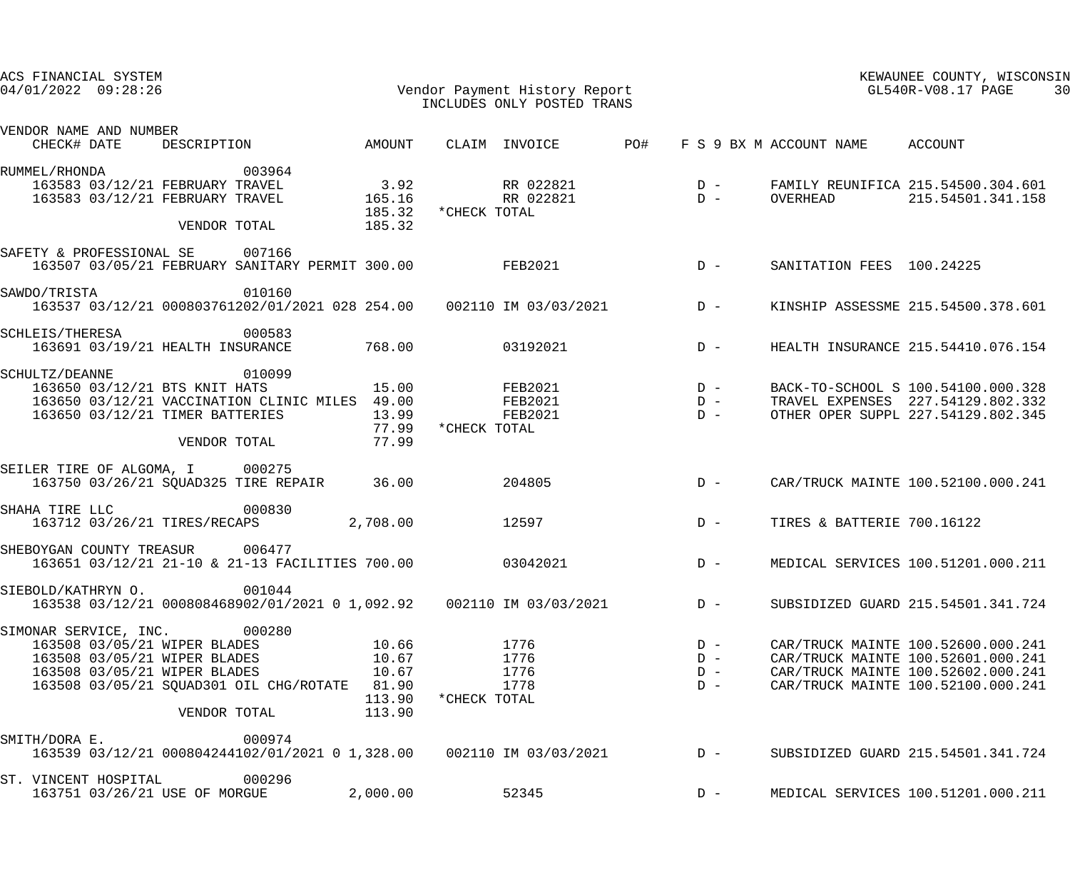| ACS FINANCIAL SYSTEM<br>$04/01/2022$ 09:28:26                                       |                                                                                                               |                  |              | Vendor Payment History Report<br>INCLUDES ONLY POSTED TRANS |     | KEWAUNEE COUNTY, WISCONSIN<br>GL540R-V08.17 PAGE<br>30 |                            |                                                                                                               |
|-------------------------------------------------------------------------------------|---------------------------------------------------------------------------------------------------------------|------------------|--------------|-------------------------------------------------------------|-----|--------------------------------------------------------|----------------------------|---------------------------------------------------------------------------------------------------------------|
| VENDOR NAME AND NUMBER<br>CHECK# DATE                                               | DESCRIPTION                                                                                                   | AMOUNT           |              | CLAIM INVOICE                                               | PO# |                                                        | F S 9 BX M ACCOUNT NAME    | ACCOUNT                                                                                                       |
| RUMMEL/RHONDA<br>163583 03/12/21 FEBRUARY TRAVEL<br>163583 03/12/21 FEBRUARY TRAVEL | 003964                                                                                                        | 3.92<br>165.16   |              | RR 022821<br>RR 022821                                      |     | $D -$<br>$D -$                                         | OVERHEAD                   | FAMILY REUNIFICA 215.54500.304.601<br>215.54501.341.158                                                       |
|                                                                                     | VENDOR TOTAL                                                                                                  | 185.32<br>185.32 | *CHECK TOTAL |                                                             |     |                                                        |                            |                                                                                                               |
| SAFETY & PROFESSIONAL SE                                                            | 007166<br>163507 03/05/21 FEBRUARY SANITARY PERMIT 300.00                                                     |                  |              | <b>FEB2021</b>                                              |     | $D -$                                                  | SANITATION FEES 100.24225  |                                                                                                               |
| SAWDO/TRISTA                                                                        | 010160<br>163537 03/12/21 000803761202/01/2021 028 254.00  002110 IM 03/03/2021                               |                  |              |                                                             |     | $D -$                                                  |                            | KINSHIP ASSESSME 215.54500.378.601                                                                            |
| SCHLEIS/THERESA                                                                     | 000583<br>163691 03/19/21 HEALTH INSURANCE                                                                    | 768.00           |              | 03192021                                                    |     | $D -$                                                  |                            | HEALTH INSURANCE 215.54410.076.154                                                                            |
| SCHULTZ/DEANNE<br>163650 03/12/21 BTS KNIT HATS<br>163650 03/12/21 TIMER BATTERIES  | 010099<br>163650 03/12/21 VACCINATION CLINIC MILES 49.00                                                      | 15.00<br>13.99   |              | FEB2021<br><b>FEB2021</b><br><b>FEB2021</b>                 |     | $D -$<br>$D -$<br>$D -$                                |                            | BACK-TO-SCHOOL S 100.54100.000.328<br>TRAVEL EXPENSES 227.54129.802.332<br>OTHER OPER SUPPL 227.54129.802.345 |
|                                                                                     | VENDOR TOTAL                                                                                                  | 77.99<br>77.99   | *CHECK TOTAL |                                                             |     |                                                        |                            |                                                                                                               |
| SEILER TIRE OF ALGOMA, I 000275                                                     | 163750 03/26/21 SQUAD325 TIRE REPAIR                                                                          | 36.00            |              | 204805                                                      |     | $D -$                                                  |                            | CAR/TRUCK MAINTE 100.52100.000.241                                                                            |
| SHAHA TIRE LLC<br>163712 03/26/21 TIRES/RECAPS                                      | 000830                                                                                                        | 2,708.00         |              | 12597                                                       |     | $D -$                                                  | TIRES & BATTERIE 700.16122 |                                                                                                               |
| SHEBOYGAN COUNTY TREASUR 006477                                                     | 163651 03/12/21 21-10 & 21-13 FACILITIES 700.00                                                               |                  |              | 03042021                                                    |     | $D -$                                                  |                            | MEDICAL SERVICES 100.51201.000.211                                                                            |
| SIEBOLD/KATHRYN O.                                                                  | 001044<br>163538 03/12/21 000808468902/01/2021 0 1,092.92                                002110 IM 03/03/2021 |                  |              |                                                             |     | $D -$                                                  |                            | SUBSIDIZED GUARD 215.54501.341.724                                                                            |
| SIMONAR SERVICE, INC. 000280<br>163508 03/05/21 WIPER BLADES                        |                                                                                                               | 10.66            |              | 1776                                                        |     | $D -$                                                  |                            | CAR/TRUCK MAINTE 100.52600.000.241                                                                            |
| 163508 03/05/21 WIPER BLADES                                                        |                                                                                                               | 10.67            |              | 1776                                                        |     | $D -$                                                  |                            | CAR/TRUCK MAINTE 100.52601.000.241                                                                            |
| 163508 03/05/21 WIPER BLADES                                                        |                                                                                                               | 10.67            |              | 1776                                                        |     | $D -$                                                  |                            | CAR/TRUCK MAINTE 100.52602.000.241                                                                            |
|                                                                                     | 163508 03/05/21 SQUAD301 OIL CHG/ROTATE 81.90<br>VENDOR TOTAL                                                 | 113.90<br>113.90 | *CHECK TOTAL | 1778                                                        |     | $D -$                                                  |                            | CAR/TRUCK MAINTE 100.52100.000.241                                                                            |
|                                                                                     |                                                                                                               |                  |              |                                                             |     |                                                        |                            |                                                                                                               |
| SMITH/DORA E.                                                                       | 000974<br>163539 03/12/21 000804244102/01/2021 0 1,328.00 002110 IM 03/03/2021                                |                  |              |                                                             |     | $D -$                                                  |                            | SUBSIDIZED GUARD 215.54501.341.724                                                                            |
| ST. VINCENT HOSPITAL<br>163751 03/26/21 USE OF MORGUE                               | 000296                                                                                                        | 2,000.00         |              | 52345                                                       |     | $D -$                                                  |                            | MEDICAL SERVICES 100.51201.000.211                                                                            |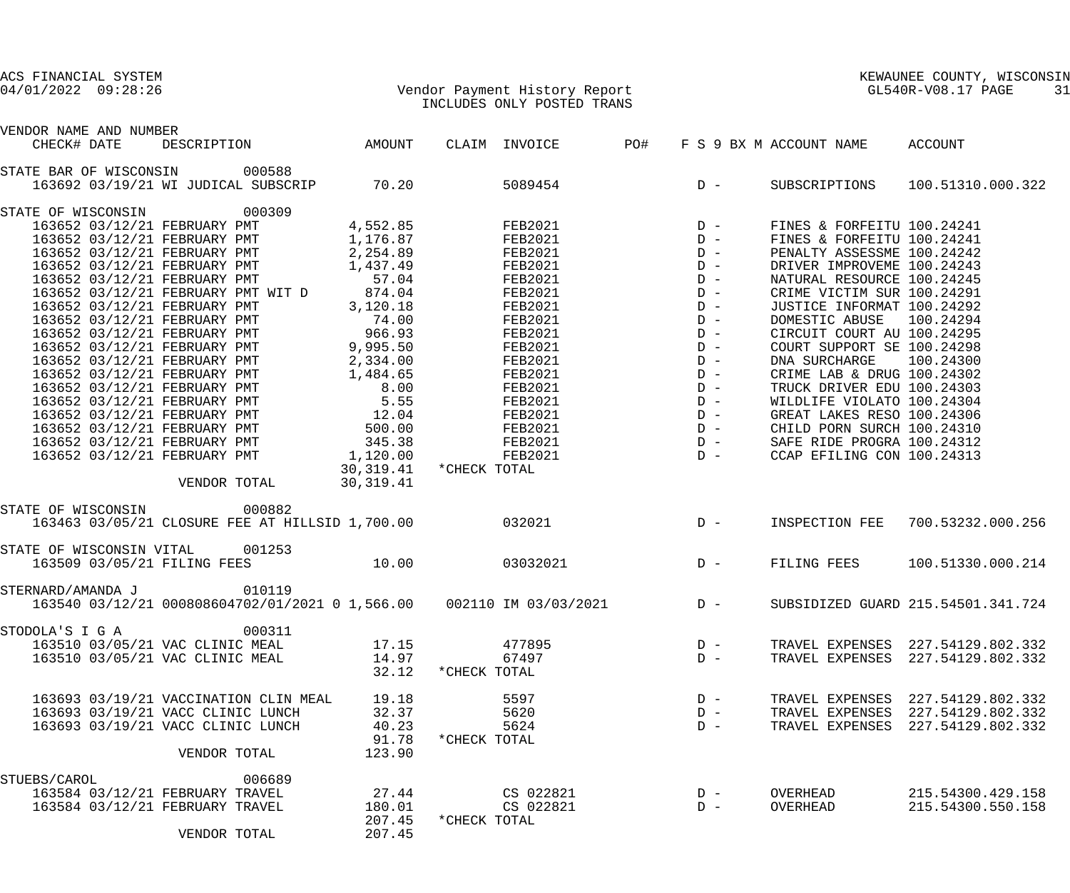## 04/01/2022 09:28:26 Vendor Payment History Report GL540R-V08.17 PAGE 31 INCLUDES ONLY POSTED TRANS

| VENDOR NAME AND NUMBER          |                                                                                                                                          |                         |              |                           |     |       |                           |                                   |
|---------------------------------|------------------------------------------------------------------------------------------------------------------------------------------|-------------------------|--------------|---------------------------|-----|-------|---------------------------|-----------------------------------|
|                                 |                                                                                                                                          |                         |              | CLAIM INVOICE             | PO# |       | F S 9 BX M ACCOUNT NAME   | ACCOUNT                           |
| STATE BAR OF WISCONSIN 000588   |                                                                                                                                          |                         |              |                           |     |       |                           |                                   |
|                                 | 163692 03/19/21 WI JUDICAL SUBSCRIP                                                                                                      | 70.20                   |              | 5089454 D - SUBSCRIPTIONS |     |       |                           | 100.51310.000.322                 |
| STATE OF WISCONSIN 000309       |                                                                                                                                          |                         |              |                           |     |       |                           |                                   |
|                                 |                                                                                                                                          |                         |              |                           |     |       |                           |                                   |
|                                 |                                                                                                                                          |                         |              |                           |     |       |                           |                                   |
|                                 |                                                                                                                                          |                         |              |                           |     |       |                           |                                   |
|                                 |                                                                                                                                          |                         |              |                           |     |       |                           |                                   |
|                                 |                                                                                                                                          |                         |              |                           |     |       |                           |                                   |
|                                 |                                                                                                                                          |                         |              |                           |     |       |                           |                                   |
|                                 |                                                                                                                                          |                         |              |                           |     |       |                           |                                   |
|                                 |                                                                                                                                          |                         |              |                           |     |       |                           |                                   |
|                                 |                                                                                                                                          |                         |              |                           |     |       |                           |                                   |
|                                 |                                                                                                                                          |                         |              |                           |     |       |                           |                                   |
|                                 |                                                                                                                                          |                         |              |                           |     |       |                           |                                   |
|                                 |                                                                                                                                          |                         |              |                           |     |       |                           |                                   |
|                                 |                                                                                                                                          |                         |              |                           |     |       |                           |                                   |
|                                 |                                                                                                                                          |                         |              |                           |     |       |                           |                                   |
|                                 |                                                                                                                                          |                         |              |                           |     |       |                           |                                   |
|                                 |                                                                                                                                          |                         |              |                           |     |       |                           |                                   |
|                                 |                                                                                                                                          |                         |              |                           |     |       |                           |                                   |
|                                 |                                                                                                                                          |                         |              |                           |     |       |                           |                                   |
|                                 |                                                                                                                                          | 30,319.41 * CHECK TOTAL |              |                           |     |       |                           |                                   |
|                                 | VENDOR TOTAL                                                                                                                             | 30, 319.41              |              |                           |     |       |                           |                                   |
|                                 |                                                                                                                                          |                         |              |                           |     |       |                           |                                   |
| STATE OF WISCONSIN 000882       |                                                                                                                                          |                         |              |                           |     |       | 032021 D - INSPECTION FEE |                                   |
|                                 | 163463 03/05/21 CLOSURE FEE AT HILLSID 1,700.00                                                                                          |                         |              |                           |     |       |                           | 700.53232.000.256                 |
| STATE OF WISCONSIN VITAL 001253 |                                                                                                                                          |                         |              |                           |     |       |                           |                                   |
|                                 | 163509 03/05/21 FILING FEES 10.00                                                                                                        |                         |              | 03032021                  |     |       | D - FILING FEES           | 100.51330.000.214                 |
|                                 |                                                                                                                                          |                         |              |                           |     |       |                           |                                   |
| STERNARD/AMANDA J               | 010119                                                                                                                                   |                         |              |                           |     |       |                           |                                   |
|                                 | 163540 03/12/21 000808604702/01/2021 0 1,566.00                002110 IM 03/03/2021               D - SUBSIDIZED GUARD 215.54501.341.724 |                         |              |                           |     |       |                           |                                   |
| STODOLA'S I G A                 | 000311                                                                                                                                   |                         |              |                           |     |       |                           |                                   |
|                                 | 163510 03/05/21 VAC CLINIC MEAL                                                                                                          | 17.15                   |              | 477895                    |     | $D -$ |                           | TRAVEL EXPENSES 227.54129.802.332 |
|                                 | 163510 03/05/21 VAC CLINIC MEAL                                                                                                          | 14.97                   |              | 67497                     |     | $D -$ |                           | TRAVEL EXPENSES 227.54129.802.332 |
|                                 |                                                                                                                                          | 32.12                   | *CHECK TOTAL |                           |     |       |                           |                                   |
|                                 |                                                                                                                                          |                         |              |                           |     |       |                           |                                   |
|                                 | 163693 03/19/21 VACCINATION CLIN MEAL                                                                                                    | 19.18                   |              | 5597                      |     | $D -$ |                           | TRAVEL EXPENSES 227.54129.802.332 |
|                                 | 163693 03/19/21 VACC CLINIC LUNCH                                                                                                        | 32.37                   |              | 5620                      |     | $D -$ |                           | TRAVEL EXPENSES 227.54129.802.332 |
|                                 | 163693 03/19/21 VACC CLINIC LUNCH                                                                                                        | 40.23                   |              | 5624                      |     | $D -$ |                           | TRAVEL EXPENSES 227.54129.802.332 |
|                                 |                                                                                                                                          | 91.78                   | *CHECK TOTAL |                           |     |       |                           |                                   |
|                                 | VENDOR TOTAL                                                                                                                             | 123.90                  |              |                           |     |       |                           |                                   |
|                                 |                                                                                                                                          |                         |              |                           |     |       |                           |                                   |
| STUEBS/CAROL                    | 006689                                                                                                                                   |                         |              |                           |     |       |                           |                                   |
|                                 | 163584 03/12/21 FEBRUARY TRAVEL                                                                                                          | 27.44                   |              | CS 022821                 |     | $D -$ | OVERHEAD                  | 215.54300.429.158                 |
|                                 | 163584 03/12/21 FEBRUARY TRAVEL                                                                                                          | 180.01                  |              | CS 022821                 |     | $D -$ | OVERHEAD                  | 215.54300.550.158                 |
|                                 |                                                                                                                                          | 207.45                  | *CHECK TOTAL |                           |     |       |                           |                                   |
|                                 | VENDOR TOTAL                                                                                                                             | 207.45                  |              |                           |     |       |                           |                                   |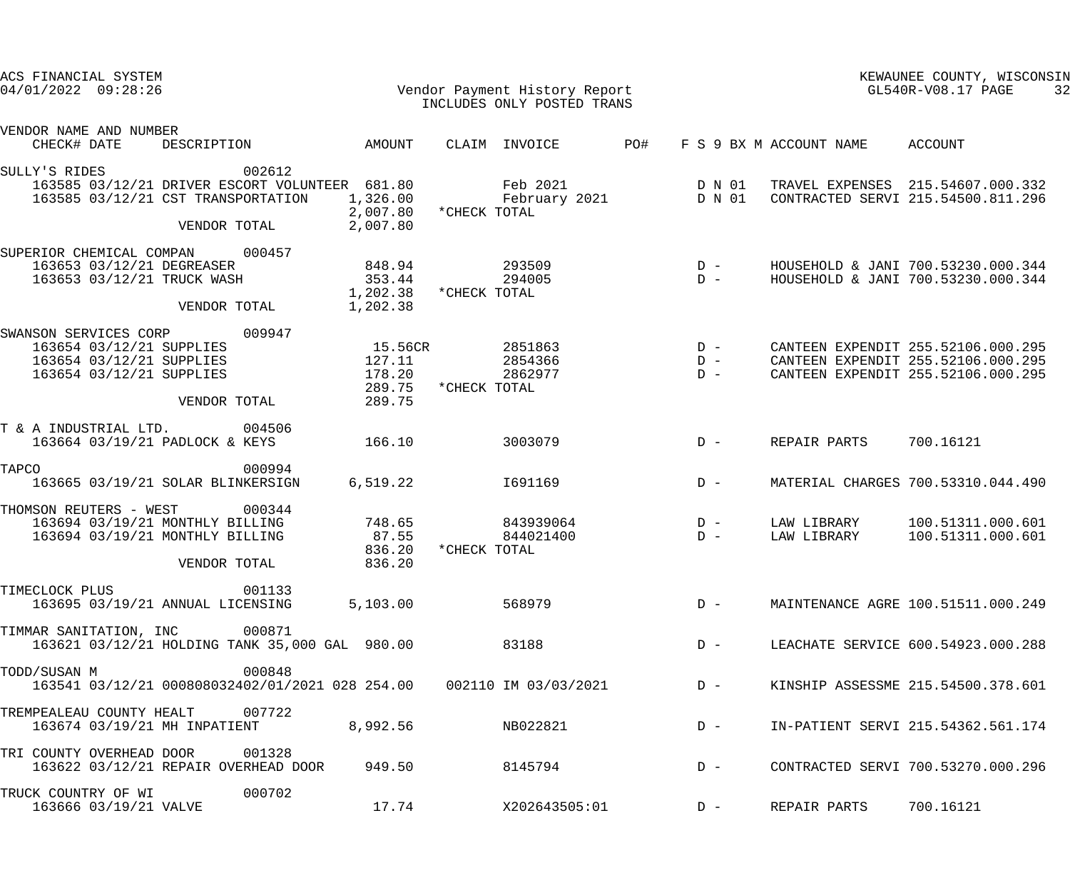| ACS FINANCIAL SYSTEM<br>$04/01/2022$ 09:28:26                                                                                       |                                                 |              | Vendor Payment History Report<br>INCLUDES ONLY POSTED TRANS | KEWAUNEE COUNTY, WISCONSIN<br>GL540R-V08.17 PAGE<br>32             |                  |                                 |                                                                                                                |  |
|-------------------------------------------------------------------------------------------------------------------------------------|-------------------------------------------------|--------------|-------------------------------------------------------------|--------------------------------------------------------------------|------------------|---------------------------------|----------------------------------------------------------------------------------------------------------------|--|
| VENDOR NAME AND NUMBER<br>DESCRIPTION AMOUNT<br>CHECK# DATE                                                                         |                                                 |              | CLAIM INVOICE                                               | PO#                                                                |                  | F S 9 BX M ACCOUNT NAME ACCOUNT |                                                                                                                |  |
| SULLY'S RIDES<br>002612                                                                                                             |                                                 |              |                                                             |                                                                    |                  |                                 |                                                                                                                |  |
| 163585 03/12/21 DRIVER ESCORT VOLUNTEER 681.80<br>163585 03/12/21 CST TRANSPORTATION                                                | 1,326.00<br>2,007.80                            | *CHECK TOTAL | Feb 2021<br>February 2021                                   |                                                                    | D N 01<br>D N 01 |                                 | TRAVEL EXPENSES 215.54607.000.332<br>CONTRACTED SERVI 215.54500.811.296                                        |  |
| VENDOR TOTAL                                                                                                                        | 2,007.80                                        |              |                                                             |                                                                    |                  |                                 |                                                                                                                |  |
| SUPERIOR CHEMICAL COMPAN<br>000457<br>163653 03/12/21 DEGREASER<br>163653 03/12/21 TRUCK WASH                                       | 848.94<br>353.44<br>1,202.38                    | *CHECK TOTAL | 293509<br>294005                                            | $\begin{array}{cc}\nD & - \\ D & - \n\end{array}$                  |                  |                                 | HOUSEHOLD & JANI 700.53230.000.344<br>HOUSEHOLD & JANI 700.53230.000.344                                       |  |
| VENDOR TOTAL                                                                                                                        | 1,202.38                                        |              |                                                             |                                                                    |                  |                                 |                                                                                                                |  |
| SWANSON SERVICES CORP<br>009947<br>163654 03/12/21 SUPPLIES<br>163654 03/12/21 SUPPLIES<br>163654 03/12/21 SUPPLIES<br>VENDOR TOTAL | 15.56CR<br>127.11<br>178.20<br>289.75<br>289.75 | *CHECK TOTAL | 2851863<br>2854366<br>2862977                               | $\begin{array}{c}\nD & - \\ D & - \\ D & - \\ D & - \n\end{array}$ | $D -$            |                                 | CANTEEN EXPENDIT 255.52106.000.295<br>CANTEEN EXPENDIT 255.52106.000.295<br>CANTEEN EXPENDIT 255.52106.000.295 |  |
| T & A INDUSTRIAL LTD.<br>004506<br>163664 03/19/21 PADLOCK & KEYS                                                                   | 166.10                                          |              | 3003079                                                     |                                                                    | $D -$            | REPAIR PARTS                    | 700.16121                                                                                                      |  |
| TAPCO<br>000994<br>163665 03/19/21 SOLAR BLINKERSIGN                                                                                | 6,519.22                                        |              | I691169                                                     |                                                                    | $D -$            |                                 | MATERIAL CHARGES 700.53310.044.490                                                                             |  |
| THOMSON REUTERS - WEST<br>000344<br>163694 03/19/21 MONTHLY BILLING<br>163694 03/19/21 MONTHLY BILLING<br>VENDOR TOTAL              | 748.65<br>87.55<br>836.20<br>836.20             | *CHECK TOTAL | 843939064<br>844021400                                      | $D -$                                                              | $D -$            | LAW LIBRARY<br>LAW LIBRARY      | 100.51311.000.601<br>100.51311.000.601                                                                         |  |
| TIMECLOCK PLUS<br>001133<br>163695 03/19/21 ANNUAL LICENSING                                                                        | 5,103.00                                        |              | 568979                                                      |                                                                    | $D -$            |                                 | MAINTENANCE AGRE 100.51511.000.249                                                                             |  |
| 000871<br>TIMMAR SANITATION, INC<br>163621 03/12/21 HOLDING TANK 35,000 GAL 980.00                                                  |                                                 |              | 83188                                                       |                                                                    | $D -$            |                                 | LEACHATE SERVICE 600.54923.000.288                                                                             |  |
| TODD/SUSAN M<br>000848<br>163541 03/12/21 000808032402/01/2021 028 254.00                                                           |                                                 |              | 002110 IM 03/03/2021                                        |                                                                    | $D -$            |                                 | KINSHIP ASSESSME 215.54500.378.601                                                                             |  |
| 007722<br>TREMPEALEAU COUNTY HEALT<br>163674 03/19/21 MH INPATIENT                                                                  | 8,992.56                                        |              | NB022821                                                    |                                                                    | $D -$            |                                 | IN-PATIENT SERVI 215.54362.561.174                                                                             |  |
| 001328<br>TRI COUNTY OVERHEAD DOOR<br>163622 03/12/21 REPAIR OVERHEAD DOOR                                                          | 949.50                                          |              | 8145794                                                     |                                                                    | $D -$            |                                 | CONTRACTED SERVI 700.53270.000.296                                                                             |  |
| 000702<br>TRUCK COUNTRY OF WI<br>163666 03/19/21 VALVE                                                                              | 17.74                                           |              | X202643505:01                                               |                                                                    | $D -$            | REPAIR PARTS                    | 700.16121                                                                                                      |  |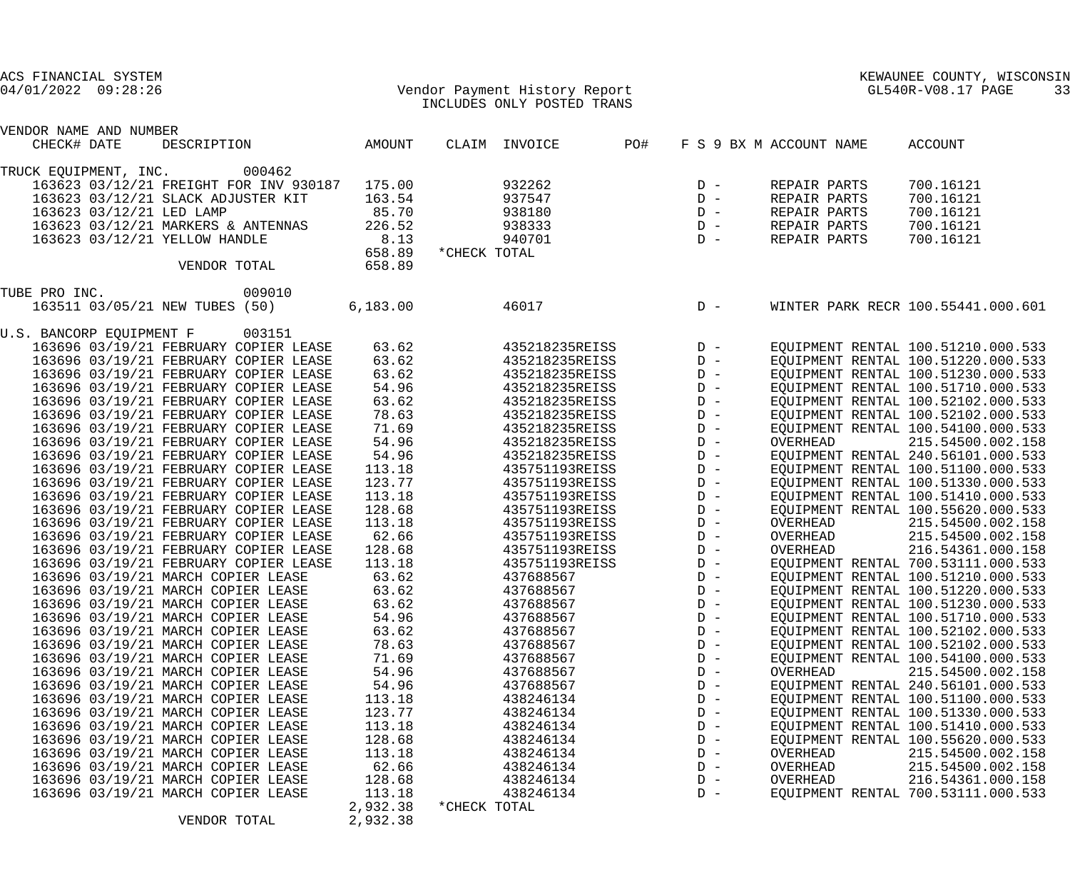| ACS FINANCIAL SYSTEM<br>$04/01/2022$ 09:28:26 |          | Vendor Payment History Report<br>TNCLUDES ONLY POSTED TRANS |     |                                                                               |                         | KEWAUNEE COUNTY, WIS<br>GL540R-V08.17 PAGE<br>KEWAUNEE COUNTY, WISCONSIN<br>33 |
|-----------------------------------------------|----------|-------------------------------------------------------------|-----|-------------------------------------------------------------------------------|-------------------------|--------------------------------------------------------------------------------|
|                                               |          |                                                             |     |                                                                               |                         |                                                                                |
| VENDOR NAME AND NUMBER                        |          |                                                             |     |                                                                               |                         |                                                                                |
| AMOUNT<br>DESCRIPTION<br>CHECK# DATE          |          | CLAIM INVOICE                                               | PO# |                                                                               | F S 9 BX M ACCOUNT NAME | ACCOUNT                                                                        |
| TRUCK EQUIPMENT, INC. 000462                  |          |                                                             |     |                                                                               |                         |                                                                                |
| 163623 03/12/21 FREIGHT FOR INV 930187        | 175.00   | 932262                                                      |     |                                                                               | REPAIR PARTS            | 700.16121                                                                      |
| 163623 03/12/21 SLACK ADJUSTER KIT            | 163.54   | 937547                                                      |     | $D -$<br>$D -$                                                                | REPAIR PARTS            | 700.16121                                                                      |
| 163623 03/12/21 LED LAMP                      | 85.70    | 938180                                                      |     |                                                                               | REPAIR PARTS            | 700.16121                                                                      |
| 163623 03/12/21 MARKERS & ANTENNAS            | 226.52   | 938333                                                      |     | $\begin{array}{ccc} \text{D} & - \\ \text{D} & - \\ \text{D} & - \end{array}$ | REPAIR PARTS            | 700.16121                                                                      |
| 163623 03/12/21 YELLOW HANDLE                 | 8.13     | 940701                                                      |     |                                                                               | REPAIR PARTS            | 700.16121                                                                      |
|                                               | 658.89   | *CHECK TOTAL                                                |     |                                                                               |                         |                                                                                |
| VENDOR TOTAL                                  | 658.89   |                                                             |     |                                                                               |                         |                                                                                |
| 009010<br>TUBE PRO INC.                       |          |                                                             |     |                                                                               |                         |                                                                                |
| 163511 03/05/21 NEW TUBES (50)                | 6,183.00 | 46017                                                       |     | $D -$                                                                         |                         | WINTER PARK RECR 100.55441.000.601                                             |
| U.S. BANCORP EQUIPMENT F 003151               |          |                                                             |     |                                                                               |                         |                                                                                |
| 163696 03/19/21 FEBRUARY COPIER LEASE         | 63.62    | 435218235REISS D-                                           |     |                                                                               |                         | EQUIPMENT RENTAL 100.51210.000.533                                             |
| 163696 03/19/21 FEBRUARY COPIER LEASE         | 63.62    | 435218235REISS D-                                           |     |                                                                               |                         | EQUIPMENT RENTAL 100.51220.000.533                                             |
| 163696 03/19/21 FEBRUARY COPIER LEASE         | 63.62    | 435218235REISS                                              |     | $D -$                                                                         |                         | EQUIPMENT RENTAL 100.51230.000.533                                             |
| 163696 03/19/21 FEBRUARY COPIER LEASE         | 54.96    | 435218235REISS                                              |     | $D -$                                                                         |                         | EQUIPMENT RENTAL 100.51710.000.533                                             |
| 163696 03/19/21 FEBRUARY COPIER LEASE         | 63.62    | 435218235REISS                                              |     | $D -$                                                                         |                         | EQUIPMENT RENTAL 100.52102.000.533                                             |
| 163696 03/19/21 FEBRUARY COPIER LEASE         | 78.63    | 435218235REISS                                              |     | $D -$                                                                         |                         | EQUIPMENT RENTAL 100.52102.000.533                                             |
| 163696 03/19/21 FEBRUARY COPIER LEASE         | 71.69    | 435218235REISS                                              |     | $D -$                                                                         |                         | EQUIPMENT RENTAL 100.54100.000.533                                             |
| 163696 03/19/21 FEBRUARY COPIER LEASE         | 54.96    | 435218235REISS                                              |     | $D -$                                                                         | OVERHEAD                | 215.54500.002.158                                                              |
| 163696 03/19/21 FEBRUARY COPIER LEASE         | 54.96    | 435218235REISS                                              |     | $D -$                                                                         |                         | EQUIPMENT RENTAL 240.56101.000.533                                             |
| 163696 03/19/21 FEBRUARY COPIER LEASE         | 113.18   | 435751193REISS                                              |     | $D -$                                                                         |                         | EQUIPMENT RENTAL 100.51100.000.533                                             |
| 163696 03/19/21 FEBRUARY COPIER LEASE         | 123.77   | 435751193REISS                                              |     | $D -$                                                                         |                         | EQUIPMENT RENTAL 100.51330.000.533                                             |
| 163696 03/19/21 FEBRUARY COPIER LEASE         | 113.18   | 435751193REISS                                              |     | $D -$                                                                         |                         | EQUIPMENT RENTAL 100.51410.000.533                                             |
| 163696 03/19/21 FEBRUARY COPIER LEASE         | 128.68   | 435751193REISS                                              |     | $D -$                                                                         |                         | EQUIPMENT RENTAL 100.55620.000.533                                             |
| 163696 03/19/21 FEBRUARY COPIER LEASE         | 113.18   | 435751193REISS                                              |     | $D -$                                                                         | OVERHEAD                | 215.54500.002.158                                                              |
| 163696 03/19/21 FEBRUARY COPIER LEASE         | 62.66    | 435751193REISS                                              |     | $D -$                                                                         | OVERHEAD                | 215.54500.002.158                                                              |
| 163696 03/19/21 FEBRUARY COPIER LEASE         | 128.68   | 435751193REISS                                              |     | $D -$                                                                         | OVERHEAD                | 216.54361.000.158                                                              |
| 163696 03/19/21 FEBRUARY COPIER LEASE         | 113.18   | 435751193REISS                                              |     | $D -$                                                                         |                         | EQUIPMENT RENTAL 700.53111.000.533                                             |
| 163696 03/19/21 MARCH COPIER LEASE            | 63.62    | 437688567                                                   |     | $D -$                                                                         |                         | EQUIPMENT RENTAL 100.51210.000.533                                             |
| 163696 03/19/21 MARCH COPIER LEASE            | 63.62    | 437688567                                                   |     | $D -$                                                                         |                         | EQUIPMENT RENTAL 100.51220.000.533                                             |
| 163696 03/19/21 MARCH COPIER LEASE            | 63.62    | 437688567                                                   |     | $D -$                                                                         |                         | EQUIPMENT RENTAL 100.51230.000.533                                             |
| 163696 03/19/21 MARCH COPIER LEASE            | 54.96    | 437688567                                                   |     | $D -$                                                                         |                         | EQUIPMENT RENTAL 100.51710.000.533                                             |
| 163696 03/19/21 MARCH COPIER LEASE            | 63.62    | 437688567                                                   |     | $D -$                                                                         |                         | EQUIPMENT RENTAL 100.52102.000.533                                             |
| 163696 03/19/21 MARCH COPIER LEASE            | 78.63    | 437688567                                                   |     | $D -$                                                                         |                         | EQUIPMENT RENTAL 100.52102.000.533                                             |
| 163696 03/19/21 MARCH COPIER LEASE            | 71.69    | 437688567                                                   |     | $D -$                                                                         |                         | EQUIPMENT RENTAL 100.54100.000.533                                             |
| 163696 03/19/21 MARCH COPIER LEASE            | 54.96    | 437688567                                                   |     | $D -$                                                                         | OVERHEAD                | 215.54500.002.158                                                              |
| 163696 03/19/21 MARCH COPIER LEASE            | 54.96    | 437688567                                                   |     | $D -$                                                                         |                         | EQUIPMENT RENTAL 240.56101.000.533                                             |
| 163696 03/19/21 MARCH COPIER LEASE            | 113.18   | 438246134                                                   |     | $D -$                                                                         |                         | EQUIPMENT RENTAL 100.51100.000.533                                             |
| 163696 03/19/21 MARCH COPIER LEASE            | 123.77   | 438246134                                                   |     | $D -$                                                                         |                         | EQUIPMENT RENTAL 100.51330.000.533                                             |
| 163696 03/19/21 MARCH COPIER LEASE            | 113.18   | 438246134                                                   |     | $D -$                                                                         |                         | EQUIPMENT RENTAL 100.51410.000.533                                             |
| 163696 03/19/21 MARCH COPIER LEASE            | 128.68   | 438246134                                                   |     | $D -$                                                                         |                         | EQUIPMENT RENTAL 100.55620.000.533                                             |
| 163696 03/19/21 MARCH COPIER LEASE            | 113.18   | 438246134                                                   |     | $D -$                                                                         | OVERHEAD                | 215.54500.002.158                                                              |
| 163696 03/19/21 MARCH COPIER LEASE            | 62.66    | 438246134                                                   |     | $D -$                                                                         | OVERHEAD                | 215.54500.002.158                                                              |
| 163696 03/19/21 MARCH COPIER LEASE            | 128.68   | 438246134                                                   |     | $D -$                                                                         | OVERHEAD                | 216.54361.000.158                                                              |
| 163696 03/19/21 MARCH COPIER LEASE            | 113.18   | 438246134                                                   |     | $D -$                                                                         |                         | EQUIPMENT RENTAL 700.53111.000.533                                             |
|                                               | 2,932.38 | *CHECK TOTAL                                                |     |                                                                               |                         |                                                                                |
| VENDOR TOTAL                                  | 2,932.38 |                                                             |     |                                                                               |                         |                                                                                |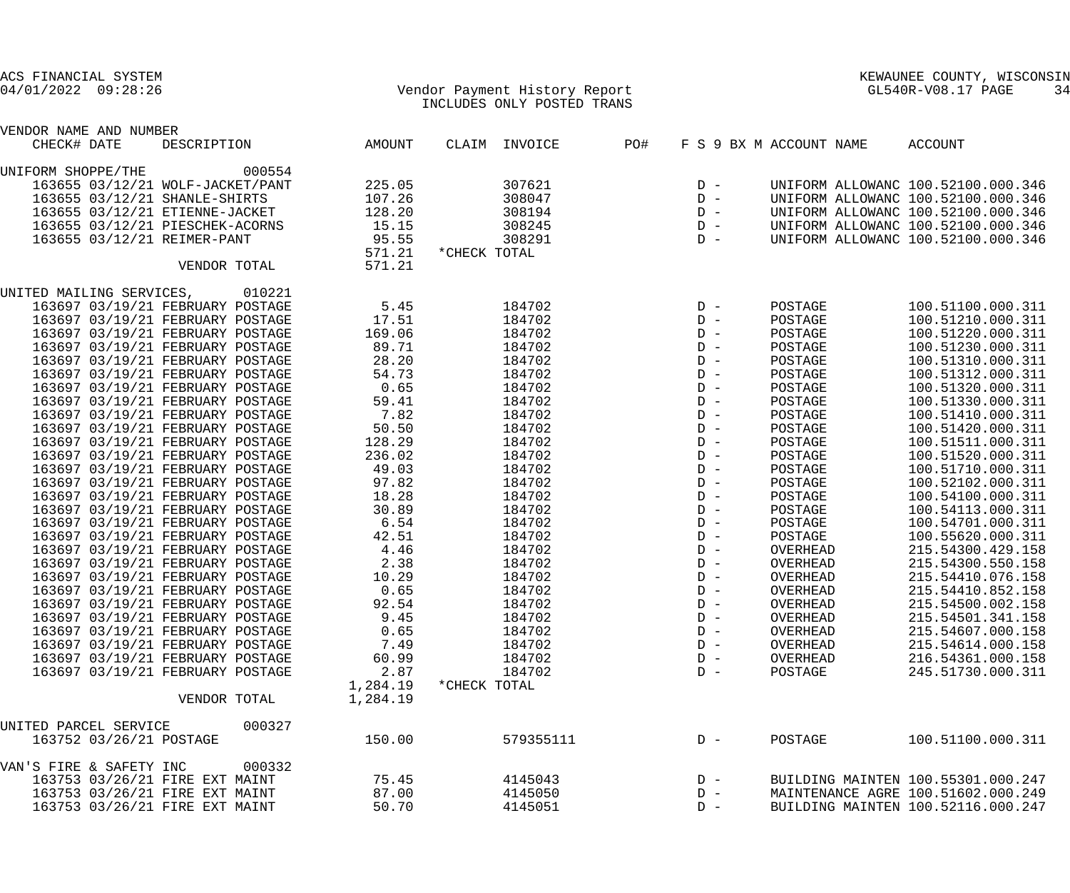| ACS FINANCIAL SYSTEM                                                 |              |                      |                                                             |     |                |                         | KEWAUNEE COUNTY, WISCONSIN             |    |
|----------------------------------------------------------------------|--------------|----------------------|-------------------------------------------------------------|-----|----------------|-------------------------|----------------------------------------|----|
| $04/01/2022$ 09:28:26                                                |              |                      | Vendor Payment History Report<br>INCLUDES ONLY POSTED TRANS |     |                |                         | GL540R-V08.17 PAGE                     | 34 |
| VENDOR NAME AND NUMBER                                               |              |                      |                                                             |     |                |                         |                                        |    |
| CHECK# DATE<br>DESCRIPTION                                           |              | AMOUNT               | CLAIM INVOICE                                               | PO# |                | F S 9 BX M ACCOUNT NAME | ACCOUNT                                |    |
| UNIFORM SHOPPE/THE                                                   | 000554       |                      |                                                             |     |                |                         |                                        |    |
| 163655 03/12/21 WOLF-JACKET/PANT                                     |              | 225.05               | 307621                                                      |     | $D -$          |                         | UNIFORM ALLOWANC 100.52100.000.346     |    |
| 163655 03/12/21 SHANLE-SHIRTS                                        |              | 107.26               | 308047                                                      |     | $D -$          |                         | UNIFORM ALLOWANC 100.52100.000.346     |    |
| 163655 03/12/21 ETIENNE-JACKET                                       |              | 128.20               | 308194                                                      |     | $D -$          |                         | UNIFORM ALLOWANC 100.52100.000.346     |    |
| 163655 03/12/21 PIESCHEK-ACORNS                                      |              | 15.15                | 308245                                                      |     | $D -$          |                         | UNIFORM ALLOWANC 100.52100.000.346     |    |
| 163655 03/12/21 REIMER-PANT                                          |              | 95.55                | 308291                                                      |     | $D -$          |                         | UNIFORM ALLOWANC 100.52100.000.346     |    |
|                                                                      |              | 571.21               | *CHECK TOTAL                                                |     |                |                         |                                        |    |
|                                                                      | VENDOR TOTAL | 571.21               |                                                             |     |                |                         |                                        |    |
|                                                                      | 010221       |                      |                                                             |     |                |                         |                                        |    |
| UNITED MAILING SERVICES,                                             |              |                      | 184702                                                      |     | $D -$          |                         | 100.51100.000.311                      |    |
| 163697 03/19/21 FEBRUARY POSTAGE<br>163697 03/19/21 FEBRUARY POSTAGE |              | 5.45<br>17.51        | 184702                                                      |     | $D -$          | POSTAGE                 | 100.51210.000.311                      |    |
|                                                                      |              |                      |                                                             |     | $D -$          | POSTAGE                 |                                        |    |
| 163697 03/19/21 FEBRUARY POSTAGE                                     |              | 169.06               | 184702                                                      |     | $D -$          | POSTAGE                 | 100.51220.000.311<br>100.51230.000.311 |    |
| 163697 03/19/21 FEBRUARY POSTAGE                                     |              | 89.71                | 184702                                                      |     | $D -$          | POSTAGE                 | 100.51310.000.311                      |    |
| 163697 03/19/21 FEBRUARY POSTAGE<br>163697 03/19/21 FEBRUARY POSTAGE |              | 28.20                | 184702                                                      |     | $D -$          | POSTAGE                 |                                        |    |
| 163697 03/19/21 FEBRUARY POSTAGE                                     |              | 54.73                | 184702                                                      |     | $D -$          | POSTAGE                 | 100.51312.000.311                      |    |
|                                                                      |              | 0.65                 | 184702                                                      |     | $D -$          | POSTAGE                 | 100.51320.000.311                      |    |
| 163697 03/19/21 FEBRUARY POSTAGE                                     |              | 59.41                | 184702                                                      |     | $D -$          | POSTAGE                 | 100.51330.000.311                      |    |
| 163697 03/19/21 FEBRUARY POSTAGE                                     |              | 7.82                 | 184702                                                      |     | $D -$          | POSTAGE                 | 100.51410.000.311                      |    |
| 163697 03/19/21 FEBRUARY POSTAGE                                     |              | 50.50                | 184702                                                      |     |                | POSTAGE                 | 100.51420.000.311                      |    |
| 163697 03/19/21 FEBRUARY POSTAGE                                     |              | 128.29               | 184702                                                      |     | $D -$          | POSTAGE                 | 100.51511.000.311                      |    |
| 163697 03/19/21 FEBRUARY POSTAGE                                     |              | 236.02               | 184702                                                      |     | $D -$          | POSTAGE                 | 100.51520.000.311                      |    |
| 163697 03/19/21 FEBRUARY POSTAGE                                     |              | 49.03                | 184702                                                      |     | $D -$<br>$D -$ | POSTAGE                 | 100.51710.000.311                      |    |
| 163697 03/19/21 FEBRUARY POSTAGE                                     |              | 97.82                | 184702                                                      |     | $D -$          | POSTAGE                 | 100.52102.000.311                      |    |
| 163697 03/19/21 FEBRUARY POSTAGE<br>163697 03/19/21 FEBRUARY POSTAGE |              | 18.28                | 184702<br>184702                                            |     | $D -$          | POSTAGE                 | 100.54100.000.311<br>100.54113.000.311 |    |
| 163697 03/19/21 FEBRUARY POSTAGE                                     |              | 30.89                | 184702                                                      |     | $D -$          | POSTAGE                 |                                        |    |
| 163697 03/19/21 FEBRUARY POSTAGE                                     |              | 6.54                 |                                                             |     | $D -$          | POSTAGE                 | 100.54701.000.311<br>100.55620.000.311 |    |
|                                                                      |              | 42.51                | 184702                                                      |     | $D -$          | POSTAGE                 |                                        |    |
| 163697 03/19/21 FEBRUARY POSTAGE                                     |              | 4.46                 | 184702<br>184702                                            |     | $D -$          | OVERHEAD<br>OVERHEAD    | 215.54300.429.158<br>215.54300.550.158 |    |
| 163697 03/19/21 FEBRUARY POSTAGE                                     |              | 2.38                 |                                                             |     |                |                         |                                        |    |
| 163697 03/19/21 FEBRUARY POSTAGE                                     |              | 10.29                | 184702                                                      |     | $D -$          | OVERHEAD                | 215.54410.076.158                      |    |
| 163697 03/19/21 FEBRUARY POSTAGE                                     |              | 0.65                 | 184702                                                      |     | $D -$<br>$D -$ | OVERHEAD                | 215.54410.852.158                      |    |
| 163697 03/19/21 FEBRUARY POSTAGE                                     |              | 92.54                | 184702                                                      |     | $D -$          | OVERHEAD                | 215.54500.002.158                      |    |
| 163697 03/19/21 FEBRUARY POSTAGE                                     |              | 9.45                 | 184702                                                      |     | $D -$          | OVERHEAD                | 215.54501.341.158                      |    |
| 163697 03/19/21 FEBRUARY POSTAGE                                     |              | 0.65                 | 184702                                                      |     |                | OVERHEAD                | 215.54607.000.158                      |    |
| 163697 03/19/21 FEBRUARY POSTAGE                                     |              | 7.49                 | 184702                                                      |     | $D -$<br>$D -$ | OVERHEAD                | 215.54614.000.158                      |    |
| 163697 03/19/21 FEBRUARY POSTAGE                                     |              | 60.99                | 184702                                                      |     |                | OVERHEAD                | 216.54361.000.158                      |    |
| 163697 03/19/21 FEBRUARY POSTAGE                                     |              | 2.87                 | 184702                                                      |     | $D -$          | POSTAGE                 | 245.51730.000.311                      |    |
|                                                                      | VENDOR TOTAL | 1,284.19<br>1,284.19 | *CHECK TOTAL                                                |     |                |                         |                                        |    |
| UNITED PARCEL SERVICE                                                | 000327       |                      |                                                             |     |                |                         |                                        |    |
| 163752 03/26/21 POSTAGE                                              |              | 150.00               | 579355111                                                   |     | $D -$          | POSTAGE                 | 100.51100.000.311                      |    |
|                                                                      |              |                      |                                                             |     |                |                         |                                        |    |
| VAN'S FIRE & SAFETY INC                                              | 000332       |                      |                                                             |     |                |                         |                                        |    |
| 163753 03/26/21 FIRE EXT MAINT                                       |              | 75.45                | 4145043                                                     |     | $D -$          |                         | BUILDING MAINTEN 100.55301.000.247     |    |
| 163753 03/26/21 FIRE EXT MAINT                                       |              | 87.00                | 4145050                                                     |     | $D -$          |                         | MAINTENANCE AGRE 100.51602.000.249     |    |
| 163753 03/26/21 FIRE EXT MAINT                                       |              | 50.70                | 4145051                                                     |     | $D -$          |                         | BUILDING MAINTEN 100.52116.000.247     |    |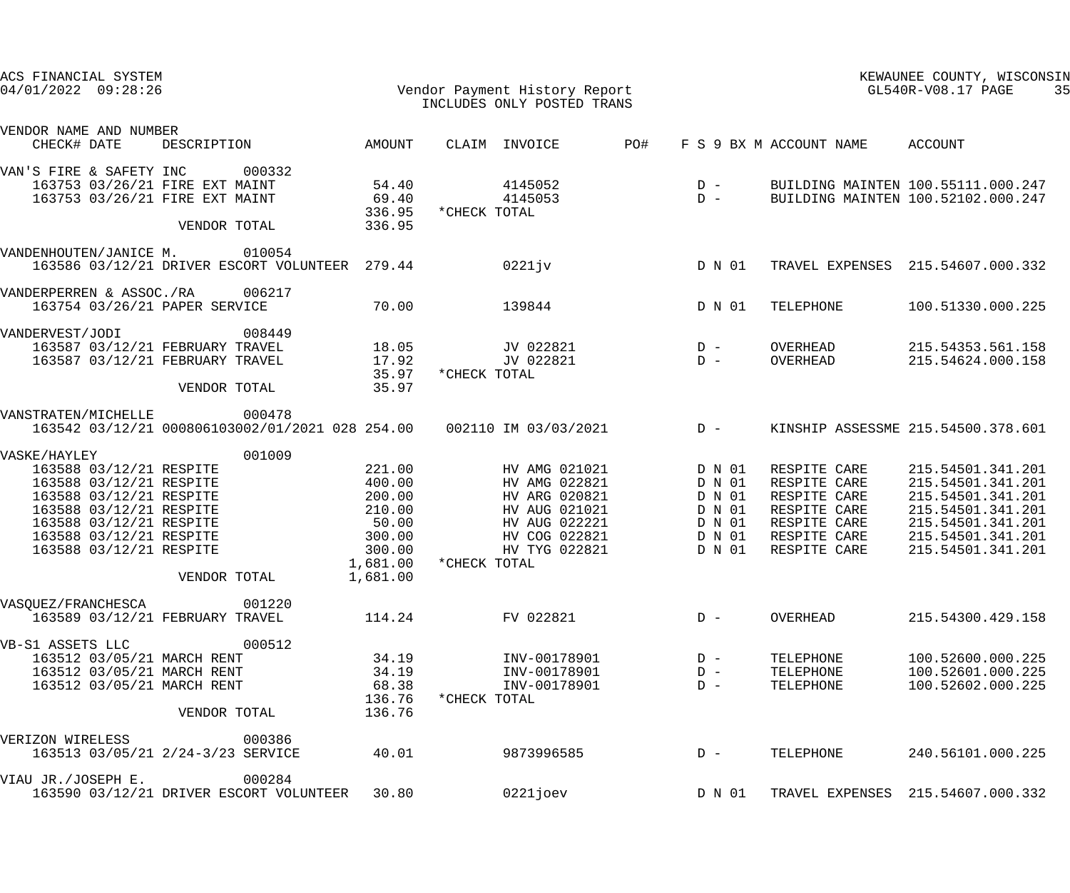| ACS FINANCIAL SYSTEM<br>$04/01/2022$ 09:28:26                                                                                                                                                                             |                                                                                                     | Vendor Payment History Report<br>INCLUDES ONLY POSTED TRANS<br>INCLUDES ONLY POSTED TRANS                                           |                                                                    |                                                                                                              | KEWAUNEE COUNTY, WISCONSIN<br>GL540R-V08.17 PAGE<br>35                                                                                          |
|---------------------------------------------------------------------------------------------------------------------------------------------------------------------------------------------------------------------------|-----------------------------------------------------------------------------------------------------|-------------------------------------------------------------------------------------------------------------------------------------|--------------------------------------------------------------------|--------------------------------------------------------------------------------------------------------------|-------------------------------------------------------------------------------------------------------------------------------------------------|
| VENDOR NAME AND NUMBER<br>CHECK# DATE                                                                                                                                                                                     | DESCRIPTION AMOUNT                                                                                  | CLAIM INVOICE                                                                                                                       | PO#<br>F S 9 BX M ACCOUNT NAME                                     |                                                                                                              | ACCOUNT                                                                                                                                         |
| 000332<br>VAN'S FIRE & SAFETY INC<br>163753 03/26/21 FIRE EXT MAINT<br>163753 03/26/21 FIRE EXT MAINT<br>VENDOR TOTAL                                                                                                     | 54.40<br>69.40<br>336.95<br>336.95                                                                  | 4145052<br>4145053<br>*CHECK TOTAL                                                                                                  | $\begin{array}{c}\nD & - \\ D & -\n\end{array}$                    | BUILDING MAINTEN 100.52102.000.247                                                                           | BUILDING MAINTEN 100.55111.000.247                                                                                                              |
| VANDENHOUTEN/JANICE M. 010054<br>163586 03/12/21 DRIVER ESCORT VOLUNTEER 279.44                                                                                                                                           |                                                                                                     | 0221jv                                                                                                                              | D N 01                                                             |                                                                                                              | TRAVEL EXPENSES 215.54607.000.332                                                                                                               |
| VANDERPERREN & ASSOC./RA 006217<br>163754 03/26/21 PAPER SERVICE                                                                                                                                                          | 70.00                                                                                               | 139844                                                                                                                              | D N 01                                                             | TELEPHONE                                                                                                    | 100.51330.000.225                                                                                                                               |
| VANDERVEST/JODI 008449<br>163587 03/12/21 FEBRUARY TRAVEL<br>163587 03/12/21 FEBRUARY TRAVEL<br>VENDOR TOTAL                                                                                                              | 18.05<br>17.92<br>35.97<br>35.97                                                                    | JV 022821<br>JV 022821<br>*CHECK TOTAL                                                                                              | $D -$<br>$D -$                                                     | OVERHEAD<br>OVERHEAD                                                                                         | 215.54353.561.158<br>215.54624.000.158                                                                                                          |
| VANSTRATEN/MICHELLE<br>000478<br>163542 03/12/21 000806103002/01/2021 028 254.00  002110 IM 03/03/2021  D -                                                                                                               |                                                                                                     |                                                                                                                                     |                                                                    | KINSHIP ASSESSME 215.54500.378.601                                                                           |                                                                                                                                                 |
| VASKE/HAYLEY<br>163588 03/12/21 RESPITE<br>163588 03/12/21 RESPITE<br>163588 03/12/21 RESPITE<br>163588 03/12/21 RESPITE<br>163588 03/12/21 RESPITE<br>163588 03/12/21 RESPITE<br>163588 03/12/21 RESPITE<br>VENDOR TOTAL | 001009<br>221.00<br>400.00<br>200.00<br>210.00<br>50.00<br>300.00<br>300.00<br>1,681.00<br>1,681.00 | HV AMG 021021<br>HV AMG 022821<br>HV ARG 020821<br>HV AUG 021021<br>HV AUG 022221<br>HV COG 022821<br>HV TYG 022821<br>*CHECK TOTAL | D N 01<br>D N 01<br>D N 01<br>D N 01<br>D N 01<br>D N 01<br>D N 01 | RESPITE CARE<br>RESPITE CARE<br>RESPITE CARE<br>RESPITE CARE<br>RESPITE CARE<br>RESPITE CARE<br>RESPITE CARE | 215.54501.341.201<br>215.54501.341.201<br>215.54501.341.201<br>215.54501.341.201<br>215.54501.341.201<br>215.54501.341.201<br>215.54501.341.201 |
| VASQUEZ/FRANCHESCA<br>163589 03/12/21 FEBRUARY TRAVEL                                                                                                                                                                     | 001220<br>114.24                                                                                    | FV 022821                                                                                                                           | $D -$                                                              | <b>OVERHEAD</b>                                                                                              | 215.54300.429.158                                                                                                                               |
| VB-S1 ASSETS LLC<br>163512 03/05/21 MARCH RENT<br>163512 03/05/21 MARCH RENT<br>163512 03/05/21 MARCH RENT<br>VENDOR TOTAL                                                                                                | 000512<br>34.19<br>34.19<br>68.38<br>136.76<br>136.76                                               | INV-00178901<br>INV-00178901<br>INV-00178901<br>*CHECK TOTAL                                                                        | $D -$<br>$D -$<br>$D -$                                            | TELEPHONE<br>TELEPHONE<br>TELEPHONE                                                                          | 100.52600.000.225<br>100.52601.000.225<br>100.52602.000.225                                                                                     |
| VERIZON WIRELESS<br>163513 03/05/21 2/24-3/23 SERVICE                                                                                                                                                                     | 000386<br>40.01                                                                                     | 9873996585                                                                                                                          | $D -$                                                              | TELEPHONE                                                                                                    | 240.56101.000.225                                                                                                                               |
| VIAU JR./JOSEPH E.<br>163590 03/12/21 DRIVER ESCORT VOLUNTEER                                                                                                                                                             | 000284<br>30.80                                                                                     | 0221joev                                                                                                                            | D N 01                                                             |                                                                                                              | TRAVEL EXPENSES 215.54607.000.332                                                                                                               |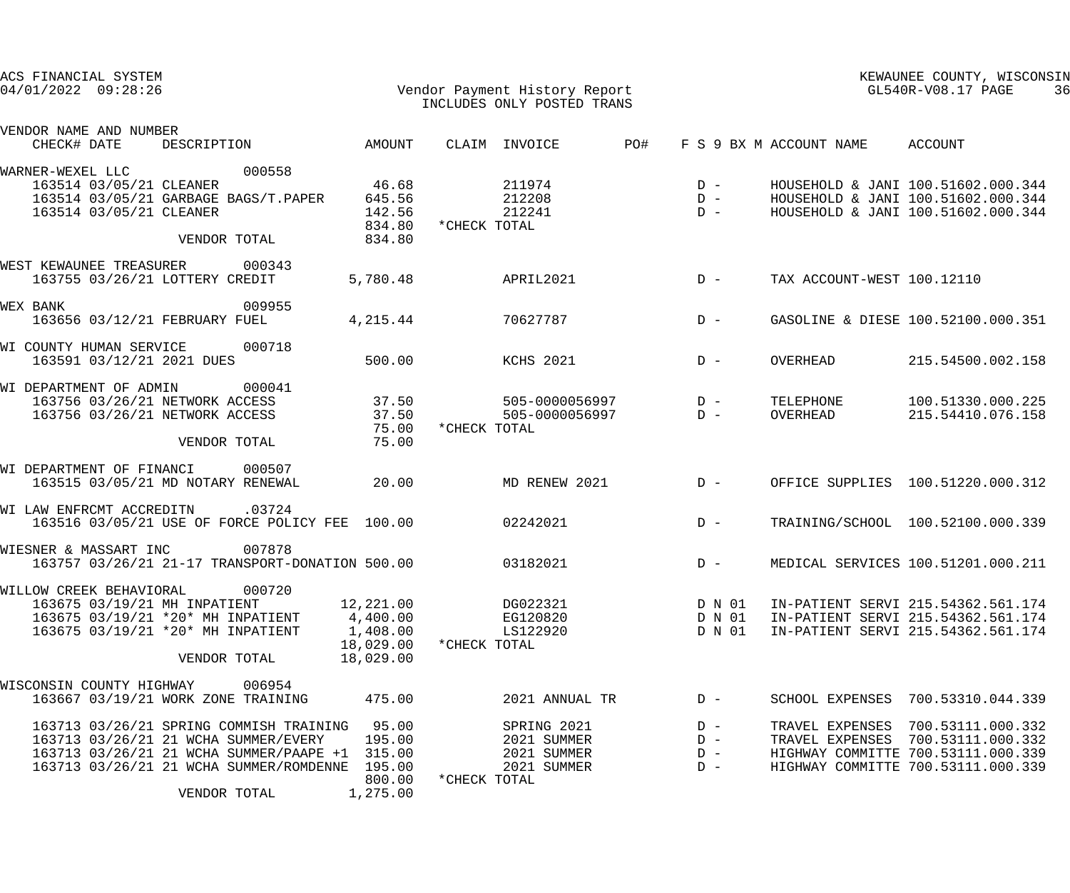| ACS FINANCIAL SYSTEM<br>Vendor Payment History Report<br>That was well alway pogmp manua<br>$04/01/2022$ 09:28:26 |                               |                     | INCLUDES ONLY POSTED TRANS |       |        | GL540R-V08.17 PAGE              | KEWAUNEE COUNTY, WISCONSIN         | 36 |
|-------------------------------------------------------------------------------------------------------------------|-------------------------------|---------------------|----------------------------|-------|--------|---------------------------------|------------------------------------|----|
| VENDOR NAME AND NUMBER<br>DESCRIPTION AMOUNT<br>CHECK# DATE                                                       |                               | CLAIM INVOICE       |                            | PO#   |        | F S 9 BX M ACCOUNT NAME ACCOUNT |                                    |    |
| 000558<br>WARNER-WEXEL LLC                                                                                        |                               |                     |                            |       |        |                                 |                                    |    |
| 163514 03/05/21 CLEANER                                                                                           | 46.68                         |                     | 211974                     |       | $D -$  |                                 | HOUSEHOLD & JANI 100.51602.000.344 |    |
| 163514 03/05/21 GARBAGE BAGS/T.PAPER 645.56                                                                       |                               |                     | 212208                     |       | $D -$  |                                 | HOUSEHOLD & JANI 100.51602.000.344 |    |
| 163514 03/05/21 CLEANER                                                                                           | 142.56<br>834.80 *CHECK TOTAL |                     | 212241                     |       | $D -$  |                                 | HOUSEHOLD & JANI 100.51602.000.344 |    |
| VENDOR TOTAL                                                                                                      | 834.80                        |                     |                            |       |        |                                 |                                    |    |
| WEST KEWAUNEE TREASURER 000343                                                                                    |                               |                     |                            |       |        |                                 |                                    |    |
| 163755 03/26/21 LOTTERY CREDIT                                                                                    | 5,780.48                      |                     | APRIL2021                  |       | $D -$  | TAX ACCOUNT-WEST 100.12110      |                                    |    |
| 009955<br>WEX BANK                                                                                                |                               |                     |                            |       |        |                                 |                                    |    |
| 163656 03/12/21 FEBRUARY FUEL                                                                                     | 4,215.44                      |                     | 70627787                   |       | $D -$  |                                 | GASOLINE & DIESE 100.52100.000.351 |    |
| WI COUNTY HUMAN SERVICE<br>000718                                                                                 |                               |                     |                            |       |        |                                 |                                    |    |
| 163591 03/12/21 2021 DUES                                                                                         | 500.00                        |                     | KCHS 2021                  | $D -$ |        | OVERHEAD                        | 215.54500.002.158                  |    |
| WI DEPARTMENT OF ADMIN<br>000041                                                                                  |                               |                     |                            |       |        |                                 |                                    |    |
| 163756 03/26/21 NETWORK ACCESS 37.50 505-0000056997 D -                                                           |                               |                     |                            |       |        | TELEPHONE                       | 100.51330.000.225                  |    |
| 163756 03/26/21 NETWORK ACCESS                                                                                    |                               | 37.50               | 505-0000056997 D-          |       |        | OVERHEAD                        | 215.54410.076.158                  |    |
| VENDOR TOTAL                                                                                                      | 75.00                         | 75.00 * CHECK TOTAL |                            |       |        |                                 |                                    |    |
| WI DEPARTMENT OF FINANCI<br>000507                                                                                |                               |                     |                            |       |        |                                 |                                    |    |
| 163515 03/05/21 MD NOTARY RENEWAL                                                                                 | 20.00                         |                     | $MD$ RENEW 2021 $D -$      |       |        |                                 | OFFICE SUPPLIES 100.51220.000.312  |    |
| WI LAW ENFRCMT ACCREDITN .03724                                                                                   |                               |                     |                            |       |        |                                 |                                    |    |
| 163516 03/05/21 USE OF FORCE POLICY FEE 100.00 02242021                                                           |                               |                     |                            |       | $D -$  |                                 | TRAINING/SCHOOL 100.52100.000.339  |    |
| 007878<br>WIESNER & MASSART INC                                                                                   |                               |                     |                            |       |        |                                 |                                    |    |
| 163757 03/26/21 21-17 TRANSPORT-DONATION 500.00                                                                   |                               |                     | 03182021                   |       | $D -$  |                                 | MEDICAL SERVICES 100.51201.000.211 |    |
| 000720<br>WILLOW CREEK BEHAVIORAL                                                                                 |                               |                     |                            |       |        |                                 |                                    |    |
| 163675 03/19/21 MH INPATIENT                                                                                      | 12,221.00                     |                     | DG022321                   |       | D N 01 |                                 | IN-PATIENT SERVI 215.54362.561.174 |    |
| 163675 03/19/21 *20* MH INPATIENT                                                                                 | 4,400.00                      |                     | EG120820                   |       | D N 01 |                                 | IN-PATIENT SERVI 215.54362.561.174 |    |
| 163675 03/19/21 *20* MH INPATIENT                                                                                 | 1,408.00                      |                     | LS122920                   |       | D N 01 |                                 | IN-PATIENT SERVI 215.54362.561.174 |    |
|                                                                                                                   | 18,029.00                     | *CHECK TOTAL        |                            |       |        |                                 |                                    |    |
| VENDOR TOTAL                                                                                                      | 18,029.00                     |                     |                            |       |        |                                 |                                    |    |
| WISCONSIN COUNTY HIGHWAY<br>006954                                                                                |                               |                     |                            |       |        |                                 |                                    |    |
| 163667 03/19/21 WORK ZONE TRAINING                                                                                | 475.00                        |                     | 2021 ANNUAL TR             |       | $D -$  | SCHOOL EXPENSES                 | 700.53310.044.339                  |    |
| 163713 03/26/21 SPRING COMMISH TRAINING 95.00                                                                     |                               |                     | SPRING 2021                |       | $D -$  |                                 | TRAVEL EXPENSES 700.53111.000.332  |    |
| 163713 03/26/21 21 WCHA SUMMER/EVERY                                                                              | 195.00                        |                     | 2021 SUMMER                |       | $D -$  |                                 | TRAVEL EXPENSES 700.53111.000.332  |    |
| 163713 03/26/21 21 WCHA SUMMER/PAAPE +1 315.00                                                                    |                               |                     | 2021 SUMMER                |       | $D -$  |                                 | HIGHWAY COMMITTE 700.53111.000.339 |    |
| 163713 03/26/21 21 WCHA SUMMER/ROMDENNE                                                                           | 195.00                        |                     | 2021 SUMMER                |       | $D -$  |                                 | HIGHWAY COMMITTE 700.53111.000.339 |    |
| VENDOR TOTAL                                                                                                      | 800.00<br>1,275.00            | *CHECK TOTAL        |                            |       |        |                                 |                                    |    |
|                                                                                                                   |                               |                     |                            |       |        |                                 |                                    |    |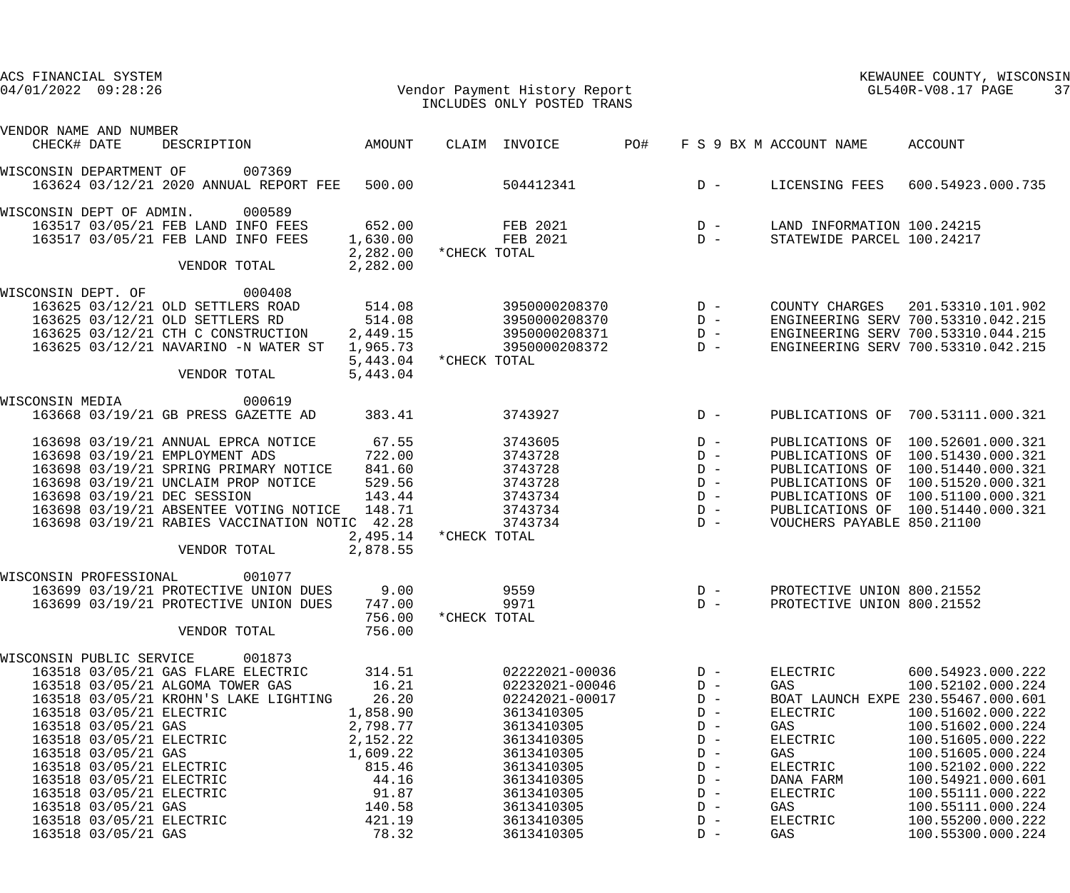| ACS FINANCIAL SYSTEM<br>$04/01/2022$ 09:28:26 |                                                                                          | Vendor Payment History Report                                                                                                                                                                                                                                                                           |                                                                                                                                   |              | INCLUDES ONLY POSTED TRANS                                                                                                                                                                     |                |                                                                                                                   | GL540R-V08.17 PAGE                                                                                                   | KEWAUNEE COUNTY, WISCONSIN<br>37                                                                                                                                                                                                                                                               |
|-----------------------------------------------|------------------------------------------------------------------------------------------|---------------------------------------------------------------------------------------------------------------------------------------------------------------------------------------------------------------------------------------------------------------------------------------------------------|-----------------------------------------------------------------------------------------------------------------------------------|--------------|------------------------------------------------------------------------------------------------------------------------------------------------------------------------------------------------|----------------|-------------------------------------------------------------------------------------------------------------------|----------------------------------------------------------------------------------------------------------------------|------------------------------------------------------------------------------------------------------------------------------------------------------------------------------------------------------------------------------------------------------------------------------------------------|
| VENDOR NAME AND NUMBER<br>CHECK# DATE         |                                                                                          | DESCRIPTION AMOUNT                                                                                                                                                                                                                                                                                      |                                                                                                                                   |              | CLAIM INVOICE                                                                                                                                                                                  | PO#            |                                                                                                                   | F S 9 BX M ACCOUNT NAME                                                                                              | ACCOUNT                                                                                                                                                                                                                                                                                        |
|                                               |                                                                                          |                                                                                                                                                                                                                                                                                                         |                                                                                                                                   |              |                                                                                                                                                                                                |                |                                                                                                                   |                                                                                                                      |                                                                                                                                                                                                                                                                                                |
| WISCONSIN DEPARTMENT OF                       |                                                                                          | 007369<br>163624 03/12/21 2020 ANNUAL REPORT FEE 500.00                                                                                                                                                                                                                                                 |                                                                                                                                   |              | 504412341                                                                                                                                                                                      |                |                                                                                                                   | D - LICENSING FEES                                                                                                   | 600.54923.000.735                                                                                                                                                                                                                                                                              |
| WISCONSIN DEPT OF ADMIN.                      |                                                                                          | 000589<br>163517 03/05/21 FEB LAND INFO FEES<br>163517 03/05/21 FEB LAND INFO FEES<br>VENDOR TOTAL                                                                                                                                                                                                      | 2,282.00 * CHECK TOTAL<br>2,282.00                                                                                                |              | 652.00 FEB 2021<br>1,630.00 FEB 2021                                                                                                                                                           |                | $\begin{array}{c}\nD & - \\ D & -\n\end{array}$                                                                   | LAND INFORMATION 100.24215<br>STATEWIDE PARCEL 100.24217                                                             |                                                                                                                                                                                                                                                                                                |
|                                               |                                                                                          |                                                                                                                                                                                                                                                                                                         |                                                                                                                                   |              |                                                                                                                                                                                                |                |                                                                                                                   |                                                                                                                      |                                                                                                                                                                                                                                                                                                |
| WISCONSIN DEPT. OF                            |                                                                                          | 000408<br>163625 03/12/21 OLD SETTLERS ROAD<br>163625 03/12/21 OLD SETTLERS RD<br>163625 03/12/21 CTH C CONSTRUCTION<br>163625 03/12/21 NAVARINO -N WATER ST<br>VENDOR TOTAL                                                                                                                            | 514.08<br>514.08<br>2,449.15<br>1,965.73<br>5,443.04 * CHECK TOTAL<br>5,443.04                                                    |              | 3950000208370 D -<br>3950000208370                                                                                                                                                             |                | $D -$                                                                                                             |                                                                                                                      | COUNTY CHARGES 201.53310.101.902<br>ENGINEERING SERV 700.53310.042.215<br>ENGINEERING SERV 700.53310.044.215<br>ENGINEERING SERV 700.53310.042.215                                                                                                                                             |
| WISCONSIN MEDIA                               |                                                                                          | 000619                                                                                                                                                                                                                                                                                                  |                                                                                                                                   |              |                                                                                                                                                                                                |                |                                                                                                                   |                                                                                                                      |                                                                                                                                                                                                                                                                                                |
|                                               |                                                                                          | 163668 03/19/21 GB PRESS GAZETTE AD                                                                                                                                                                                                                                                                     | 383.41                                                                                                                            |              | 3743927                                                                                                                                                                                        |                | $D -$                                                                                                             | PUBLICATIONS OF                                                                                                      | 700.53111.000.321                                                                                                                                                                                                                                                                              |
|                                               |                                                                                          | 163698 03/19/21 ANNUAL EPRCA NOTICE<br>163698 03/19/21 EMPLOYMENT ADS<br>163698 03/19/21 SPRING PRIMARY NOTICE<br>163698 03/19/21 UNCLAIM PROP NOTICE<br>163698 03/19/21 DEC SESSION<br>163698 03/19/21 ABSENTEE VOTING NOTICE 148.71<br>163698 03/19/21 RABIES VACCINATION NOTIC 42.28<br>VENDOR TOTAL | 67.55<br>722.00<br>841.60<br>529.56<br>143.44<br>2,495.14<br>2,878.55                                                             | *CHECK TOTAL | 3743605<br>3743728<br>3743728<br>3743728<br>3743734<br>3743734<br>3743734                                                                                                                      | $D -$<br>$D -$ | $D -$<br>$D -$<br>$D -$<br>$\begin{array}{c} \mathbf{D} - \\ \mathbf{D} - \end{array}$                            | PUBLICATIONS OF<br>PUBLICATIONS OF<br>VOUCHERS PAYABLE 850.21100                                                     | PUBLICATIONS OF 100.52601.000.321<br>100.51430.000.321<br>100.51440.000.321<br>PUBLICATIONS OF 100.51520.000.321<br>PUBLICATIONS OF 100.51100.000.321<br>PUBLICATIONS OF 100.51440.000.321                                                                                                     |
| WISCONSIN PROFESSIONAL                        |                                                                                          | 001077<br>163699 03/19/21 PROTECTIVE UNION DUES<br>163699 03/19/21 PROTECTIVE UNION DUES<br>VENDOR TOTAL                                                                                                                                                                                                | 9.00<br>747.00<br>756.00<br>756.00                                                                                                | *CHECK TOTAL | 9559<br>9971                                                                                                                                                                                   |                | $D -$<br>$D -$                                                                                                    | PROTECTIVE UNION 800.21552<br>PROTECTIVE UNION 800.21552                                                             |                                                                                                                                                                                                                                                                                                |
| WISCONSIN PUBLIC SERVICE                      | 163518 03/05/21 GAS<br>163518 03/05/21 GAS<br>163518 03/05/21 GAS<br>163518 03/05/21 GAS | 001873<br>163518 03/05/21 GAS FLARE ELECTRIC<br>163518 03/05/21 ALGOMA TOWER GAS<br>163518 03/05/21 KROHN'S LAKE LIGHTING<br>163518 03/05/21 ELECTRIC<br>163518 03/05/21 ELECTRIC<br>163518 03/05/21 ELECTRIC<br>163518 03/05/21 ELECTRIC<br>163518 03/05/21 ELECTRIC<br>163518 03/05/21 ELECTRIC       | 314.51<br>16.21<br>26.20<br>1,858.90<br>2,798.77<br>2,152.22<br>1,609.22<br>815.46<br>44.16<br>91.87<br>140.58<br>421.19<br>78.32 |              | 02222021-00036<br>02232021-00046<br>02242021-00017<br>3613410305<br>3613410305<br>3613410305<br>3613410305<br>3613410305<br>3613410305<br>3613410305<br>3613410305<br>3613410305<br>3613410305 |                | $D -$<br>$D -$<br>$D -$<br>$D -$<br>$D -$<br>$D -$<br>$D -$<br>$D -$<br>$D -$<br>$D -$<br>$D -$<br>$D -$<br>$D -$ | ELECTRIC<br>GAS<br>ELECTRIC<br>GAS<br>ELECTRIC<br>GAS<br>ELECTRIC<br>DANA FARM<br>ELECTRIC<br>GAS<br>ELECTRIC<br>GAS | 600.54923.000.222<br>100.52102.000.224<br>BOAT LAUNCH EXPE 230.55467.000.601<br>100.51602.000.222<br>100.51602.000.224<br>100.51605.000.222<br>100.51605.000.224<br>100.52102.000.222<br>100.54921.000.601<br>100.55111.000.222<br>100.55111.000.224<br>100.55200.000.222<br>100.55300.000.224 |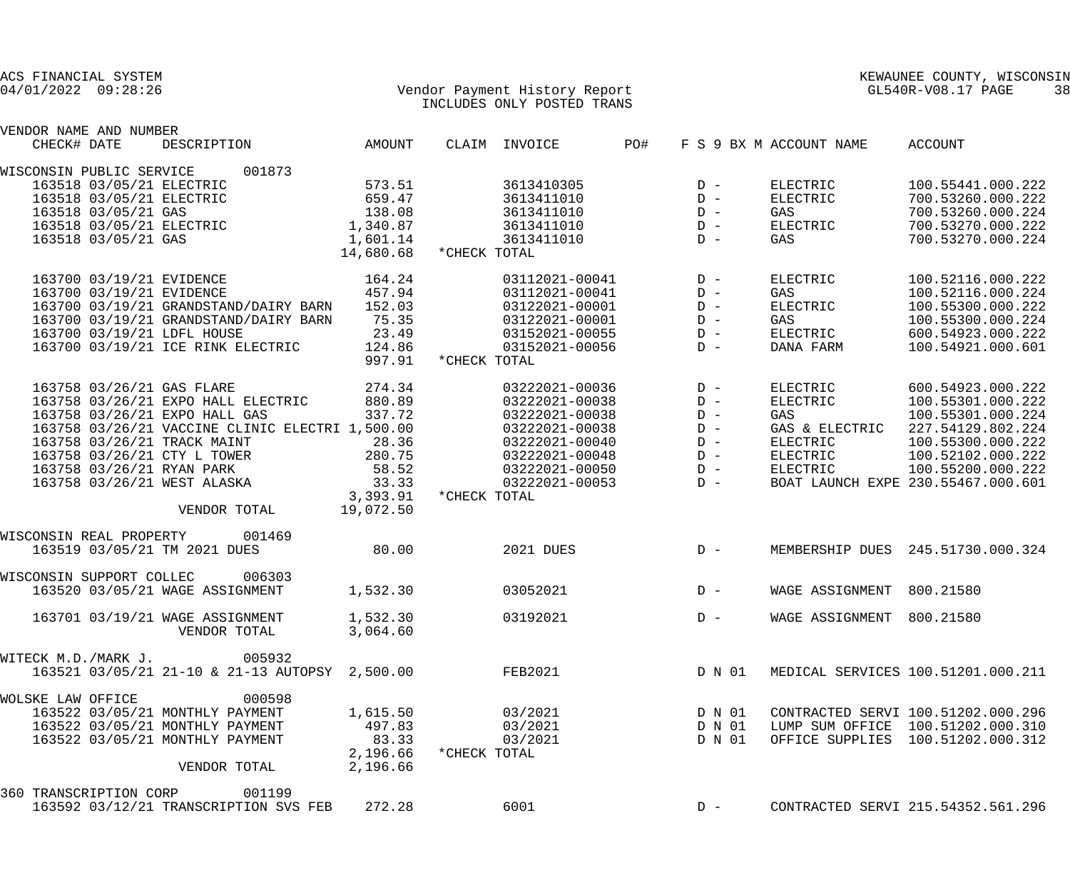| VENDOR NAME AND NUMBER   |                     |                                                 |                        |              |                |     |        |                           |                                           |
|--------------------------|---------------------|-------------------------------------------------|------------------------|--------------|----------------|-----|--------|---------------------------|-------------------------------------------|
| CHECK# DATE              |                     | DESCRIPTION AMOUNT                              |                        |              | CLAIM INVOICE  | PO# |        | F S 9 BX M ACCOUNT NAME   | ACCOUNT                                   |
| WISCONSIN PUBLIC SERVICE |                     | 001873                                          |                        |              |                |     |        |                           |                                           |
|                          |                     | 163518 03/05/21 ELECTRIC                        | 573.51                 |              | 3613410305     |     | $D -$  | ELECTRIC                  | 100.55441.000.222                         |
|                          |                     | 163518 03/05/21 ELECTRIC                        | 659.47                 |              | 3613411010     |     | $D -$  | ELECTRIC                  | 700.53260.000.222                         |
|                          | 163518 03/05/21 GAS |                                                 | 138.08                 |              | 3613411010     |     | $D -$  | GAS                       | 700.53260.000.224                         |
|                          |                     | 163518 03/05/21 ELECTRIC                        | 1,340.87               |              | 3613411010     |     | $D -$  | ELECTRIC                  | 700.53270.000.222                         |
|                          | 163518 03/05/21 GAS |                                                 | 1,601.14               |              | 3613411010     |     | $D -$  | GAS                       | 700.53270.000.224                         |
|                          |                     |                                                 | 14,680.68 *CHECK TOTAL |              |                |     |        |                           |                                           |
|                          |                     |                                                 |                        |              |                |     |        |                           |                                           |
|                          |                     | 163700 03/19/21 EVIDENCE                        | 164.24                 |              | 03112021-00041 |     | $D -$  | ELECTRIC                  | 100.52116.000.222                         |
|                          |                     | 163700 03/19/21 EVIDENCE                        | 457.94                 |              | 03112021-00041 |     | $D -$  | GAS                       | 100.52116.000.224                         |
|                          |                     | 163700 03/19/21 GRANDSTAND/DAIRY BARN           | 152.03                 |              | 03122021-00001 |     | $D -$  | ELECTRIC                  | 100.55300.000.222                         |
|                          |                     | 163700 03/19/21 GRANDSTAND/DAIRY BARN           | 75.35                  |              | 03122021-00001 |     | $D -$  | GAS                       | 100.55300.000.224                         |
|                          |                     | 163700 03/19/21 LDFL HOUSE                      | 23.49                  |              | 03152021-00055 |     | $D -$  | ELECTRIC                  | 600.54923.000.222                         |
|                          |                     | 163700 03/19/21 ICE RINK ELECTRIC               | 124.86                 |              | 03152021-00056 |     | $D -$  | DANA FARM                 | 100.54921.000.601                         |
|                          |                     |                                                 | 997.91                 | *CHECK TOTAL |                |     |        |                           |                                           |
|                          |                     |                                                 |                        |              |                |     |        |                           |                                           |
|                          |                     | 163758 03/26/21 GAS FLARE                       | 274.34                 |              | 03222021-00036 |     | $D -$  | ELECTRIC                  | 600.54923.000.222                         |
|                          |                     | 163758 03/26/21 EXPO HALL ELECTRIC              | 880.89                 |              | 03222021-00038 |     | $D -$  | ELECTRIC                  | 100.55301.000.222                         |
|                          |                     | 163758 03/26/21 EXPO HALL GAS                   | 337.72                 |              | 03222021-00038 |     | $D -$  | GAS                       | 100.55301.000.224                         |
|                          |                     | 163758 03/26/21 VACCINE CLINIC ELECTRI 1,500.00 |                        |              | 03222021-00038 |     | $D -$  | GAS & ELECTRIC            | 227.54129.802.224                         |
|                          |                     | 163758 03/26/21 TRACK MAINT                     | 28.36                  |              | 03222021-00040 |     | $D -$  | ELECTRIC                  | 100.55300.000.222                         |
|                          |                     | 163758 03/26/21 CTY L TOWER                     | 280.75                 |              | 03222021-00048 |     | $D -$  | ELECTRIC                  | 100.52102.000.222                         |
|                          |                     | 163758 03/26/21 RYAN PARK                       | 58.52                  |              | 03222021-00050 |     | $D -$  | ELECTRIC                  | 100.55200.000.222                         |
|                          |                     | 163758 03/26/21 WEST ALASKA                     | 33.33                  |              | 03222021-00053 |     | $D -$  |                           | BOAT LAUNCH EXPE 230.55467.000.601        |
|                          |                     |                                                 | 3,393.91               | *CHECK TOTAL |                |     |        |                           |                                           |
|                          |                     | VENDOR TOTAL                                    | 19,072.50              |              |                |     |        |                           |                                           |
|                          |                     |                                                 |                        |              |                |     |        |                           |                                           |
|                          |                     | WISCONSIN REAL PROPERTY 001469                  |                        |              |                |     |        |                           |                                           |
|                          |                     | 163519 03/05/21 TM 2021 DUES                    | 80.00                  |              | 2021 DUES      |     | $D -$  |                           | MEMBERSHIP DUES 245.51730.000.324         |
| WISCONSIN SUPPORT COLLEC |                     | 006303                                          |                        |              |                |     |        |                           |                                           |
|                          |                     | 163520 03/05/21 WAGE ASSIGNMENT                 | 1,532.30               |              | 03052021       |     | $D -$  | WAGE ASSIGNMENT 800.21580 |                                           |
|                          |                     |                                                 |                        |              |                |     |        |                           |                                           |
|                          |                     | 163701 03/19/21 WAGE ASSIGNMENT                 | 1,532.30               |              | 03192021       |     | $D -$  | WAGE ASSIGNMENT 800.21580 |                                           |
|                          |                     | VENDOR TOTAL                                    | 3,064.60               |              |                |     |        |                           |                                           |
| WITECK M.D./MARK J.      |                     | 005932                                          |                        |              |                |     |        |                           |                                           |
|                          |                     | 163521 03/05/21 21-10 & 21-13 AUTOPSY 2,500.00  |                        |              | FEB2021        |     |        |                           | D N 01 MEDICAL SERVICES 100.51201.000.211 |
|                          |                     |                                                 |                        |              |                |     |        |                           |                                           |
| WOLSKE LAW OFFICE        |                     | 000598                                          |                        |              |                |     |        |                           |                                           |
|                          |                     | 163522 03/05/21 MONTHLY PAYMENT                 | 1,615.50               |              | 03/2021        |     |        |                           | D N 01 CONTRACTED SERVI 100.51202.000.296 |
|                          |                     | 163522 03/05/21 MONTHLY PAYMENT                 | 497.83                 |              | 03/2021        |     |        |                           | D N 01 LUMP SUM OFFICE 100.51202.000.310  |
|                          |                     | 163522 03/05/21 MONTHLY PAYMENT                 | 83.33                  |              | 03/2021        |     | D N 01 |                           | OFFICE SUPPLIES 100.51202.000.312         |
|                          |                     |                                                 | 2,196.66               | *CHECK TOTAL |                |     |        |                           |                                           |
|                          |                     | VENDOR TOTAL                                    | 2,196.66               |              |                |     |        |                           |                                           |
|                          |                     |                                                 |                        |              |                |     |        |                           |                                           |
| 360 TRANSCRIPTION CORP   |                     | 001199<br>163592 03/12/21 TRANSCRIPTION SVS FEB | 272.28                 |              | 6001           |     | $D -$  |                           | CONTRACTED SERVI 215.54352.561.296        |
|                          |                     |                                                 |                        |              |                |     |        |                           |                                           |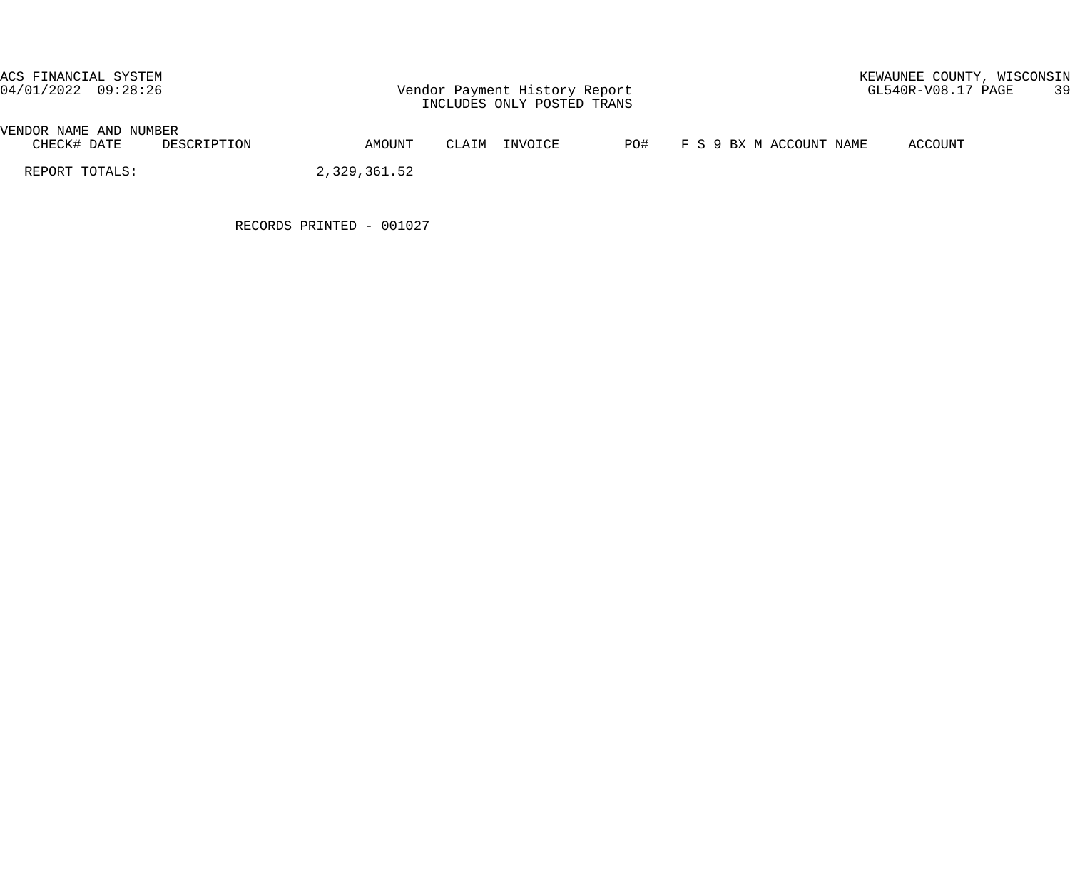# ACS FINANCIAL SYSTEM<br>04/01/2022 09:28:26 Vendor Payment History Report GL540R-V08.17 PAGE 39

| VENDOR NAME<br>AND | NUMBER      |        |                   |     |                         |         |
|--------------------|-------------|--------|-------------------|-----|-------------------------|---------|
| CHECK# DATE        | DESCRIPTION | AMOUNT | INVOICE<br>CT.ATM | PO# | '9 BX M ACCOUNT<br>NAME | ACCOUNT |

REPORT TOTALS: 2,329,361.52

RECORDS PRINTED - 001027